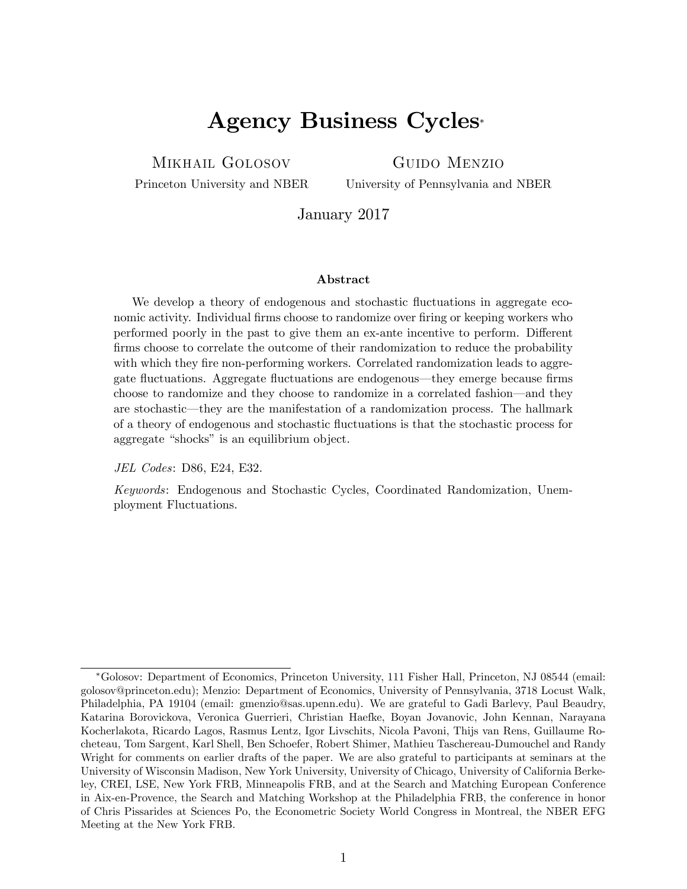## Agency Business Cycles

Mikhail Golosov

Guido Menzio

Princeton University and NBER

University of Pennsylvania and NBER

January 2017

#### Abstract

We develop a theory of endogenous and stochastic fluctuations in aggregate eco-nomic activity. Individual firms choose to randomize over firing or keeping workers who performed poorly in the past to give them an ex-ante incentive to perform. Different firms choose to correlate the outcome of their randomization to reduce the probability with which they fire non-performing workers. Correlated randomization leads to aggregate fluctuations. Aggregate fluctuations are endogenous—they emerge because firms choose to randomize and they choose to randomize in a correlated fashion—and they are stochastic—they are the manifestation of a randomization process. The hallmark of a theory of endogenous and stochastic áuctuations is that the stochastic process for aggregate "shocks" is an equilibrium object.

JEL Codes: D86, E24, E32.

Keywords: Endogenous and Stochastic Cycles, Coordinated Randomization, Unemployment Fluctuations.

Golosov: Department of Economics, Princeton University, 111 Fisher Hall, Princeton, NJ 08544 (email: golosov@princeton.edu); Menzio: Department of Economics, University of Pennsylvania, 3718 Locust Walk, Philadelphia, PA 19104 (email: gmenzio@sas.upenn.edu). We are grateful to Gadi Barlevy, Paul Beaudry, Katarina Borovickova, Veronica Guerrieri, Christian Haefke, Boyan Jovanovic, John Kennan, Narayana Kocherlakota, Ricardo Lagos, Rasmus Lentz, Igor Livschits, Nicola Pavoni, Thijs van Rens, Guillaume Rocheteau, Tom Sargent, Karl Shell, Ben Schoefer, Robert Shimer, Mathieu Taschereau-Dumouchel and Randy Wright for comments on earlier drafts of the paper. We are also grateful to participants at seminars at the University of Wisconsin Madison, New York University, University of Chicago, University of California Berkeley, CREI, LSE, New York FRB, Minneapolis FRB, and at the Search and Matching European Conference in Aix-en-Provence, the Search and Matching Workshop at the Philadelphia FRB, the conference in honor of Chris Pissarides at Sciences Po, the Econometric Society World Congress in Montreal, the NBER EFG Meeting at the New York FRB.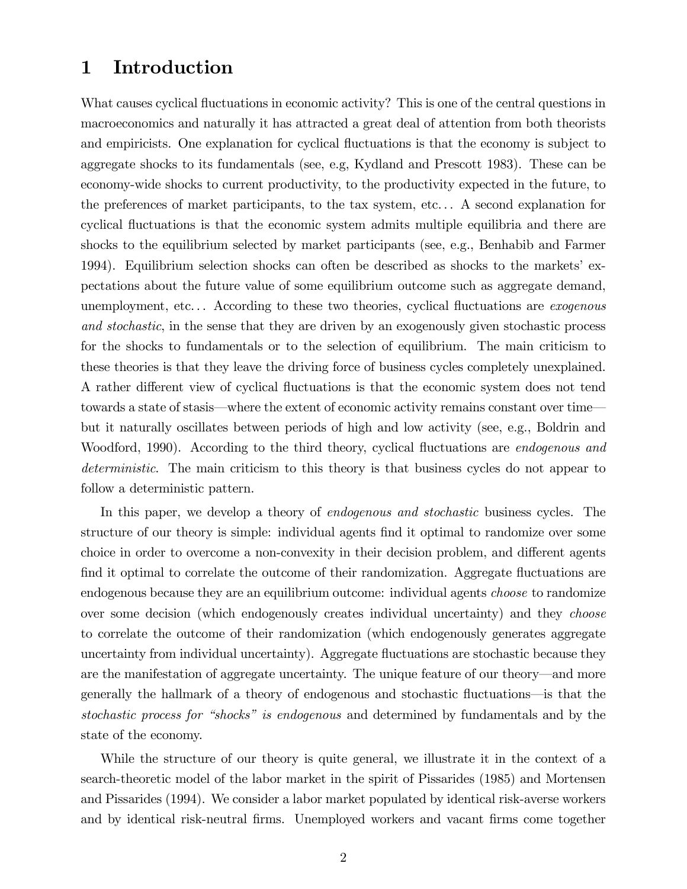### 1 Introduction

What causes cyclical fluctuations in economic activity? This is one of the central questions in macroeconomics and naturally it has attracted a great deal of attention from both theorists and empiricists. One explanation for cyclical áuctuations is that the economy is subject to aggregate shocks to its fundamentals (see, e.g, Kydland and Prescott 1983). These can be economy-wide shocks to current productivity, to the productivity expected in the future, to the preferences of market participants, to the tax system, etc. . . A second explanation for cyclical áuctuations is that the economic system admits multiple equilibria and there are shocks to the equilibrium selected by market participants (see, e.g., Benhabib and Farmer 1994). Equilibrium selection shocks can often be described as shocks to the markets' expectations about the future value of some equilibrium outcome such as aggregate demand, unemployment, etc... According to these two theories, cyclical fluctuations are *exogenous* and stochastic, in the sense that they are driven by an exogenously given stochastic process for the shocks to fundamentals or to the selection of equilibrium. The main criticism to these theories is that they leave the driving force of business cycles completely unexplained. A rather different view of cyclical fluctuations is that the economic system does not tend towards a state of stasis—where the extent of economic activity remains constant over time but it naturally oscillates between periods of high and low activity (see, e.g., Boldrin and Woodford, 1990). According to the third theory, cyclical fluctuations are *endogenous and* deterministic. The main criticism to this theory is that business cycles do not appear to follow a deterministic pattern.

In this paper, we develop a theory of *endogenous and stochastic* business cycles. The structure of our theory is simple: individual agents find it optimal to randomize over some choice in order to overcome a non-convexity in their decision problem, and different agents find it optimal to correlate the outcome of their randomization. Aggregate fluctuations are endogenous because they are an equilibrium outcome: individual agents choose to randomize over some decision (which endogenously creates individual uncertainty) and they choose to correlate the outcome of their randomization (which endogenously generates aggregate uncertainty from individual uncertainty). Aggregate áuctuations are stochastic because they are the manifestation of aggregate uncertainty. The unique feature of our theory—and more generally the hallmark of a theory of endogenous and stochastic fluctuations—is that the stochastic process for "shocks" is endogenous and determined by fundamentals and by the state of the economy.

While the structure of our theory is quite general, we illustrate it in the context of a search-theoretic model of the labor market in the spirit of Pissarides (1985) and Mortensen and Pissarides (1994). We consider a labor market populated by identical risk-averse workers and by identical risk-neutral firms. Unemployed workers and vacant firms come together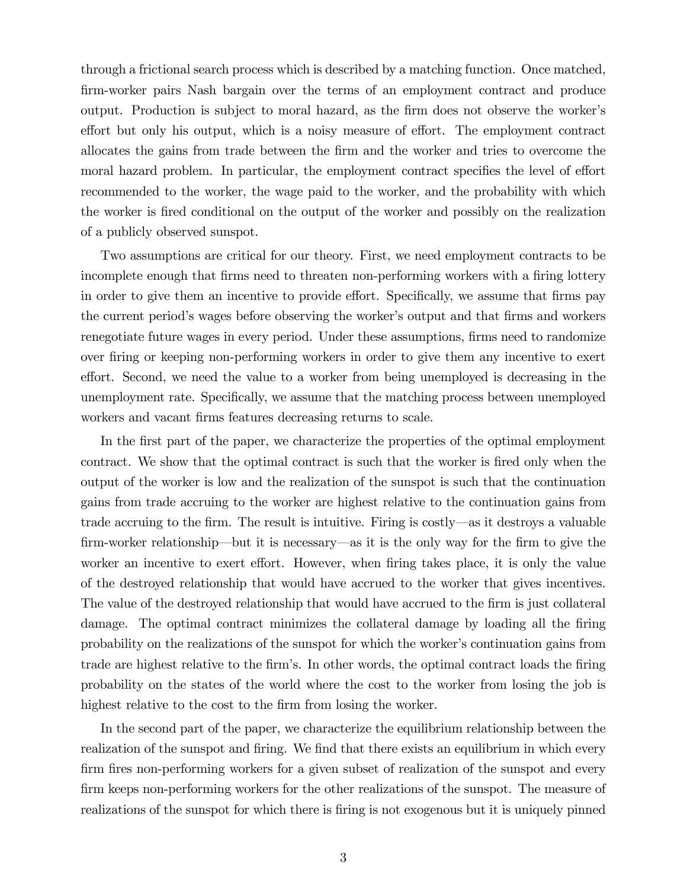through a frictional search process which is described by a matching function. Once matched, Örm-worker pairs Nash bargain over the terms of an employment contract and produce output. Production is subject to moral hazard, as the firm does not observe the worker's effort but only his output, which is a noisy measure of effort. The employment contract allocates the gains from trade between the Örm and the worker and tries to overcome the moral hazard problem. In particular, the employment contract specifies the level of effort recommended to the worker, the wage paid to the worker, and the probability with which the worker is fired conditional on the output of the worker and possibly on the realization of a publicly observed sunspot.

Two assumptions are critical for our theory. First, we need employment contracts to be incomplete enough that firms need to threaten non-performing workers with a firing lottery in order to give them an incentive to provide effort. Specifically, we assume that firms pay the current period's wages before observing the worker's output and that firms and workers renegotiate future wages in every period. Under these assumptions, firms need to randomize over Öring or keeping non-performing workers in order to give them any incentive to exert effort. Second, we need the value to a worker from being unemployed is decreasing in the unemployment rate. Specifically, we assume that the matching process between unemployed workers and vacant firms features decreasing returns to scale.

In the first part of the paper, we characterize the properties of the optimal employment contract. We show that the optimal contract is such that the worker is fired only when the output of the worker is low and the realization of the sunspot is such that the continuation gains from trade accruing to the worker are highest relative to the continuation gains from trade accruing to the firm. The result is intuitive. Firing is costly—as it destroys a valuable firm-worker relationship—but it is necessary—as it is the only way for the firm to give the worker an incentive to exert effort. However, when firing takes place, it is only the value of the destroyed relationship that would have accrued to the worker that gives incentives. The value of the destroyed relationship that would have accrued to the firm is just collateral damage. The optimal contract minimizes the collateral damage by loading all the firing probability on the realizations of the sunspot for which the worker's continuation gains from trade are highest relative to the firm's. In other words, the optimal contract loads the firing probability on the states of the world where the cost to the worker from losing the job is highest relative to the cost to the firm from losing the worker.

In the second part of the paper, we characterize the equilibrium relationship between the realization of the sunspot and firing. We find that there exists an equilibrium in which every firm fires non-performing workers for a given subset of realization of the sunspot and every firm keeps non-performing workers for the other realizations of the sunspot. The measure of realizations of the sunspot for which there is firing is not exogenous but it is uniquely pinned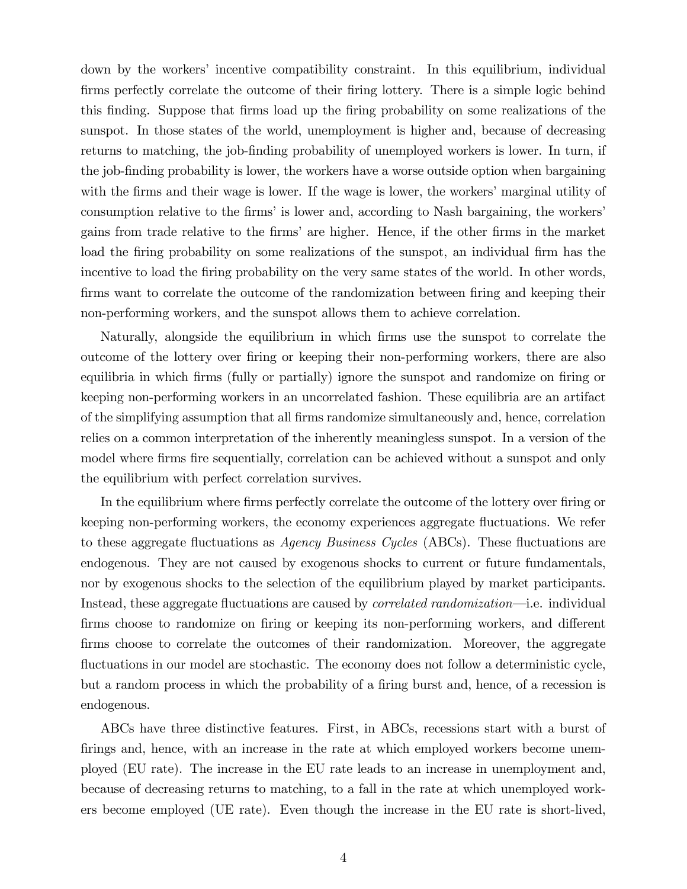down by the workers' incentive compatibility constraint. In this equilibrium, individual firms perfectly correlate the outcome of their firing lottery. There is a simple logic behind this Önding. Suppose that Örms load up the Öring probability on some realizations of the sunspot. In those states of the world, unemployment is higher and, because of decreasing returns to matching, the job-finding probability of unemployed workers is lower. In turn, if the job-Önding probability is lower, the workers have a worse outside option when bargaining with the firms and their wage is lower. If the wage is lower, the workers' marginal utility of consumption relative to the firms' is lower and, according to Nash bargaining, the workers' gains from trade relative to the firms' are higher. Hence, if the other firms in the market load the firing probability on some realizations of the sunspot, an individual firm has the incentive to load the firing probability on the very same states of the world. In other words, firms want to correlate the outcome of the randomization between firing and keeping their non-performing workers, and the sunspot allows them to achieve correlation.

Naturally, alongside the equilibrium in which Örms use the sunspot to correlate the outcome of the lottery over Öring or keeping their non-performing workers, there are also equilibria in which firms (fully or partially) ignore the sunspot and randomize on firing or keeping non-performing workers in an uncorrelated fashion. These equilibria are an artifact of the simplifying assumption that all Örms randomize simultaneously and, hence, correlation relies on a common interpretation of the inherently meaningless sunspot. In a version of the model where firms fire sequentially, correlation can be achieved without a sunspot and only the equilibrium with perfect correlation survives.

In the equilibrium where firms perfectly correlate the outcome of the lottery over firing or keeping non-performing workers, the economy experiences aggregate fluctuations. We refer to these aggregate fluctuations as Agency Business Cycles (ABCs). These fluctuations are endogenous. They are not caused by exogenous shocks to current or future fundamentals, nor by exogenous shocks to the selection of the equilibrium played by market participants. Instead, these aggregate fluctuations are caused by *correlated randomization*—i.e. individual firms choose to randomize on firing or keeping its non-performing workers, and different firms choose to correlate the outcomes of their randomization. Moreover, the aggregate fluctuations in our model are stochastic. The economy does not follow a deterministic cycle, but a random process in which the probability of a firing burst and, hence, of a recession is endogenous.

ABCs have three distinctive features. First, in ABCs, recessions start with a burst of firings and, hence, with an increase in the rate at which employed workers become unemployed (EU rate). The increase in the EU rate leads to an increase in unemployment and, because of decreasing returns to matching, to a fall in the rate at which unemployed workers become employed (UE rate). Even though the increase in the EU rate is short-lived,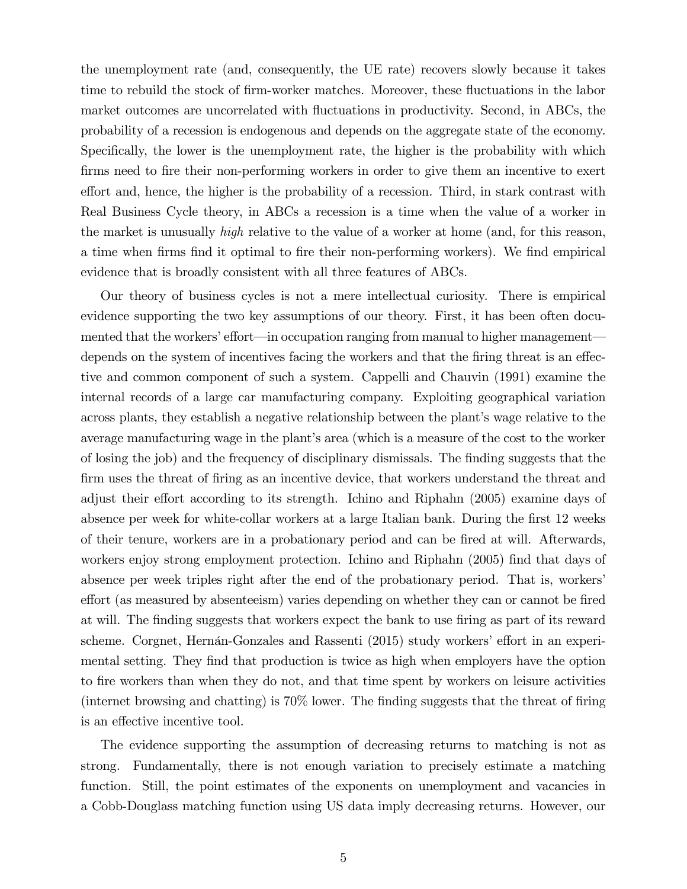the unemployment rate (and, consequently, the UE rate) recovers slowly because it takes time to rebuild the stock of firm-worker matches. Moreover, these fluctuations in the labor market outcomes are uncorrelated with fluctuations in productivity. Second, in ABCs, the probability of a recession is endogenous and depends on the aggregate state of the economy. Specifically, the lower is the unemployment rate, the higher is the probability with which firms need to fire their non-performing workers in order to give them an incentive to exert effort and, hence, the higher is the probability of a recession. Third, in stark contrast with Real Business Cycle theory, in ABCs a recession is a time when the value of a worker in the market is unusually *high* relative to the value of a worker at home (and, for this reason, a time when firms find it optimal to fire their non-performing workers). We find empirical evidence that is broadly consistent with all three features of ABCs.

Our theory of business cycles is not a mere intellectual curiosity. There is empirical evidence supporting the two key assumptions of our theory. First, it has been often documented that the workers' effort—in occupation ranging from manual to higher management depends on the system of incentives facing the workers and that the firing threat is an effective and common component of such a system. Cappelli and Chauvin (1991) examine the internal records of a large car manufacturing company. Exploiting geographical variation across plants, they establish a negative relationship between the plant's wage relative to the average manufacturing wage in the plant's area (which is a measure of the cost to the worker of losing the job) and the frequency of disciplinary dismissals. The Önding suggests that the firm uses the threat of firing as an incentive device, that workers understand the threat and adjust their effort according to its strength. Ichino and Riphahn (2005) examine days of absence per week for white-collar workers at a large Italian bank. During the first 12 weeks of their tenure, workers are in a probationary period and can be Öred at will. Afterwards, workers enjoy strong employment protection. Ichino and Riphahn (2005) find that days of absence per week triples right after the end of the probationary period. That is, workers' effort (as measured by absenteeism) varies depending on whether they can or cannot be fired at will. The finding suggests that workers expect the bank to use firing as part of its reward scheme. Corgnet, Hernán-Gonzales and Rassenti (2015) study workers' effort in an experimental setting. They find that production is twice as high when employers have the option to fire workers than when they do not, and that time spent by workers on leisure activities (internet browsing and chatting) is  $70\%$  lower. The finding suggests that the threat of firing is an effective incentive tool.

The evidence supporting the assumption of decreasing returns to matching is not as strong. Fundamentally, there is not enough variation to precisely estimate a matching function. Still, the point estimates of the exponents on unemployment and vacancies in a Cobb-Douglass matching function using US data imply decreasing returns. However, our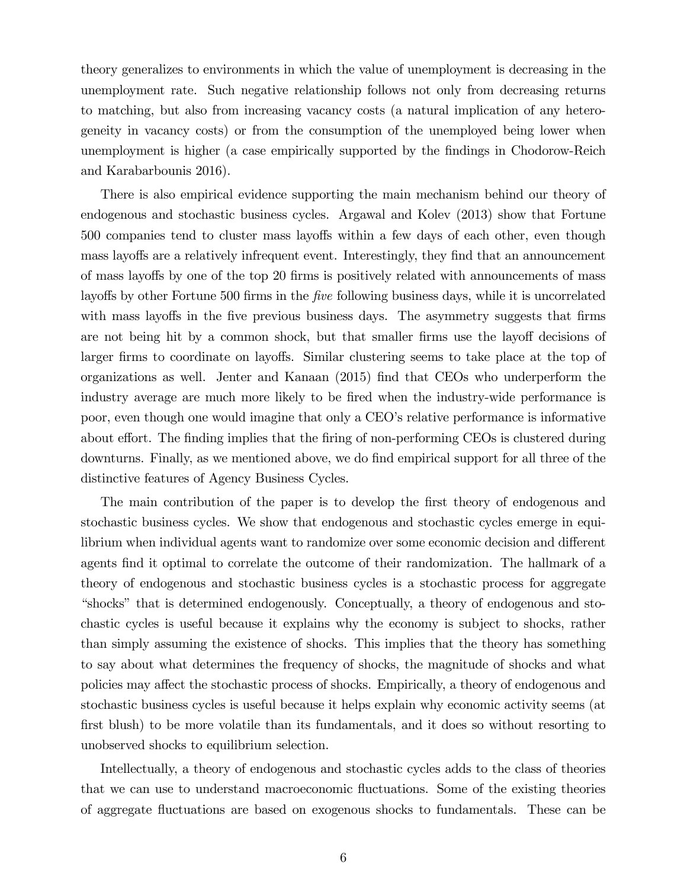theory generalizes to environments in which the value of unemployment is decreasing in the unemployment rate. Such negative relationship follows not only from decreasing returns to matching, but also from increasing vacancy costs (a natural implication of any heterogeneity in vacancy costs) or from the consumption of the unemployed being lower when unemployment is higher (a case empirically supported by the findings in Chodorow-Reich and Karabarbounis 2016).

There is also empirical evidence supporting the main mechanism behind our theory of endogenous and stochastic business cycles. Argawal and Kolev (2013) show that Fortune 500 companies tend to cluster mass layoffs within a few days of each other, even though mass layoffs are a relatively infrequent event. Interestingly, they find that an announcement of mass layoffs by one of the top 20 firms is positively related with announcements of mass layoffs by other Fortune 500 firms in the *five* following business days, while it is uncorrelated with mass layoffs in the five previous business days. The asymmetry suggests that firms are not being hit by a common shock, but that smaller firms use the layoff decisions of larger firms to coordinate on layoffs. Similar clustering seems to take place at the top of organizations as well. Jenter and Kanaan (2015) Önd that CEOs who underperform the industry average are much more likely to be fired when the industry-wide performance is poor, even though one would imagine that only a CEO's relative performance is informative about effort. The finding implies that the firing of non-performing CEOs is clustered during downturns. Finally, as we mentioned above, we do find empirical support for all three of the distinctive features of Agency Business Cycles.

The main contribution of the paper is to develop the first theory of endogenous and stochastic business cycles. We show that endogenous and stochastic cycles emerge in equilibrium when individual agents want to randomize over some economic decision and different agents find it optimal to correlate the outcome of their randomization. The hallmark of a theory of endogenous and stochastic business cycles is a stochastic process for aggregate ìshocksî that is determined endogenously. Conceptually, a theory of endogenous and stochastic cycles is useful because it explains why the economy is subject to shocks, rather than simply assuming the existence of shocks. This implies that the theory has something to say about what determines the frequency of shocks, the magnitude of shocks and what policies may affect the stochastic process of shocks. Empirically, a theory of endogenous and stochastic business cycles is useful because it helps explain why economic activity seems (at first blush) to be more volatile than its fundamentals, and it does so without resorting to unobserved shocks to equilibrium selection.

Intellectually, a theory of endogenous and stochastic cycles adds to the class of theories that we can use to understand macroeconomic áuctuations. Some of the existing theories of aggregate áuctuations are based on exogenous shocks to fundamentals. These can be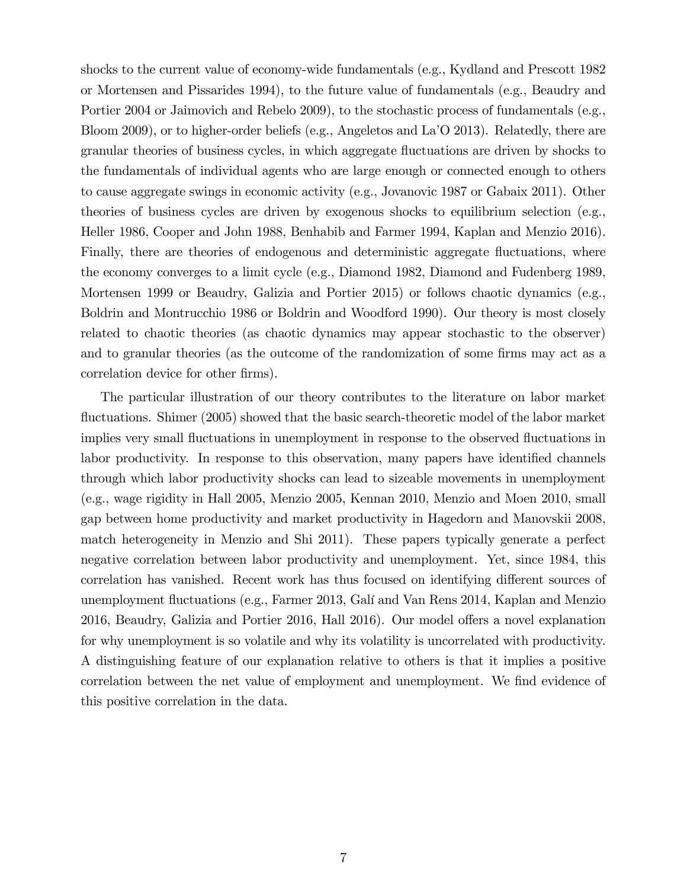shocks to the current value of economy-wide fundamentals (e.g., Kydland and Prescott 1982 or Mortensen and Pissarides 1994), to the future value of fundamentals (e.g., Beaudry and Portier 2004 or Jaimovich and Rebelo 2009), to the stochastic process of fundamentals (e.g., Bloom 2009), or to higher-order beliefs (e.g., Angeletos and La<sup>'</sup>O 2013). Relatedly, there are granular theories of business cycles, in which aggregate áuctuations are driven by shocks to the fundamentals of individual agents who are large enough or connected enough to others to cause aggregate swings in economic activity (e.g., Jovanovic 1987 or Gabaix 2011). Other theories of business cycles are driven by exogenous shocks to equilibrium selection (e.g., Heller 1986, Cooper and John 1988, Benhabib and Farmer 1994, Kaplan and Menzio 2016). Finally, there are theories of endogenous and deterministic aggregate fluctuations, where the economy converges to a limit cycle (e.g., Diamond 1982, Diamond and Fudenberg 1989, Mortensen 1999 or Beaudry, Galizia and Portier 2015) or follows chaotic dynamics (e.g., Boldrin and Montrucchio 1986 or Boldrin and Woodford 1990). Our theory is most closely related to chaotic theories (as chaotic dynamics may appear stochastic to the observer) and to granular theories (as the outcome of the randomization of some firms may act as a correlation device for other firms).

The particular illustration of our theory contributes to the literature on labor market fluctuations. Shimer (2005) showed that the basic search-theoretic model of the labor market implies very small fluctuations in unemployment in response to the observed fluctuations in labor productivity. In response to this observation, many papers have identified channels through which labor productivity shocks can lead to sizeable movements in unemployment (e.g., wage rigidity in Hall 2005, Menzio 2005, Kennan 2010, Menzio and Moen 2010, small gap between home productivity and market productivity in Hagedorn and Manovskii 2008, match heterogeneity in Menzio and Shi 2011). These papers typically generate a perfect negative correlation between labor productivity and unemployment. Yet, since 1984, this correlation has vanished. Recent work has thus focused on identifying different sources of unemployment fluctuations (e.g., Farmer 2013, Galí and Van Rens 2014, Kaplan and Menzio 2016, Beaudry, Galizia and Portier 2016, Hall 2016). Our model offers a novel explanation for why unemployment is so volatile and why its volatility is uncorrelated with productivity. A distinguishing feature of our explanation relative to others is that it implies a positive correlation between the net value of employment and unemployment. We find evidence of this positive correlation in the data.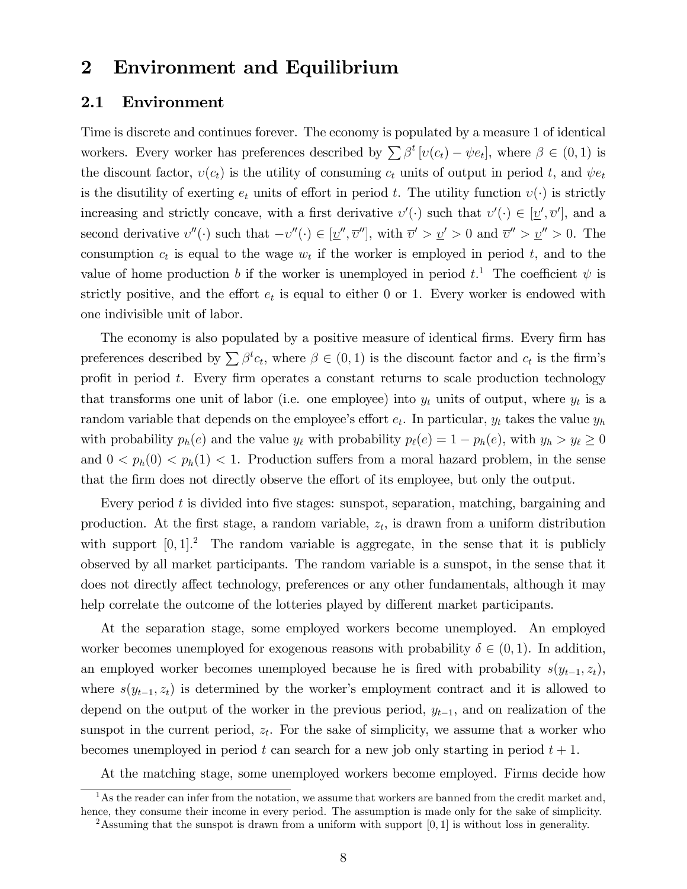## 2 Environment and Equilibrium

### 2.1 Environment

Time is discrete and continues forever. The economy is populated by a measure 1 of identical workers. Every worker has preferences described by  $\sum \beta^t [v(c_t) - \psi e_t]$ , where  $\beta \in (0, 1)$  is the discount factor,  $v(c_t)$  is the utility of consuming  $c_t$  units of output in period t, and  $\psi e_t$ is the disutility of exerting  $e_t$  units of effort in period t. The utility function  $v(\cdot)$  is strictly increasing and strictly concave, with a first derivative  $v'(\cdot)$  such that  $v'(\cdot) \in [\underline{v}', \overline{v}']$ , and a second derivative  $v''(\cdot)$  such that  $-v''(\cdot) \in [\underline{v}'', \overline{v}''],$  with  $\overline{v}' > \underline{v}' > 0$  and  $\overline{v}'' > \underline{v}'' > 0$ . The consumption  $c_t$  is equal to the wage  $w_t$  if the worker is employed in period t, and to the value of home production b if the worker is unemployed in period  $t$ <sup>1</sup>. The coefficient  $\psi$  is strictly positive, and the effort  $e_t$  is equal to either 0 or 1. Every worker is endowed with one indivisible unit of labor.

The economy is also populated by a positive measure of identical firms. Every firm has preferences described by  $\sum \beta^t c_t$ , where  $\beta \in (0,1)$  is the discount factor and  $c_t$  is the firm's profit in period t. Every firm operates a constant returns to scale production technology that transforms one unit of labor (i.e. one employee) into  $y_t$  units of output, where  $y_t$  is a random variable that depends on the employee's effort  $e_t$ . In particular,  $y_t$  takes the value  $y_h$ with probability  $p_h(e)$  and the value  $y_\ell$  with probability  $p_\ell(e) = 1 - p_h(e)$ , with  $y_h > y_\ell \ge 0$ and  $0 < p_h(0) < p_h(1) < 1$ . Production suffers from a moral hazard problem, in the sense that the firm does not directly observe the effort of its employee, but only the output.

Every period  $t$  is divided into five stages: sunspot, separation, matching, bargaining and production. At the first stage, a random variable,  $z_t$ , is drawn from a uniform distribution with support  $[0, 1]$ . The random variable is aggregate, in the sense that it is publicly observed by all market participants. The random variable is a sunspot, in the sense that it does not directly affect technology, preferences or any other fundamentals, although it may help correlate the outcome of the lotteries played by different market participants.

At the separation stage, some employed workers become unemployed. An employed worker becomes unemployed for exogenous reasons with probability  $\delta \in (0,1)$ . In addition, an employed worker becomes unemployed because he is fired with probability  $s(y_{t-1}, z_t)$ , where  $s(y_{t-1}, z_t)$  is determined by the worker's employment contract and it is allowed to depend on the output of the worker in the previous period,  $y_{t-1}$ , and on realization of the sunspot in the current period,  $z_t$ . For the sake of simplicity, we assume that a worker who becomes unemployed in period t can search for a new job only starting in period  $t + 1$ .

At the matching stage, some unemployed workers become employed. Firms decide how

 $1<sup>1</sup>$ As the reader can infer from the notation, we assume that workers are banned from the credit market and, hence, they consume their income in every period. The assumption is made only for the sake of simplicity.

<sup>&</sup>lt;sup>2</sup>Assuming that the sunspot is drawn from a uniform with support  $[0, 1]$  is without loss in generality.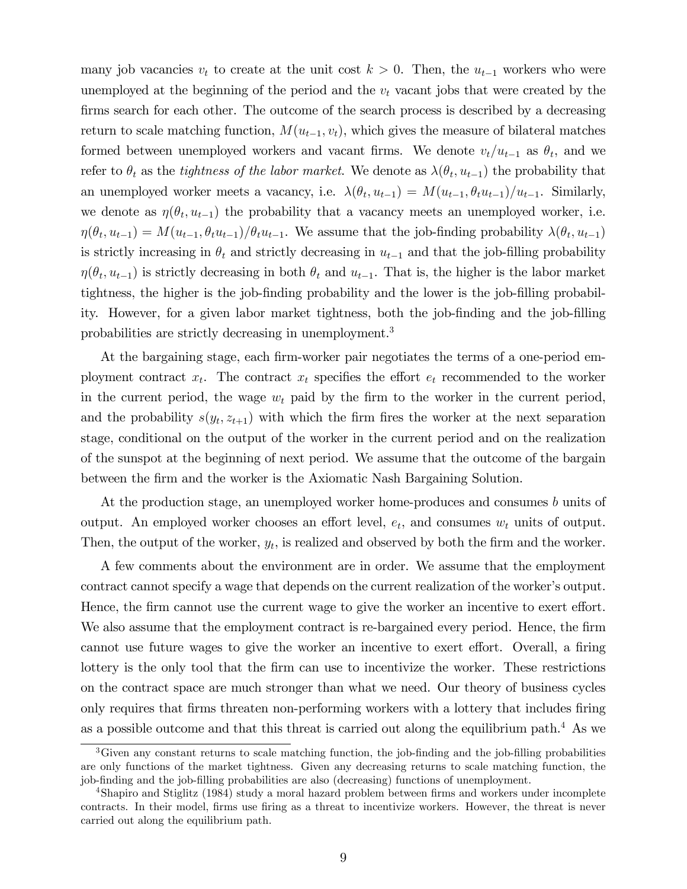many job vacancies  $v_t$  to create at the unit cost  $k > 0$ . Then, the  $u_{t-1}$  workers who were unemployed at the beginning of the period and the  $v_t$  vacant jobs that were created by the firms search for each other. The outcome of the search process is described by a decreasing return to scale matching function,  $M(u_{t-1}, v_t)$ , which gives the measure of bilateral matches formed between unemployed workers and vacant firms. We denote  $v_t/u_{t-1}$  as  $\theta_t$ , and we refer to  $\theta_t$  as the *tightness of the labor market*. We denote as  $\lambda(\theta_t, u_{t-1})$  the probability that an unemployed worker meets a vacancy, i.e.  $\lambda(\theta_t, u_{t-1}) = M(u_{t-1}, \theta_t u_{t-1})/u_{t-1}$ . Similarly, we denote as  $\eta(\theta_t, u_{t-1})$  the probability that a vacancy meets an unemployed worker, i.e.  $\eta(\theta_t, u_{t-1}) = M(u_{t-1}, \theta_t u_{t-1})/\theta_t u_{t-1}$ . We assume that the job-finding probability  $\lambda(\theta_t, u_{t-1})$ is strictly increasing in  $\theta_t$  and strictly decreasing in  $u_{t-1}$  and that the job-filling probability  $\eta(\theta_t, u_{t-1})$  is strictly decreasing in both  $\theta_t$  and  $u_{t-1}$ . That is, the higher is the labor market tightness, the higher is the job-finding probability and the lower is the job-filling probability. However, for a given labor market tightness, both the job-finding and the job-filling probabilities are strictly decreasing in unemployment.<sup>3</sup>

At the bargaining stage, each firm-worker pair negotiates the terms of a one-period employment contract  $x_t$ . The contract  $x_t$  specifies the effort  $e_t$  recommended to the worker in the current period, the wage  $w_t$  paid by the firm to the worker in the current period, and the probability  $s(y_t, z_{t+1})$  with which the firm fires the worker at the next separation stage, conditional on the output of the worker in the current period and on the realization of the sunspot at the beginning of next period. We assume that the outcome of the bargain between the Örm and the worker is the Axiomatic Nash Bargaining Solution.

At the production stage, an unemployed worker home-produces and consumes b units of output. An employed worker chooses an effort level,  $e_t$ , and consumes  $w_t$  units of output. Then, the output of the worker,  $y_t$ , is realized and observed by both the firm and the worker.

A few comments about the environment are in order. We assume that the employment contract cannot specify a wage that depends on the current realization of the worker's output. Hence, the firm cannot use the current wage to give the worker an incentive to exert effort. We also assume that the employment contract is re-bargained every period. Hence, the firm cannot use future wages to give the worker an incentive to exert effort. Overall, a firing lottery is the only tool that the firm can use to incentivize the worker. These restrictions on the contract space are much stronger than what we need. Our theory of business cycles only requires that firms threaten non-performing workers with a lottery that includes firing as a possible outcome and that this threat is carried out along the equilibrium path.<sup>4</sup> As we

 ${}^{3}$ Given any constant returns to scale matching function, the job-finding and the job-filling probabilities are only functions of the market tightness. Given any decreasing returns to scale matching function, the job-finding and the job-filling probabilities are also (decreasing) functions of unemployment.

<sup>&</sup>lt;sup>4</sup>Shapiro and Stiglitz (1984) study a moral hazard problem between firms and workers under incomplete contracts. In their model, firms use firing as a threat to incentivize workers. However, the threat is never carried out along the equilibrium path.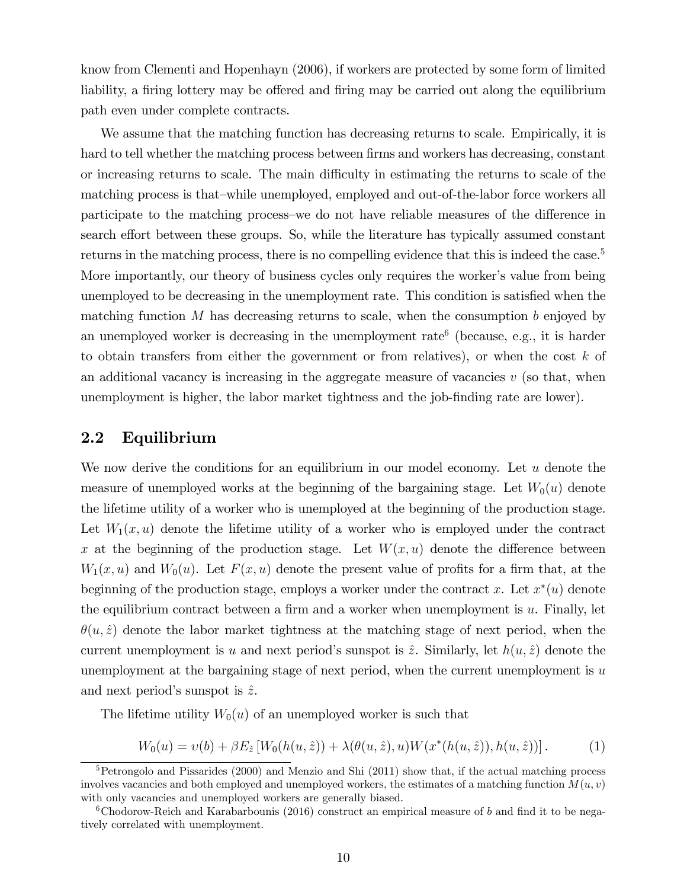know from Clementi and Hopenhayn (2006), if workers are protected by some form of limited liability, a firing lottery may be offered and firing may be carried out along the equilibrium path even under complete contracts.

We assume that the matching function has decreasing returns to scale. Empirically, it is hard to tell whether the matching process between firms and workers has decreasing, constant or increasing returns to scale. The main difficulty in estimating the returns to scale of the matching process is that-while unemployed, employed and out-of-the-labor force workers all participate to the matching process–we do not have reliable measures of the difference in search effort between these groups. So, while the literature has typically assumed constant returns in the matching process, there is no compelling evidence that this is indeed the case.<sup>5</sup> More importantly, our theory of business cycles only requires the worker's value from being unemployed to be decreasing in the unemployment rate. This condition is satisfied when the matching function  $M$  has decreasing returns to scale, when the consumption  $b$  enjoyed by an unemployed worker is decreasing in the unemployment rate<sup>6</sup> (because, e.g., it is harder to obtain transfers from either the government or from relatives), or when the cost  $k$  of an additional vacancy is increasing in the aggregate measure of vacancies  $v$  (so that, when unemployment is higher, the labor market tightness and the job-finding rate are lower).

### 2.2 Equilibrium

We now derive the conditions for an equilibrium in our model economy. Let  $u$  denote the measure of unemployed works at the beginning of the bargaining stage. Let  $W_0(u)$  denote the lifetime utility of a worker who is unemployed at the beginning of the production stage. Let  $W_1(x, u)$  denote the lifetime utility of a worker who is employed under the contract x at the beginning of the production stage. Let  $W(x, u)$  denote the difference between  $W_1(x, u)$  and  $W_0(u)$ . Let  $F(x, u)$  denote the present value of profits for a firm that, at the beginning of the production stage, employs a worker under the contract x. Let  $x^*(u)$  denote the equilibrium contract between a firm and a worker when unemployment is  $u$ . Finally, let  $\theta(u, \hat{z})$  denote the labor market tightness at the matching stage of next period, when the current unemployment is u and next period's sunspot is  $\hat{z}$ . Similarly, let  $h(u, \hat{z})$  denote the unemployment at the bargaining stage of next period, when the current unemployment is  $u$ and next period's sunspot is  $\hat{z}$ .

The lifetime utility  $W_0(u)$  of an unemployed worker is such that

$$
W_0(u) = v(b) + \beta E_{\hat{z}} \left[ W_0(h(u, \hat{z})) + \lambda(\theta(u, \hat{z}), u) W(x^*(h(u, \hat{z})), h(u, \hat{z})) \right]. \tag{1}
$$

 $5$ Petrongolo and Pissarides (2000) and Menzio and Shi (2011) show that, if the actual matching process involves vacancies and both employed and unemployed workers, the estimates of a matching function  $M(u, v)$ with only vacancies and unemployed workers are generally biased.

<sup>&</sup>lt;sup>6</sup>Chodorow-Reich and Karabarbounis (2016) construct an empirical measure of b and find it to be negatively correlated with unemployment.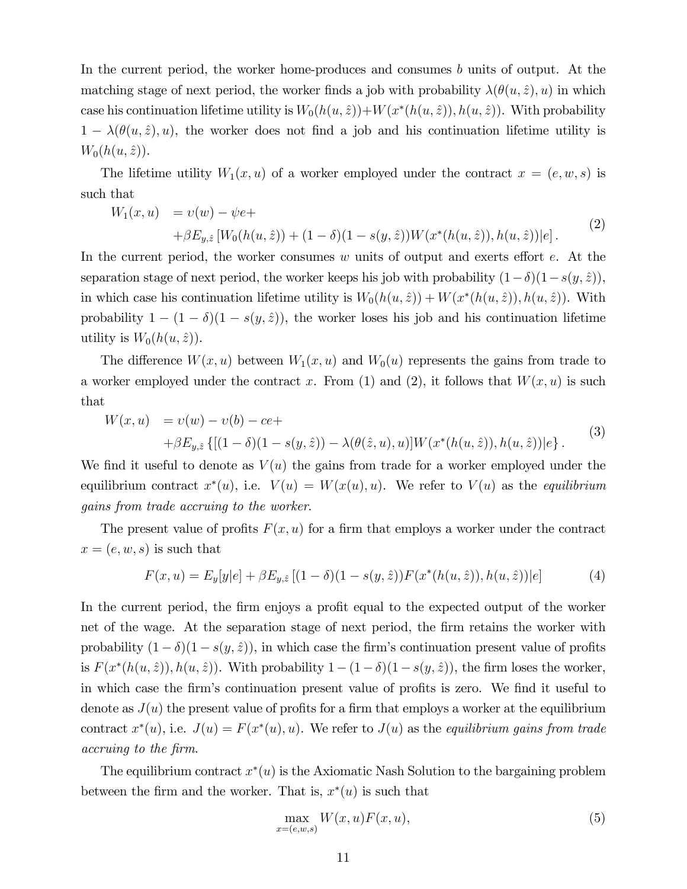In the current period, the worker home-produces and consumes b units of output. At the matching stage of next period, the worker finds a job with probability  $\lambda(\theta(u, \hat{z}), u)$  in which case his continuation lifetime utility is  $W_0(h(u, \hat{z})) + W(x^*(h(u, \hat{z})), h(u, \hat{z}))$ . With probability  $1 - \lambda(\theta(u, \hat{z}), u)$ , the worker does not find a job and his continuation lifetime utility is  $W_0(h(u, \hat{z})).$ 

The lifetime utility  $W_1(x, u)$  of a worker employed under the contract  $x = (e, w, s)$  is such that

$$
W_1(x, u) = v(w) - \psi e ++ \beta E_{y, \hat{z}} [W_0(h(u, \hat{z})) + (1 - \delta)(1 - s(y, \hat{z})) W(x^*(h(u, \hat{z})), h(u, \hat{z}))|e].
$$
\n(2)

In the current period, the worker consumes  $w$  units of output and exerts effort  $e$ . At the separation stage of next period, the worker keeps his job with probability  $(1-\delta)(1-s(y,\hat z))$ , in which case his continuation lifetime utility is  $W_0(h(u, \hat{z})) + W(x^*(h(u, \hat{z})), h(u, \hat{z}))$ . With probability  $1 - (1 - \delta)(1 - s(y, \hat{z}))$ , the worker loses his job and his continuation lifetime utility is  $W_0(h(u, \hat{z}))$ .

The difference  $W(x, u)$  between  $W_1(x, u)$  and  $W_0(u)$  represents the gains from trade to a worker employed under the contract x. From (1) and (2), it follows that  $W(x, u)$  is such that

$$
W(x, u) = v(w) - v(b) - ce ++ \beta E_{y, \hat{z}} \{ [(1 - \delta)(1 - s(y, \hat{z})) - \lambda(\theta(\hat{z}, u), u)] W(x^*(h(u, \hat{z})), h(u, \hat{z})) | e \}.
$$
 (3)

We find it useful to denote as  $V(u)$  the gains from trade for a worker employed under the equilibrium contract  $x^*(u)$ , i.e.  $V(u) = W(x(u), u)$ . We refer to  $V(u)$  as the *equilibrium* gains from trade accruing to the worker.

The present value of profits  $F(x, u)$  for a firm that employs a worker under the contract  $x = (e, w, s)$  is such that

$$
F(x, u) = E_y[y|e] + \beta E_{y, \hat{z}} [(1 - \delta)(1 - s(y, \hat{z})) F(x^*(h(u, \hat{z})), h(u, \hat{z}))|e]
$$
(4)

In the current period, the firm enjoys a profit equal to the expected output of the worker net of the wage. At the separation stage of next period, the firm retains the worker with probability  $(1 - \delta)(1 - s(y, \hat{z}))$ , in which case the firm's continuation present value of profits is  $F(x^*(h(u, \hat{z})), h(u, \hat{z}))$ . With probability  $1 - (1 - \delta)(1 - s(y, \hat{z}))$ , the firm loses the worker, in which case the firm's continuation present value of profits is zero. We find it useful to denote as  $J(u)$  the present value of profits for a firm that employs a worker at the equilibrium contract  $x^*(u)$ , i.e.  $J(u) = F(x^*(u), u)$ . We refer to  $J(u)$  as the *equilibrium gains from trade* accruing to the firm.

The equilibrium contract  $x^*(u)$  is the Axiomatic Nash Solution to the bargaining problem between the firm and the worker. That is,  $x^*(u)$  is such that

$$
\max_{x=(e,w,s)} W(x,u)F(x,u),\tag{5}
$$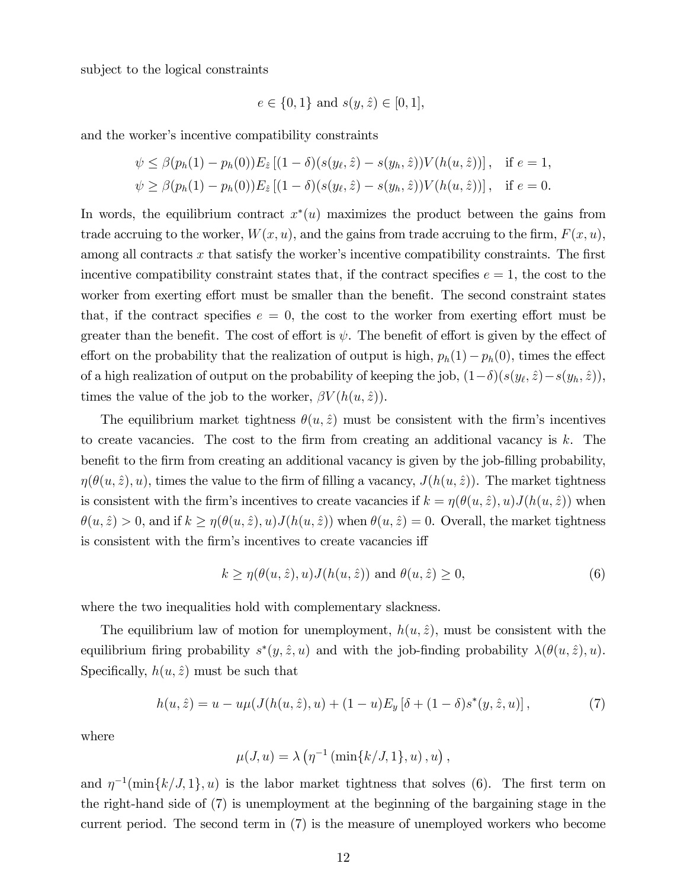subject to the logical constraints

$$
e \in \{0, 1\} \text{ and } s(y, \hat{z}) \in [0, 1],
$$

and the worker's incentive compatibility constraints

$$
\psi \leq \beta(p_h(1) - p_h(0))E_{\hat{z}}[(1 - \delta)(s(y_{\ell}, \hat{z}) - s(y_h, \hat{z}))V(h(u, \hat{z}))], \text{ if } e = 1,
$$
  

$$
\psi \geq \beta(p_h(1) - p_h(0))E_{\hat{z}}[(1 - \delta)(s(y_{\ell}, \hat{z}) - s(y_h, \hat{z}))V(h(u, \hat{z}))], \text{ if } e = 0.
$$

In words, the equilibrium contract  $x^*(u)$  maximizes the product between the gains from trade accruing to the worker,  $W(x, u)$ , and the gains from trade accruing to the firm,  $F(x, u)$ , among all contracts  $x$  that satisfy the worker's incentive compatibility constraints. The first incentive compatibility constraint states that, if the contract specifies  $e = 1$ , the cost to the worker from exerting effort must be smaller than the benefit. The second constraint states that, if the contract specifies  $e = 0$ , the cost to the worker from exerting effort must be greater than the benefit. The cost of effort is  $\psi$ . The benefit of effort is given by the effect of effort on the probability that the realization of output is high,  $p_h(1)-p_h(0)$ , times the effect of a high realization of output on the probability of keeping the job,  $(1-\delta)(s(y_\ell, \hat{z}) - s(y_h, \hat{z}))$ , times the value of the job to the worker,  $\beta V(h(u, \hat{z}))$ .

The equilibrium market tightness  $\theta(u, \hat{z})$  must be consistent with the firm's incentives to create vacancies. The cost to the firm from creating an additional vacancy is k. The benefit to the firm from creating an additional vacancy is given by the job-filling probability,  $\eta(\theta(u, \hat{z}), u)$ , times the value to the firm of filling a vacancy,  $J(h(u, \hat{z}))$ . The market tightness is consistent with the firm's incentives to create vacancies if  $k = \eta(\theta(u, \hat{z}), u)J(h(u, \hat{z}))$  when  $\theta(u, \hat{z}) > 0$ , and if  $k \ge \eta(\theta(u, \hat{z}), u)J(h(u, \hat{z}))$  when  $\theta(u, \hat{z}) = 0$ . Overall, the market tightness is consistent with the firm's incentives to create vacancies iff

$$
k \ge \eta(\theta(u, \hat{z}), u) J(h(u, \hat{z})) \text{ and } \theta(u, \hat{z}) \ge 0,
$$
\n
$$
(6)
$$

where the two inequalities hold with complementary slackness.

The equilibrium law of motion for unemployment,  $h(u, \hat{z})$ , must be consistent with the equilibrium firing probability  $s^*(y, \hat{z}, u)$  and with the job-finding probability  $\lambda(\theta(u, \hat{z}), u)$ . Specifically,  $h(u, \hat{z})$  must be such that

$$
h(u, \hat{z}) = u - u\mu(J(h(u, \hat{z}), u) + (1 - u)E_y[\delta + (1 - \delta)s^*(y, \hat{z}, u)],
$$
\n(7)

where

$$
\mu(J, u) = \lambda \left( \eta^{-1} \left( \min\{k/J, 1\}, u \right), u \right),
$$

and  $\eta^{-1}(\min\{k/J, 1\}, u)$  is the labor market tightness that solves (6). The first term on the right-hand side of (7) is unemployment at the beginning of the bargaining stage in the current period. The second term in (7) is the measure of unemployed workers who become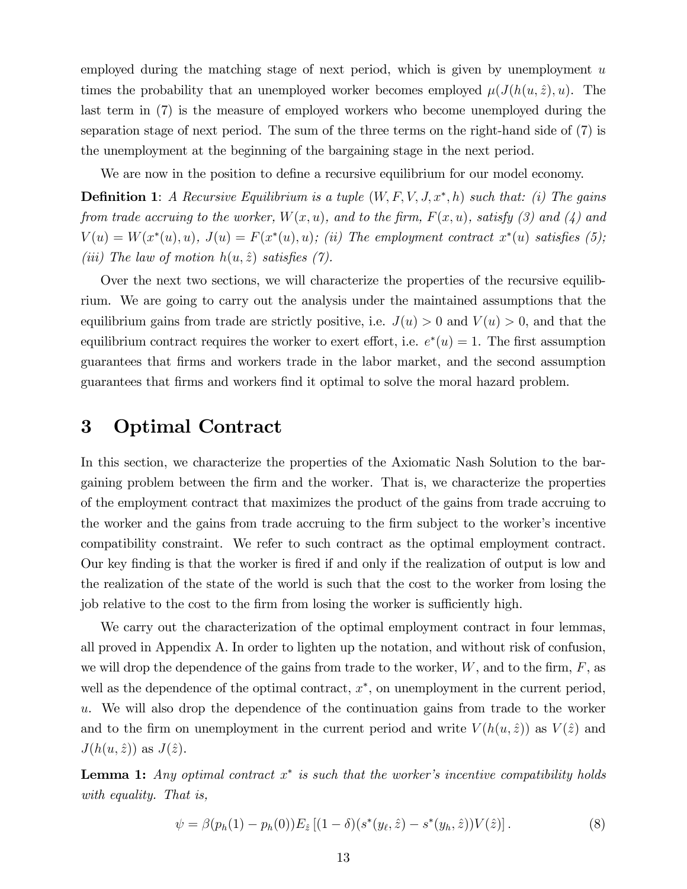employed during the matching stage of next period, which is given by unemployment  $u$ times the probability that an unemployed worker becomes employed  $\mu(J(h(u, \hat{z}), u)$ . The last term in (7) is the measure of employed workers who become unemployed during the separation stage of next period. The sum of the three terms on the right-hand side of (7) is the unemployment at the beginning of the bargaining stage in the next period.

We are now in the position to define a recursive equilibrium for our model economy.

**Definition 1**: A Recursive Equilibrium is a tuple  $(W, F, V, J, x^*, h)$  such that: (i) The gains from trade accruing to the worker,  $W(x, u)$ , and to the firm,  $F(x, u)$ , satisfy (3) and (4) and  $V(u) = W(x^*(u), u), J(u) = F(x^*(u), u);$  (ii) The employment contract  $x^*(u)$  satisfies (5); (iii) The law of motion  $h(u, \hat{z})$  satisfies (7).

Over the next two sections, we will characterize the properties of the recursive equilibrium. We are going to carry out the analysis under the maintained assumptions that the equilibrium gains from trade are strictly positive, i.e.  $J(u) > 0$  and  $V(u) > 0$ , and that the equilibrium contract requires the worker to exert effort, i.e.  $e^*(u) = 1$ . The first assumption guarantees that Örms and workers trade in the labor market, and the second assumption guarantees that Örms and workers Önd it optimal to solve the moral hazard problem.

## 3 Optimal Contract

In this section, we characterize the properties of the Axiomatic Nash Solution to the bargaining problem between the Örm and the worker. That is, we characterize the properties of the employment contract that maximizes the product of the gains from trade accruing to the worker and the gains from trade accruing to the firm subject to the worker's incentive compatibility constraint. We refer to such contract as the optimal employment contract. Our key finding is that the worker is fired if and only if the realization of output is low and the realization of the state of the world is such that the cost to the worker from losing the job relative to the cost to the firm from losing the worker is sufficiently high.

We carry out the characterization of the optimal employment contract in four lemmas, all proved in Appendix A. In order to lighten up the notation, and without risk of confusion, we will drop the dependence of the gains from trade to the worker,  $W$ , and to the firm,  $F$ , as well as the dependence of the optimal contract,  $x^*$ , on unemployment in the current period, u. We will also drop the dependence of the continuation gains from trade to the worker and to the firm on unemployment in the current period and write  $V (h (u, \hat{z}))$  as  $V (\hat{z})$  and  $J(h(u, \hat{z}))$  as  $J(\hat{z})$ .

**Lemma 1:** Any optimal contract  $x^*$  is such that the worker's incentive compatibility holds with equality. That is,

$$
\psi = \beta(p_h(1) - p_h(0))E_{\hat{z}}[(1 - \delta)(s^*(y_\ell, \hat{z}) - s^*(y_h, \hat{z}))V(\hat{z})].
$$
\n(8)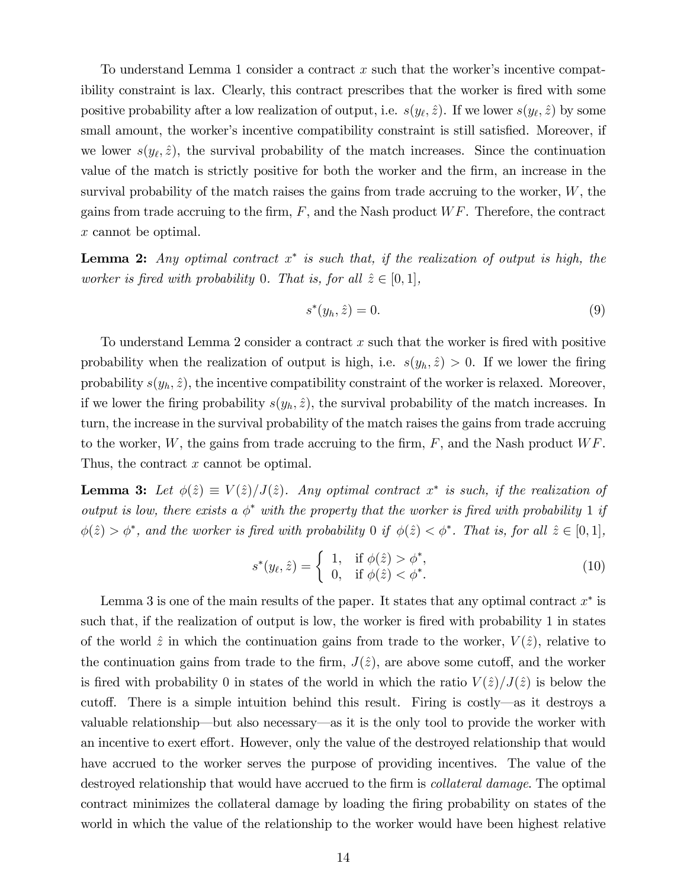To understand Lemma 1 consider a contract  $x$  such that the worker's incentive compatibility constraint is lax. Clearly, this contract prescribes that the worker is fired with some positive probability after a low realization of output, i.e.  $s(y_\ell, \hat{z})$ . If we lower  $s(y_\ell, \hat{z})$  by some small amount, the worker's incentive compatibility constraint is still satisfied. Moreover, if we lower  $s(y_\ell, \hat{z})$ , the survival probability of the match increases. Since the continuation value of the match is strictly positive for both the worker and the Örm, an increase in the survival probability of the match raises the gains from trade accruing to the worker,  $W$ , the gains from trade accruing to the firm,  $F$ , and the Nash product  $WF$ . Therefore, the contract x cannot be optimal.

**Lemma 2:** Any optimal contract  $x^*$  is such that, if the realization of output is high, the worker is fired with probability 0. That is, for all  $\hat{z} \in [0, 1],$ 

$$
s^*(y_h, \hat{z}) = 0. \tag{9}
$$

To understand Lemma 2 consider a contract x such that the worker is fired with positive probability when the realization of output is high, i.e.  $s(y_h, \hat{z}) > 0$ . If we lower the firing probability  $s(y_h, \hat{z})$ , the incentive compatibility constraint of the worker is relaxed. Moreover, if we lower the firing probability  $s(y_h, \hat{z})$ , the survival probability of the match increases. In turn, the increase in the survival probability of the match raises the gains from trade accruing to the worker,  $W$ , the gains from trade accruing to the firm,  $F$ , and the Nash product  $WF$ . Thus, the contract x cannot be optimal.

**Lemma 3:** Let  $\phi(\hat{z}) \equiv V(\hat{z})/J(\hat{z})$ . Any optimal contract  $x^*$  is such, if the realization of output is low, there exists a  $\phi^*$  with the property that the worker is fired with probability 1 if  $\phi(\hat{z}) > \phi^*$ , and the worker is fired with probability 0 if  $\phi(\hat{z}) < \phi^*$ . That is, for all  $\hat{z} \in [0, 1]$ ,

$$
s^*(y_\ell, \hat{z}) = \begin{cases} 1, & \text{if } \phi(\hat{z}) > \phi^*, \\ 0, & \text{if } \phi(\hat{z}) < \phi^*. \end{cases}
$$
 (10)

Lemma 3 is one of the main results of the paper. It states that any optimal contract  $x^*$  is such that, if the realization of output is low, the worker is fired with probability 1 in states of the world  $\hat{z}$  in which the continuation gains from trade to the worker,  $V (\hat{z})$ , relative to the continuation gains from trade to the firm,  $J(\hat{z})$ , are above some cutoff, and the worker is fired with probability 0 in states of the world in which the ratio  $V(\hat{z})/J(\hat{z})$  is below the cutoff. There is a simple intuition behind this result. Firing is costly—as it destroys a valuable relationship—but also necessary—as it is the only tool to provide the worker with an incentive to exert effort. However, only the value of the destroyed relationship that would have accrued to the worker serves the purpose of providing incentives. The value of the destroyed relationship that would have accrued to the firm is *collateral damage*. The optimal contract minimizes the collateral damage by loading the Öring probability on states of the world in which the value of the relationship to the worker would have been highest relative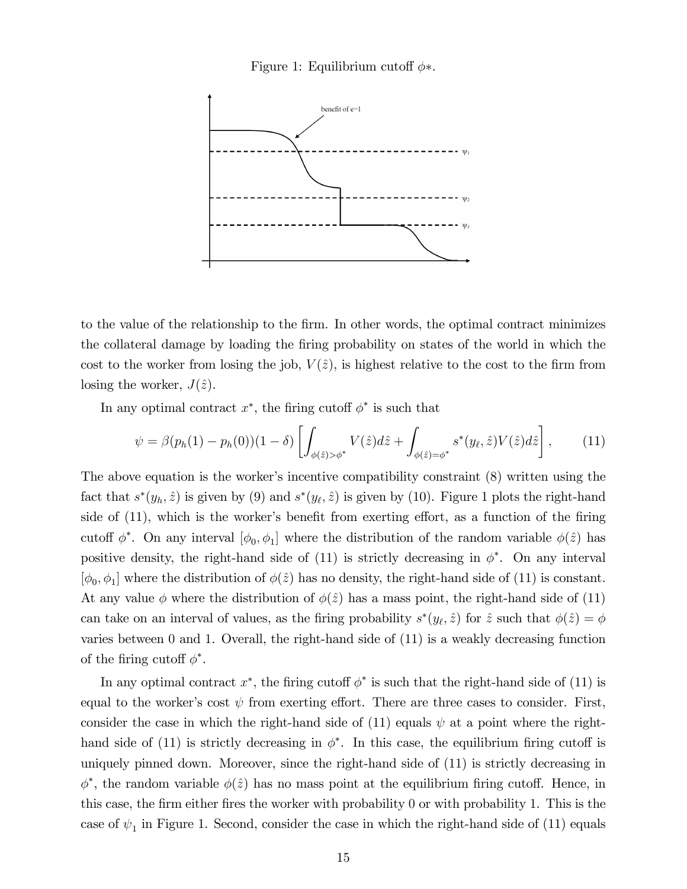



to the value of the relationship to the firm. In other words, the optimal contract minimizes the collateral damage by loading the Öring probability on states of the world in which the cost to the worker from losing the job,  $V(\hat{z})$ , is highest relative to the cost to the firm from losing the worker,  $J(\hat{z})$ .

In any optimal contract  $x^*$ , the firing cutoff  $\phi^*$  is such that

$$
\psi = \beta(p_h(1) - p_h(0))(1 - \delta) \left[ \int_{\phi(\hat{z}) > \phi^*} V(\hat{z}) d\hat{z} + \int_{\phi(\hat{z}) = \phi^*} s^*(y_\ell, \hat{z}) V(\hat{z}) d\hat{z} \right], \tag{11}
$$

The above equation is the worker's incentive compatibility constraint  $(8)$  written using the fact that  $s^*(y_h, \hat{z})$  is given by (9) and  $s^*(y_\ell, \hat{z})$  is given by (10). Figure 1 plots the right-hand side of  $(11)$ , which is the worker's benefit from exerting effort, as a function of the firing cutoff  $\phi^*$ . On any interval  $[\phi_0, \phi_1]$  where the distribution of the random variable  $\phi(\hat{z})$  has positive density, the right-hand side of  $(11)$  is strictly decreasing in  $\phi^*$ . On any interval  $[\phi_0, \phi_1]$  where the distribution of  $\phi(\hat{z})$  has no density, the right-hand side of (11) is constant. At any value  $\phi$  where the distribution of  $\phi(\hat{z})$  has a mass point, the right-hand side of (11) can take on an interval of values, as the firing probability  $s^*(y_\ell, \hat{z})$  for  $\hat{z}$  such that  $\phi(\hat{z}) = \phi$ varies between 0 and 1. Overall, the right-hand side of (11) is a weakly decreasing function of the firing cutoff  $\phi^*$ .

In any optimal contract  $x^*$ , the firing cutoff  $\phi^*$  is such that the right-hand side of (11) is equal to the worker's cost  $\psi$  from exerting effort. There are three cases to consider. First, consider the case in which the right-hand side of (11) equals  $\psi$  at a point where the righthand side of (11) is strictly decreasing in  $\phi^*$ . In this case, the equilibrium firing cutoff is uniquely pinned down. Moreover, since the right-hand side of (11) is strictly decreasing in  $\phi^*$ , the random variable  $\phi(\hat{z})$  has no mass point at the equilibrium firing cutoff. Hence, in this case, the firm either fires the worker with probability 0 or with probability 1. This is the case of  $\psi_1$  in Figure 1. Second, consider the case in which the right-hand side of (11) equals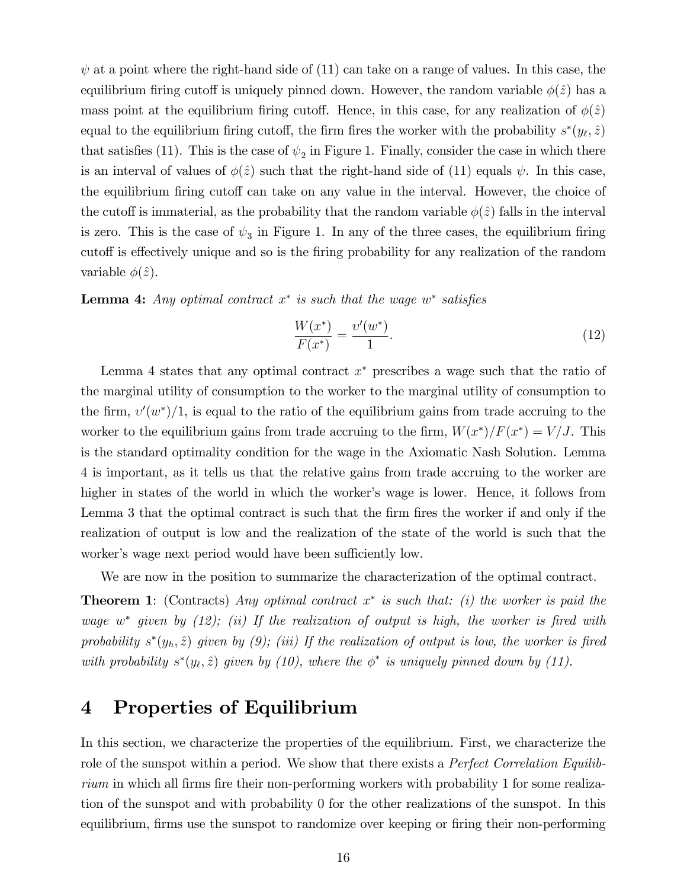$\psi$  at a point where the right-hand side of (11) can take on a range of values. In this case, the equilibrium firing cutoff is uniquely pinned down. However, the random variable  $\phi(\hat{z})$  has a mass point at the equilibrium firing cutoff. Hence, in this case, for any realization of  $\phi(\hat{z})$ equal to the equilibrium firing cutoff, the firm fires the worker with the probability  $s^*(y_\ell, \hat{z})$ that satisfies (11). This is the case of  $\psi_2$  in Figure 1. Finally, consider the case in which there is an interval of values of  $\phi(\hat{z})$  such that the right-hand side of (11) equals  $\psi$ . In this case, the equilibrium firing cutoff can take on any value in the interval. However, the choice of the cutoff is immaterial, as the probability that the random variable  $\phi(\hat{z})$  falls in the interval is zero. This is the case of  $\psi_3$  in Figure 1. In any of the three cases, the equilibrium firing cutoff is effectively unique and so is the firing probability for any realization of the random variable  $\phi(\hat{z})$ .

**Lemma 4:** Any optimal contract  $x^*$  is such that the wage  $w^*$  satisfies

$$
\frac{W(x^*)}{F(x^*)} = \frac{\upsilon'(w^*)}{1}.\tag{12}
$$

Lemma 4 states that any optimal contract  $x^*$  prescribes a wage such that the ratio of the marginal utility of consumption to the worker to the marginal utility of consumption to the firm,  $v'(w^*)/1$ , is equal to the ratio of the equilibrium gains from trade accruing to the worker to the equilibrium gains from trade accruing to the firm,  $W(x^*)/F(x^*) = V/J$ . This is the standard optimality condition for the wage in the Axiomatic Nash Solution. Lemma 4 is important, as it tells us that the relative gains from trade accruing to the worker are higher in states of the world in which the worker's wage is lower. Hence, it follows from Lemma 3 that the optimal contract is such that the firm fires the worker if and only if the realization of output is low and the realization of the state of the world is such that the worker's wage next period would have been sufficiently low.

We are now in the position to summarize the characterization of the optimal contract.

**Theorem 1**: (Contracts) Any optimal contract  $x^*$  is such that: (i) the worker is paid the wage  $w^*$  given by  $(12)$ ;  $(ii)$  If the realization of output is high, the worker is fired with probability  $s^*(y_h, \hat{z})$  given by  $(9)$ ; (iii) If the realization of output is low, the worker is fired with probability  $s^*(y_\ell, \hat{z})$  given by (10), where the  $\phi^*$  is uniquely pinned down by (11).

## 4 Properties of Equilibrium

In this section, we characterize the properties of the equilibrium. First, we characterize the role of the sunspot within a period. We show that there exists a *Perfect Correlation Equilib* $rium$  in which all firms fire their non-performing workers with probability 1 for some realization of the sunspot and with probability 0 for the other realizations of the sunspot. In this equilibrium, firms use the sunspot to randomize over keeping or firing their non-performing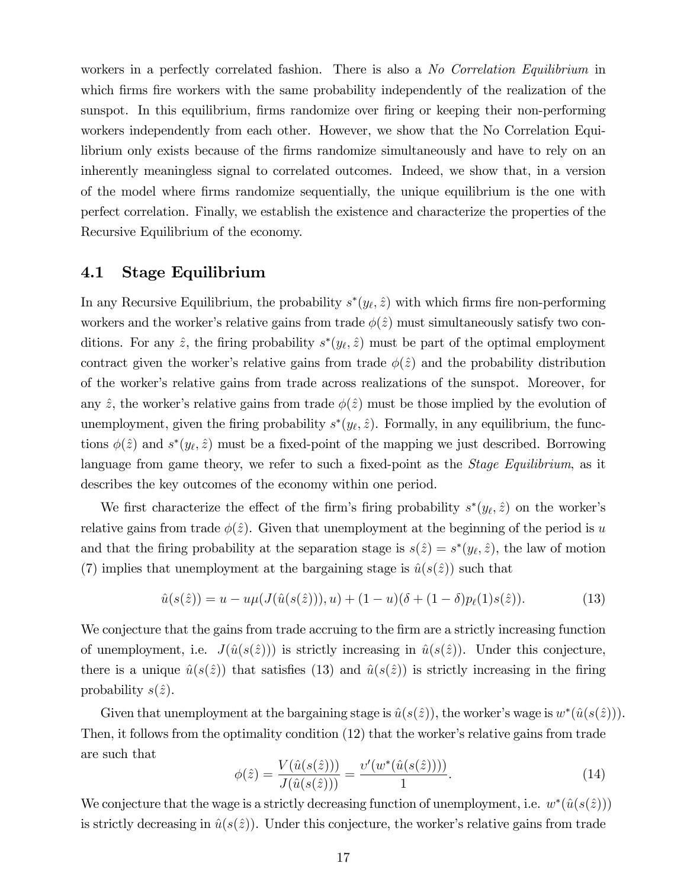workers in a perfectly correlated fashion. There is also a No Correlation Equilibrium in which firms fire workers with the same probability independently of the realization of the sunspot. In this equilibrium, firms randomize over firing or keeping their non-performing workers independently from each other. However, we show that the No Correlation Equilibrium only exists because of the firms randomize simultaneously and have to rely on an inherently meaningless signal to correlated outcomes. Indeed, we show that, in a version of the model where firms randomize sequentially, the unique equilibrium is the one with perfect correlation. Finally, we establish the existence and characterize the properties of the Recursive Equilibrium of the economy.

### 4.1 Stage Equilibrium

In any Recursive Equilibrium, the probability  $s^*(y_\ell, \hat{z})$  with which firms fire non-performing workers and the worker's relative gains from trade  $\phi(\hat{z})$  must simultaneously satisfy two conditions. For any  $\hat{z}$ , the firing probability  $s^*(y_\ell, \hat{z})$  must be part of the optimal employment contract given the worker's relative gains from trade  $\phi(\hat{z})$  and the probability distribution of the workerís relative gains from trade across realizations of the sunspot. Moreover, for any  $\hat{z}$ , the worker's relative gains from trade  $\phi(\hat{z})$  must be those implied by the evolution of unemployment, given the firing probability  $s^*(y_\ell, \hat{z})$ . Formally, in any equilibrium, the functions  $\phi(\hat{z})$  and  $s^*(y_\ell, \hat{z})$  must be a fixed-point of the mapping we just described. Borrowing language from game theory, we refer to such a fixed-point as the *Stage Equilibrium*, as it describes the key outcomes of the economy within one period.

We first characterize the effect of the firm's firing probability  $s^*(y_\ell, \hat{z})$  on the worker's relative gains from trade  $\phi(\hat{z})$ . Given that unemployment at the beginning of the period is u and that the firing probability at the separation stage is  $s(\hat{z}) = s^*(y_\ell, \hat{z})$ , the law of motion (7) implies that unemployment at the bargaining stage is  $\hat{u}(s(\hat{z}))$  such that

$$
\hat{u}(s(\hat{z})) = u - u\mu(J(\hat{u}(s(\hat{z}))), u) + (1 - u)(\delta + (1 - \delta)p_{\ell}(1)s(\hat{z})).
$$
\n(13)

We conjecture that the gains from trade accruing to the firm are a strictly increasing function of unemployment, i.e.  $J(\hat{u}(s(\hat{z})))$  is strictly increasing in  $\hat{u}(s(\hat{z}))$ . Under this conjecture, there is a unique  $\hat{u}(s(\hat{z}))$  that satisfies (13) and  $\hat{u}(s(\hat{z}))$  is strictly increasing in the firing probability  $s(\hat{z})$ .

Given that unemployment at the bargaining stage is  $\hat{u}(s(\hat{z}))$ , the worker's wage is  $w^*(\hat{u}(s(\hat{z})))$ . Then, it follows from the optimality condition (12) that the worker's relative gains from trade are such that

$$
\phi(\hat{z}) = \frac{V(\hat{u}(s(\hat{z})))}{J(\hat{u}(s(\hat{z})))} = \frac{v'(w^*(\hat{u}(s(\hat{z}))))}{1}.
$$
\n(14)

We conjecture that the wage is a strictly decreasing function of unemployment, i.e.  $w^*(\hat{u}(s(\hat{z})))$ is strictly decreasing in  $\hat{u}(s(\hat{z}))$ . Under this conjecture, the worker's relative gains from trade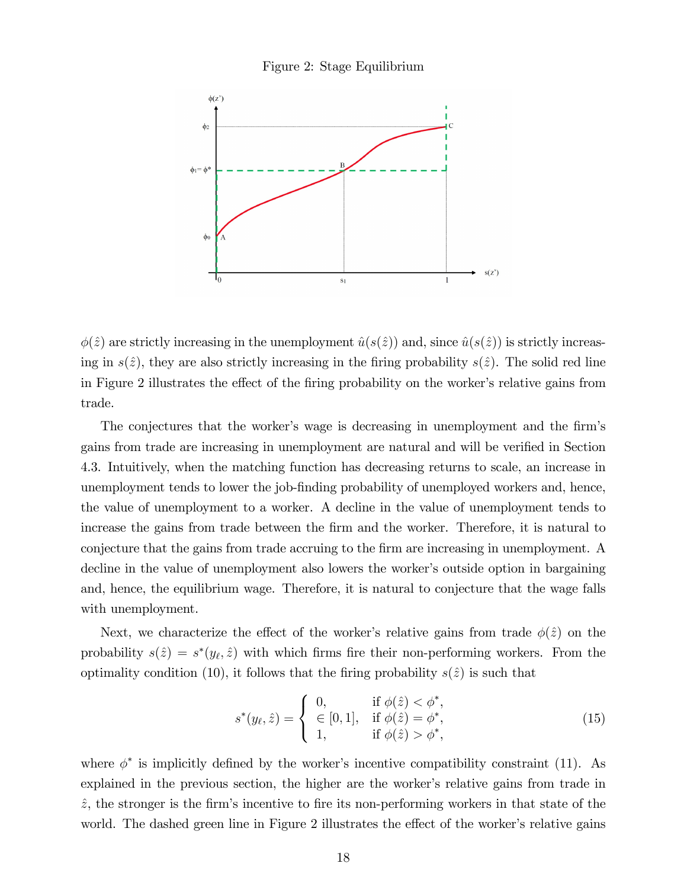



 $\phi(\hat{z})$  are strictly increasing in the unemployment  $\hat{u}(s(\hat{z}))$  and, since  $\hat{u}(s(\hat{z}))$  is strictly increasing in  $s(\hat{z})$ , they are also strictly increasing in the firing probability  $s(\hat{z})$ . The solid red line in Figure 2 illustrates the effect of the firing probability on the worker's relative gains from trade.

The conjectures that the worker's wage is decreasing in unemployment and the firm's gains from trade are increasing in unemployment are natural and will be verified in Section 4.3. Intuitively, when the matching function has decreasing returns to scale, an increase in unemployment tends to lower the job-finding probability of unemployed workers and, hence, the value of unemployment to a worker. A decline in the value of unemployment tends to increase the gains from trade between the firm and the worker. Therefore, it is natural to conjecture that the gains from trade accruing to the Örm are increasing in unemployment. A decline in the value of unemployment also lowers the worker's outside option in bargaining and, hence, the equilibrium wage. Therefore, it is natural to conjecture that the wage falls with unemployment.

Next, we characterize the effect of the worker's relative gains from trade  $\phi(\hat{z})$  on the probability  $s(\hat{z}) = s^*(y_\ell, \hat{z})$  with which firms fire their non-performing workers. From the optimality condition (10), it follows that the firing probability  $s(\hat{z})$  is such that

$$
s^*(y_\ell, \hat{z}) = \begin{cases} 0, & \text{if } \phi(\hat{z}) < \phi^*, \\ \in [0, 1], & \text{if } \phi(\hat{z}) = \phi^*, \\ 1, & \text{if } \phi(\hat{z}) > \phi^*, \end{cases}
$$
(15)

where  $\phi^*$  is implicitly defined by the worker's incentive compatibility constraint (11). As explained in the previous section, the higher are the worker's relative gains from trade in  $\hat{z}$ , the stronger is the firm's incentive to fire its non-performing workers in that state of the world. The dashed green line in Figure 2 illustrates the effect of the worker's relative gains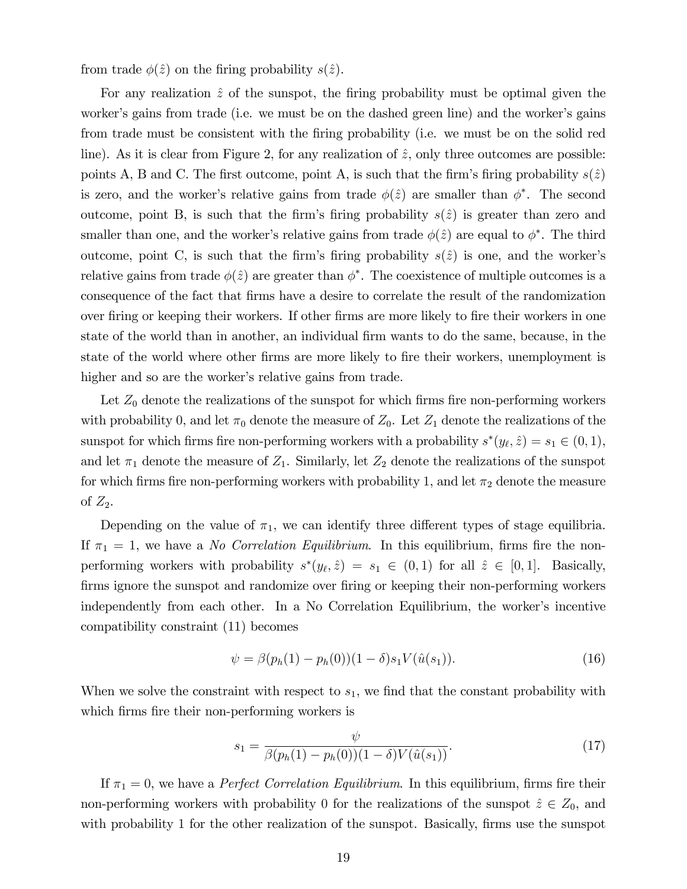from trade  $\phi(\hat{z})$  on the firing probability  $s(\hat{z})$ .

For any realization  $\hat{z}$  of the sunspot, the firing probability must be optimal given the worker's gains from trade (i.e. we must be on the dashed green line) and the worker's gains from trade must be consistent with the firing probability (i.e. we must be on the solid red line). As it is clear from Figure 2, for any realization of  $\hat{z}$ , only three outcomes are possible: points A, B and C. The first outcome, point A, is such that the firm's firing probability  $s(\hat{z})$ is zero, and the worker's relative gains from trade  $\phi(\hat{z})$  are smaller than  $\phi^*$ . The second outcome, point B, is such that the firm's firing probability  $s(\hat{z})$  is greater than zero and smaller than one, and the worker's relative gains from trade  $\phi(\hat{z})$  are equal to  $\phi^*$ . The third outcome, point C, is such that the firm's firing probability  $s(\hat{z})$  is one, and the worker's relative gains from trade  $\phi(\hat{z})$  are greater than  $\phi^*$ . The coexistence of multiple outcomes is a consequence of the fact that Örms have a desire to correlate the result of the randomization over firing or keeping their workers. If other firms are more likely to fire their workers in one state of the world than in another, an individual firm wants to do the same, because, in the state of the world where other firms are more likely to fire their workers, unemployment is higher and so are the worker's relative gains from trade.

Let  $Z_0$  denote the realizations of the sunspot for which firms fire non-performing workers with probability 0, and let  $\pi_0$  denote the measure of  $Z_0$ . Let  $Z_1$  denote the realizations of the sunspot for which firms fire non-performing workers with a probability  $s^*(y_\ell, \hat{z}) = s_1 \in (0, 1)$ , and let  $\pi_1$  denote the measure of  $Z_1$ . Similarly, let  $Z_2$  denote the realizations of the sunspot for which firms fire non-performing workers with probability 1, and let  $\pi_2$  denote the measure of  $Z_2$ .

Depending on the value of  $\pi_1$ , we can identify three different types of stage equilibria. If  $\pi_1 = 1$ , we have a *No Correlation Equilibrium*. In this equilibrium, firms fire the nonperforming workers with probability  $s^*(y_\ell, \hat{z}) = s_1 \in (0, 1)$  for all  $\hat{z} \in [0, 1]$ . Basically, firms ignore the sunspot and randomize over firing or keeping their non-performing workers independently from each other. In a No Correlation Equilibrium, the worker's incentive compatibility constraint (11) becomes

$$
\psi = \beta(p_h(1) - p_h(0))(1 - \delta)s_1 V(\hat{u}(s_1)).
$$
\n(16)

When we solve the constraint with respect to  $s<sub>1</sub>$ , we find that the constant probability with which firms fire their non-performing workers is

$$
s_1 = \frac{\psi}{\beta(p_h(1) - p_h(0))(1 - \delta)V(\hat{u}(s_1))}.
$$
\n(17)

If  $\pi_1 = 0$ , we have a *Perfect Correlation Equilibrium*. In this equilibrium, firms fire their non-performing workers with probability 0 for the realizations of the sunspot  $\hat{z} \in Z_0$ , and with probability 1 for the other realization of the sunspot. Basically, firms use the sunspot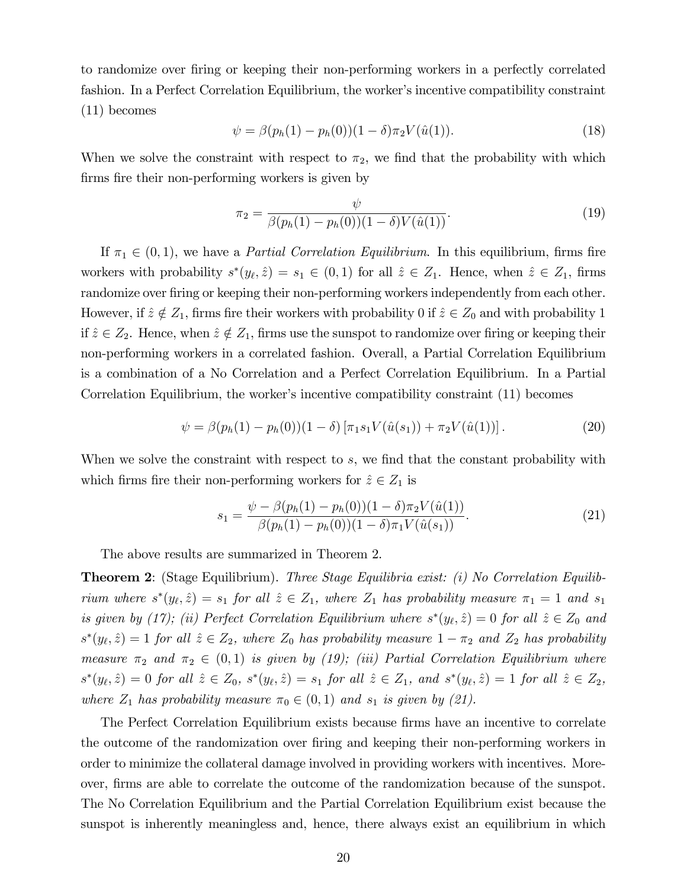to randomize over Öring or keeping their non-performing workers in a perfectly correlated fashion. In a Perfect Correlation Equilibrium, the worker's incentive compatibility constraint (11) becomes

$$
\psi = \beta(p_h(1) - p_h(0))(1 - \delta)\pi_2 V(\hat{u}(1)).
$$
\n(18)

When we solve the constraint with respect to  $\pi_2$ , we find that the probability with which firms fire their non-performing workers is given by

$$
\pi_2 = \frac{\psi}{\beta(p_h(1) - p_h(0))(1 - \delta)V(\hat{u}(1))}.
$$
\n(19)

If  $\pi_1 \in (0, 1)$ , we have a *Partial Correlation Equilibrium*. In this equilibrium, firms fire workers with probability  $s^*(y_\ell, \hat{z}) = s_1 \in (0, 1)$  for all  $\hat{z} \in Z_1$ . Hence, when  $\hat{z} \in Z_1$ , firms randomize over firing or keeping their non-performing workers independently from each other. However, if  $\hat{z} \notin Z_1$ , firms fire their workers with probability 0 if  $\hat{z} \in Z_0$  and with probability 1 if  $\hat{z} \in Z_2$ . Hence, when  $\hat{z} \notin Z_1$ , firms use the sunspot to randomize over firing or keeping their non-performing workers in a correlated fashion. Overall, a Partial Correlation Equilibrium is a combination of a No Correlation and a Perfect Correlation Equilibrium. In a Partial Correlation Equilibrium, the worker's incentive compatibility constraint (11) becomes

$$
\psi = \beta(p_h(1) - p_h(0))(1 - \delta) [\pi_1 s_1 V(\hat{u}(s_1)) + \pi_2 V(\hat{u}(1))]. \tag{20}
$$

When we solve the constraint with respect to  $s$ , we find that the constant probability with which firms fire their non-performing workers for  $\hat{z} \in Z_1$  is

$$
s_1 = \frac{\psi - \beta(p_h(1) - p_h(0))(1 - \delta)\pi_2 V(\hat{u}(1))}{\beta(p_h(1) - p_h(0))(1 - \delta)\pi_1 V(\hat{u}(s_1))}.
$$
\n(21)

The above results are summarized in Theorem 2.

**Theorem 2:** (Stage Equilibrium). *Three Stage Equilibria exist: (i) No Correlation Equilib*rium where  $s^*(y_\ell, \hat{z}) = s_1$  for all  $\hat{z} \in Z_1$ , where  $Z_1$  has probability measure  $\pi_1 = 1$  and  $s_1$ is given by (17); (ii) Perfect Correlation Equilibrium where  $s^*(y_\ell, \hat{z}) = 0$  for all  $\hat{z} \in Z_0$  and  $s^*(y_\ell, \hat{z}) = 1$  for all  $\hat{z} \in Z_2$ , where  $Z_0$  has probability measure  $1 - \pi_2$  and  $Z_2$  has probability measure  $\pi_2$  and  $\pi_2 \in (0,1)$  is given by (19); (iii) Partial Correlation Equilibrium where  $s^*(y_\ell, \hat{z}) = 0$  for all  $\hat{z} \in Z_0$ ,  $s^*(y_\ell, \hat{z}) = s_1$  for all  $\hat{z} \in Z_1$ , and  $s^*(y_\ell, \hat{z}) = 1$  for all  $\hat{z} \in Z_2$ , where  $Z_1$  has probability measure  $\pi_0 \in (0, 1)$  and  $s_1$  is given by (21).

The Perfect Correlation Equilibrium exists because firms have an incentive to correlate the outcome of the randomization over firing and keeping their non-performing workers in order to minimize the collateral damage involved in providing workers with incentives. Moreover, firms are able to correlate the outcome of the randomization because of the sunspot. The No Correlation Equilibrium and the Partial Correlation Equilibrium exist because the sunspot is inherently meaningless and, hence, there always exist an equilibrium in which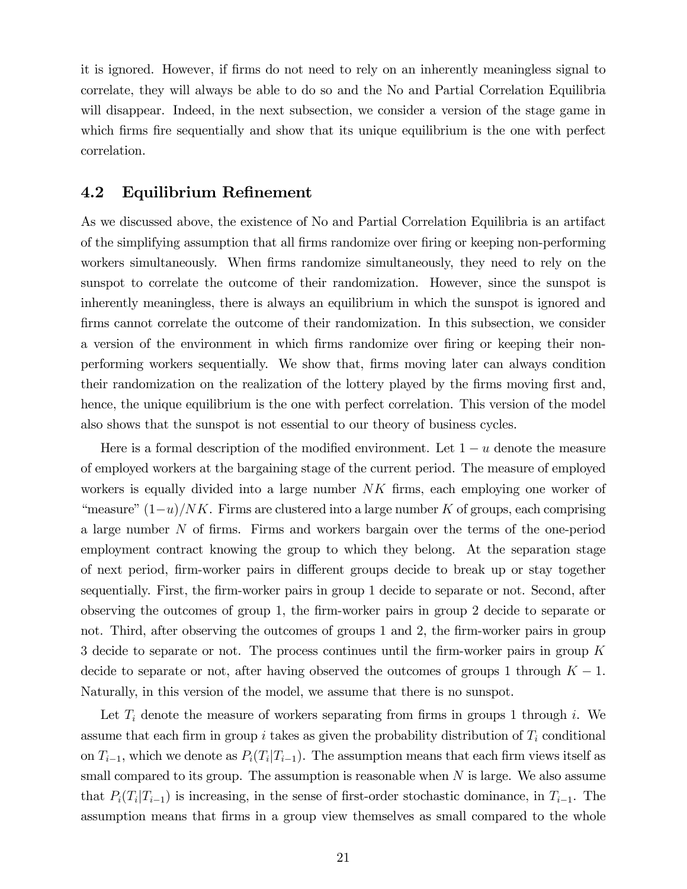it is ignored. However, if Örms do not need to rely on an inherently meaningless signal to correlate, they will always be able to do so and the No and Partial Correlation Equilibria will disappear. Indeed, in the next subsection, we consider a version of the stage game in which firms fire sequentially and show that its unique equilibrium is the one with perfect correlation.

### 4.2 Equilibrium Refinement

As we discussed above, the existence of No and Partial Correlation Equilibria is an artifact of the simplifying assumption that all Örms randomize over Öring or keeping non-performing workers simultaneously. When firms randomize simultaneously, they need to rely on the sunspot to correlate the outcome of their randomization. However, since the sunspot is inherently meaningless, there is always an equilibrium in which the sunspot is ignored and firms cannot correlate the outcome of their randomization. In this subsection, we consider a version of the environment in which firms randomize over firing or keeping their nonperforming workers sequentially. We show that, Örms moving later can always condition their randomization on the realization of the lottery played by the Örms moving Örst and, hence, the unique equilibrium is the one with perfect correlation. This version of the model also shows that the sunspot is not essential to our theory of business cycles.

Here is a formal description of the modified environment. Let  $1 - u$  denote the measure of employed workers at the bargaining stage of the current period. The measure of employed workers is equally divided into a large number  $NK$  firms, each employing one worker of "measure"  $(1-u)/NK$ . Firms are clustered into a large number K of groups, each comprising a large number N of Örms. Firms and workers bargain over the terms of the one-period employment contract knowing the group to which they belong. At the separation stage of next period, firm-worker pairs in different groups decide to break up or stay together sequentially. First, the firm-worker pairs in group 1 decide to separate or not. Second, after observing the outcomes of group 1, the Örm-worker pairs in group 2 decide to separate or not. Third, after observing the outcomes of groups 1 and 2, the firm-worker pairs in group 3 decide to separate or not. The process continues until the firm-worker pairs in group  $K$ decide to separate or not, after having observed the outcomes of groups 1 through  $K - 1$ . Naturally, in this version of the model, we assume that there is no sunspot.

Let  $T_i$  denote the measure of workers separating from firms in groups 1 through i. We assume that each firm in group i takes as given the probability distribution of  $T_i$  conditional on  $T_{i-1}$ , which we denote as  $P_i(T_i|T_{i-1})$ . The assumption means that each firm views itself as small compared to its group. The assumption is reasonable when  $N$  is large. We also assume that  $P_i(T_i|T_{i-1})$  is increasing, in the sense of first-order stochastic dominance, in  $T_{i-1}$ . The assumption means that firms in a group view themselves as small compared to the whole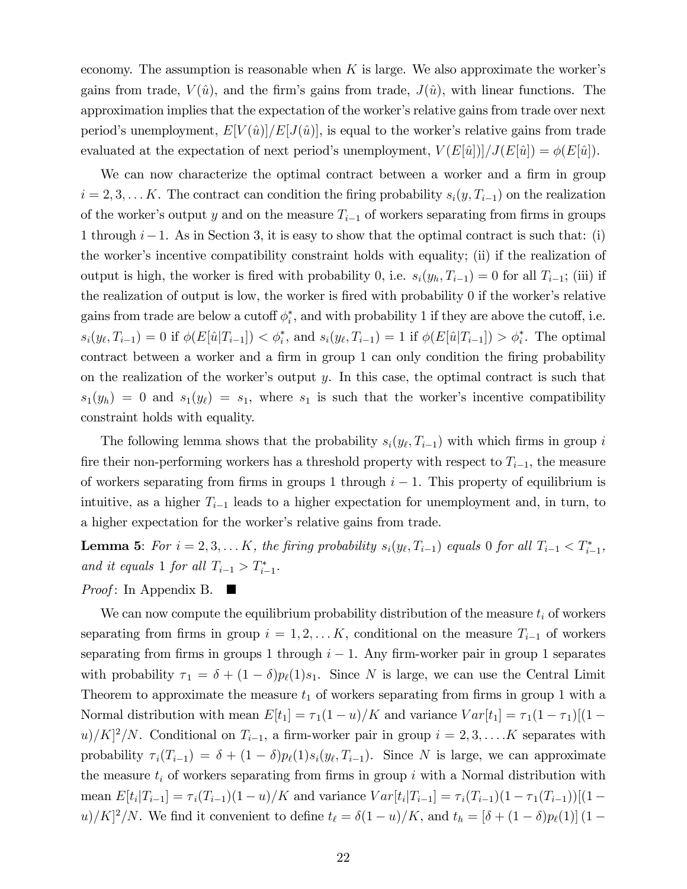economy. The assumption is reasonable when  $K$  is large. We also approximate the worker's gains from trade,  $V(\hat{u})$ , and the firm's gains from trade,  $J(\hat{u})$ , with linear functions. The approximation implies that the expectation of the worker's relative gains from trade over next period's unemployment,  $E[V(\hat{u})]/E[J(\hat{u})]$ , is equal to the worker's relative gains from trade evaluated at the expectation of next period's unemployment,  $V(E[\hat{u}])/J(E[\hat{u}]) = \phi(E[\hat{u}]).$ 

We can now characterize the optimal contract between a worker and a firm in group  $i = 2, 3, \ldots K$ . The contract can condition the firing probability  $s_i(y, T_{i-1})$  on the realization of the worker's output y and on the measure  $T_{i-1}$  of workers separating from firms in groups 1 through  $i-1$ . As in Section 3, it is easy to show that the optimal contract is such that: (i) the worker's incentive compatibility constraint holds with equality; (ii) if the realization of output is high, the worker is fired with probability 0, i.e.  $s_i(y_h, T_{i-1}) = 0$  for all  $T_{i-1}$ ; (iii) if the realization of output is low, the worker is fired with probability  $\theta$  if the worker's relative gains from trade are below a cutoff  $\phi_i^*$ , and with probability 1 if they are above the cutoff, i.e.  $s_i(y_{\ell}, T_{i-1}) = 0$  if  $\phi(E[\hat{u}|T_{i-1}]) < \phi_i^*$ , and  $s_i(y_{\ell}, T_{i-1}) = 1$  if  $\phi(E[\hat{u}|T_{i-1}]) > \phi_i^*$ . The optimal contract between a worker and a firm in group 1 can only condition the firing probability on the realization of the worker's output  $y$ . In this case, the optimal contract is such that  $s_1(y_h) = 0$  and  $s_1(y_\ell) = s_1$ , where  $s_1$  is such that the worker's incentive compatibility constraint holds with equality.

The following lemma shows that the probability  $s_i(y_\ell, T_{i-1})$  with which firms in group i fire their non-performing workers has a threshold property with respect to  $T_{i-1}$ , the measure of workers separating from firms in groups 1 through  $i - 1$ . This property of equilibrium is intuitive, as a higher  $T_{i-1}$  leads to a higher expectation for unemployment and, in turn, to a higher expectation for the worker's relative gains from trade.

**Lemma 5:** For  $i = 2, 3, \ldots K$ , the firing probability  $s_i(y_\ell, T_{i-1})$  equals 0 for all  $T_{i-1} < T_{i-1}^*$ , and it equals 1 for all  $T_{i-1} > T_{i-1}^*$ .

*Proof*: In Appendix B.

We can now compute the equilibrium probability distribution of the measure  $t_i$  of workers separating from firms in group  $i = 1, 2, \ldots K$ , conditional on the measure  $T_{i-1}$  of workers separating from firms in groups 1 through  $i - 1$ . Any firm-worker pair in group 1 separates with probability  $\tau_1 = \delta + (1 - \delta)p_{\ell}(1)s_1$ . Since N is large, we can use the Central Limit Theorem to approximate the measure  $t_1$  of workers separating from firms in group 1 with a Normal distribution with mean  $E[t_1] = \tau_1(1-u)/K$  and variance  $Var[t_1] = \tau_1(1 - \tau_1)[(1 (u)/K]^2/N$ . Conditional on  $T_{i-1}$ , a firm-worker pair in group  $i = 2, 3, \ldots$  K separates with probability  $\tau_i(T_{i-1}) = \delta + (1-\delta)p_\ell(1)s_i(y_\ell, T_{i-1})$ . Since N is large, we can approximate the measure  $t_i$  of workers separating from firms in group i with a Normal distribution with mean  $E[t_i|T_{i-1}] = \tau_i(T_{i-1})(1-u)/K$  and variance  $Var[t_i|T_{i-1}] = \tau_i(T_{i-1})(1-\tau_1(T_{i-1}))[(1-\tau_1)^2]$  $(u)/K]^2/N$ . We find it convenient to define  $t_\ell = \delta(1 - u)/K$ , and  $t_h = [\delta + (1 - \delta)p_\ell(1)] (1 -$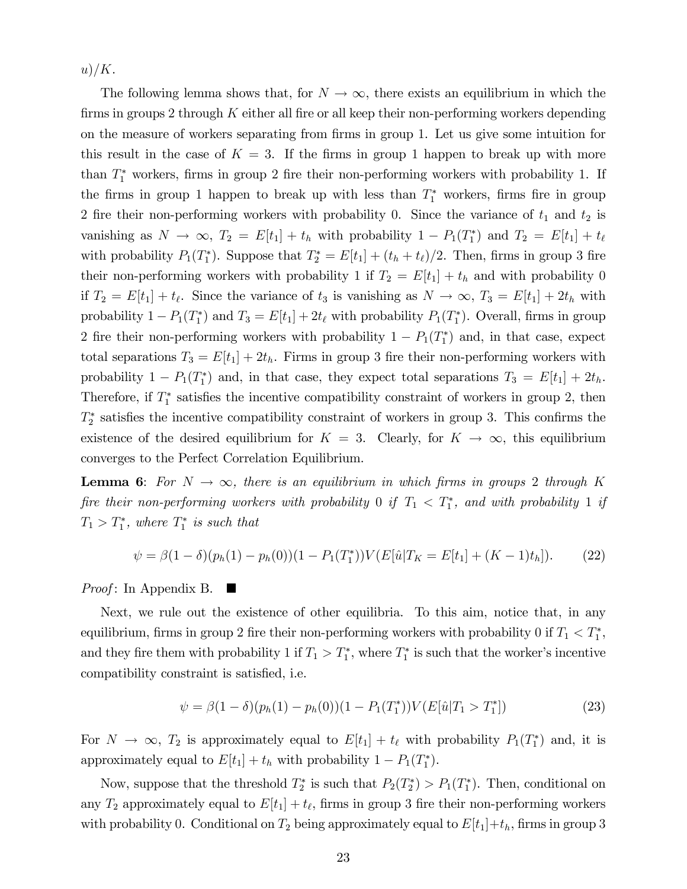$u)/K$ .

The following lemma shows that, for  $N \to \infty$ , there exists an equilibrium in which the firms in groups 2 through  $K$  either all fire or all keep their non-performing workers depending on the measure of workers separating from firms in group 1. Let us give some intuition for this result in the case of  $K = 3$ . If the firms in group 1 happen to break up with more than  $T_1^*$  workers, firms in group 2 fire their non-performing workers with probability 1. If the firms in group 1 happen to break up with less than  $T_1^*$  workers, firms fire in group 2 fire their non-performing workers with probability 0. Since the variance of  $t_1$  and  $t_2$  is vanishing as  $N \to \infty$ ,  $T_2 = E[t_1] + t_h$  with probability  $1 - P_1(T_1^*)$  and  $T_2 = E[t_1] + t_{\ell}$ with probability  $P_1(T_1^*)$ . Suppose that  $T_2^* = E[t_1] + (t_h + t_\ell)/2$ . Then, firms in group 3 fire their non-performing workers with probability 1 if  $T_2 = E[t_1] + t_h$  and with probability 0 if  $T_2 = E[t_1] + t_\ell$ . Since the variance of  $t_3$  is vanishing as  $N \to \infty$ ,  $T_3 = E[t_1] + 2t_h$  with probability  $1 - P_1(T_1^*)$  and  $T_3 = E[t_1] + 2t_\ell$  with probability  $P_1(T_1^*)$ . Overall, firms in group 2 fire their non-performing workers with probability  $1 - P_1(T_1^*)$  and, in that case, expect total separations  $T_3 = E[t_1] + 2t_h$ . Firms in group 3 fire their non-performing workers with probability  $1 - P_1(T_1^*)$  and, in that case, they expect total separations  $T_3 = E[t_1] + 2t_h$ . Therefore, if  $T_1^*$  satisfies the incentive compatibility constraint of workers in group 2, then  $T_2^*$  satisfies the incentive compatibility constraint of workers in group 3. This confirms the existence of the desired equilibrium for  $K = 3$ . Clearly, for  $K \to \infty$ , this equilibrium converges to the Perfect Correlation Equilibrium.

**Lemma 6:** For  $N \to \infty$ , there is an equilibrium in which firms in groups 2 through K fire their non-performing workers with probability 0 if  $T_1 < T_1^*$ , and with probability 1 if  $T_1 > T_1^*$ , where  $T_1^*$  is such that

$$
\psi = \beta(1 - \delta)(p_h(1) - p_h(0))(1 - P_1(T_1^*))V(E[\hat{u}|T_K = E[t_1] + (K - 1)t_h]).
$$
 (22)

*Proof*: In Appendix B.  $\Box$ 

Next, we rule out the existence of other equilibria. To this aim, notice that, in any equilibrium, firms in group 2 fire their non-performing workers with probability 0 if  $T_1 < T_1^*$ , and they fire them with probability 1 if  $T_1 > T_1^*$ , where  $T_1^*$  is such that the worker's incentive compatibility constraint is satisfied, i.e.

$$
\psi = \beta (1 - \delta)(p_h(1) - p_h(0))(1 - P_1(T_1^*))V(E[\hat{u}|T_1 > T_1^*])
$$
\n(23)

For  $N \to \infty$ ,  $T_2$  is approximately equal to  $E[t_1] + t_\ell$  with probability  $P_1(T_1^*)$  and, it is approximately equal to  $E[t_1] + t_h$  with probability  $1 - P_1(T_1^*)$ .

Now, suppose that the threshold  $T_2^*$  is such that  $P_2(T_2^*) > P_1(T_1^*)$ . Then, conditional on any  $T_2$  approximately equal to  $E[t_1] + t_\ell$ , firms in group 3 fire their non-performing workers with probability 0. Conditional on  $T_2$  being approximately equal to  $E[t_1]+t_h$ , firms in group 3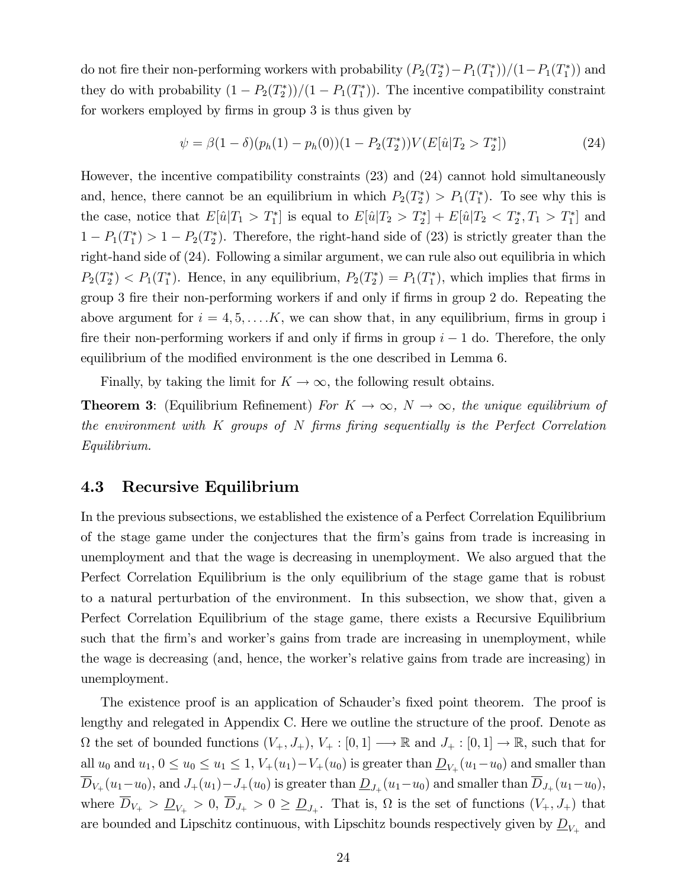do not fire their non-performing workers with probability  $(P_2(T_2^*) - P_1(T_1^*))/(1 - P_1(T_1^*))$  and they do with probability  $(1 - P_2(T_2^*))/(1 - P_1(T_1^*))$ . The incentive compatibility constraint for workers employed by firms in group 3 is thus given by

$$
\psi = \beta (1 - \delta)(p_h(1) - p_h(0))(1 - P_2(T_2^*))V(E[\hat{u}|T_2 > T_2^*])
$$
\n(24)

However, the incentive compatibility constraints (23) and (24) cannot hold simultaneously and, hence, there cannot be an equilibrium in which  $P_2(T_2^*) > P_1(T_1^*)$ . To see why this is the case, notice that  $E[\hat{u}|T_1 > T_1^*]$  is equal to  $E[\hat{u}|T_2 > T_2^*] + E[\hat{u}|T_2 < T_2^*, T_1 > T_1^*]$  and  $1 - P_1(T_1^*) > 1 - P_2(T_2^*)$ . Therefore, the right-hand side of (23) is strictly greater than the right-hand side of (24). Following a similar argument, we can rule also out equilibria in which  $P_2(T_2^*)$  <  $P_1(T_1^*)$ . Hence, in any equilibrium,  $P_2(T_2^*) = P_1(T_1^*)$ , which implies that firms in group 3 fire their non-performing workers if and only if firms in group 2 do. Repeating the above argument for  $i = 4, 5, \ldots$  K, we can show that, in any equilibrium, firms in group i fire their non-performing workers if and only if firms in group  $i - 1$  do. Therefore, the only equilibrium of the modified environment is the one described in Lemma 6.

Finally, by taking the limit for  $K \to \infty$ , the following result obtains.

**Theorem 3:** (Equilibrium Refinement) For  $K \to \infty$ ,  $N \to \infty$ , the unique equilibrium of the environment with  $K$  groups of  $N$  firms firing sequentially is the Perfect Correlation Equilibrium.

### 4.3 Recursive Equilibrium

In the previous subsections, we established the existence of a Perfect Correlation Equilibrium of the stage game under the conjectures that the Örmís gains from trade is increasing in unemployment and that the wage is decreasing in unemployment. We also argued that the Perfect Correlation Equilibrium is the only equilibrium of the stage game that is robust to a natural perturbation of the environment. In this subsection, we show that, given a Perfect Correlation Equilibrium of the stage game, there exists a Recursive Equilibrium such that the firm's and worker's gains from trade are increasing in unemployment, while the wage is decreasing (and, hence, the worker's relative gains from trade are increasing) in unemployment.

The existence proof is an application of Schauder's fixed point theorem. The proof is lengthy and relegated in Appendix C. Here we outline the structure of the proof. Denote as  $\Omega$  the set of bounded functions  $(V_+, J_+), V_+ : [0, 1] \longrightarrow \mathbb{R}$  and  $J_+ : [0, 1] \longrightarrow \mathbb{R}$ , such that for all  $u_0$  and  $u_1, 0 \le u_0 \le u_1 \le 1$ ,  $V_+(u_1) - V_+(u_0)$  is greater than  $\underline{D}_{V_+}(u_1-u_0)$  and smaller than  $D_{V_+}(u_1-u_0)$ , and  $J_+(u_1) - J_+(u_0)$  is greater than  $D_{J_+}(u_1-u_0)$  and smaller than  $D_{J_+}(u_1-u_0)$ , where  $D_{V_+} > D_{V_+} > 0$ ,  $D_{J_+} > 0 \ge D_{J_+}$ . That is,  $\Omega$  is the set of functions  $(V_+, J_+)$  that are bounded and Lipschitz continuous, with Lipschitz bounds respectively given by  $\underline{D}_{V_+}$  and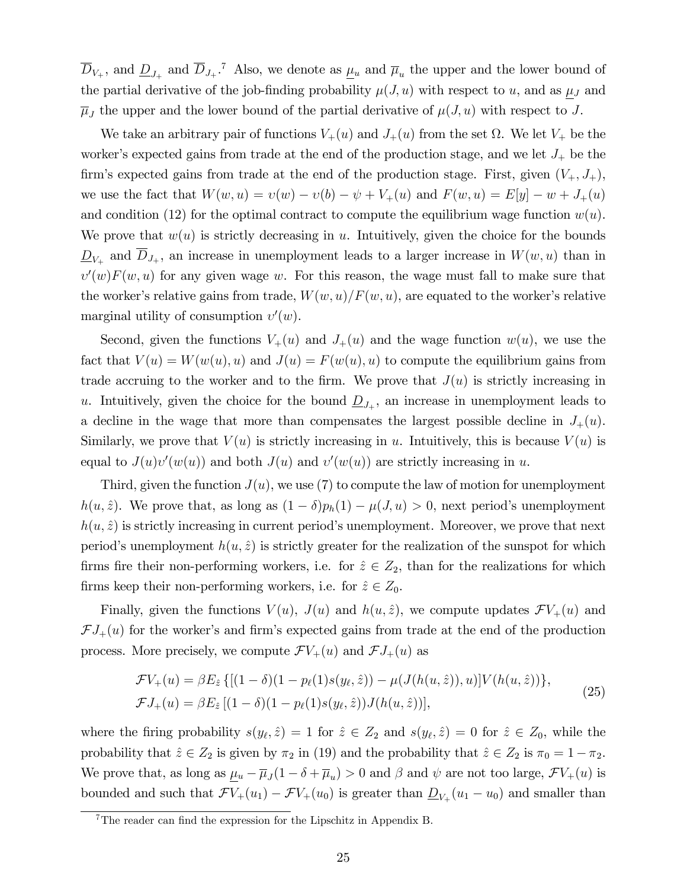$\overline{D}_{V_+}$ , and  $\underline{D}_{J_+}$  and  $\overline{D}_{J_+}$ .<sup>7</sup> Also, we denote as  $\underline{\mu}_u$  and  $\overline{\mu}_u$  the upper and the lower bound of the partial derivative of the job-finding probability  $\mu(J, u)$  with respect to u, and as  $\mu_J$  and  $\overline{\mu}_J$  the upper and the lower bound of the partial derivative of  $\mu(J, u)$  with respect to J.

We take an arbitrary pair of functions  $V_+(u)$  and  $J_+(u)$  from the set  $\Omega$ . We let  $V_+$  be the worker's expected gains from trade at the end of the production stage, and we let  $J_+$  be the firm's expected gains from trade at the end of the production stage. First, given  $(V_+, J_+),$ we use the fact that  $W(w, u) = v(w) - v(b) - \psi + V_+(u)$  and  $F(w, u) = E[y] - w + J_+(u)$ and condition (12) for the optimal contract to compute the equilibrium wage function  $w(u)$ . We prove that  $w(u)$  is strictly decreasing in u. Intuitively, given the choice for the bounds  $\underline{D}_{V_+}$  and  $D_{J_+}$ , an increase in unemployment leads to a larger increase in  $W(w, u)$  than in  $v'(w)F(w, u)$  for any given wage w. For this reason, the wage must fall to make sure that the worker's relative gains from trade,  $W(w, u)/F(w, u)$ , are equated to the worker's relative marginal utility of consumption  $v'(w)$ .

Second, given the functions  $V_+(u)$  and  $J_+(u)$  and the wage function  $w(u)$ , we use the fact that  $V(u) = W(w(u), u)$  and  $J(u) = F(w(u), u)$  to compute the equilibrium gains from trade accruing to the worker and to the firm. We prove that  $J(u)$  is strictly increasing in u. Intuitively, given the choice for the bound  $\underline{D}_{J_+}$ , an increase in unemployment leads to a decline in the wage that more than compensates the largest possible decline in  $J_+(u)$ . Similarly, we prove that  $V(u)$  is strictly increasing in u. Intuitively, this is because  $V(u)$  is equal to  $J(u)v'(w(u))$  and both  $J(u)$  and  $v'(w(u))$  are strictly increasing in u.

Third, given the function  $J(u)$ , we use (7) to compute the law of motion for unemployment  $h(u, \hat{z})$ . We prove that, as long as  $(1 - \delta)p_h(1) - \mu(J, u) > 0$ , next period's unemployment  $h(u, \hat{z})$  is strictly increasing in current period's unemployment. Moreover, we prove that next period's unemployment  $h(u, \hat{z})$  is strictly greater for the realization of the sunspot for which firms fire their non-performing workers, i.e. for  $\hat{z} \in Z_2$ , than for the realizations for which firms keep their non-performing workers, i.e. for  $\hat{z} \in Z_0$ .

Finally, given the functions  $V(u)$ ,  $J(u)$  and  $h(u, \hat{z})$ , we compute updates  $\mathcal{F}V_+(u)$  and  $\mathcal{F}J_{+}(u)$  for the worker's and firm's expected gains from trade at the end of the production process. More precisely, we compute  $\mathcal{F} V_+(u)$  and  $\mathcal{F} J_+(u)$  as

$$
\mathcal{F}V_{+}(u) = \beta E_{\hat{z}} \{ [(1 - \delta)(1 - p_{\ell}(1)s(y_{\ell}, \hat{z})) - \mu(J(h(u, \hat{z})), u)] V(h(u, \hat{z})) \},
$$
  

$$
\mathcal{F}J_{+}(u) = \beta E_{\hat{z}} [(1 - \delta)(1 - p_{\ell}(1)s(y_{\ell}, \hat{z})) J(h(u, \hat{z}))],
$$
 (25)

where the firing probability  $s(y_\ell, \hat{z}) = 1$  for  $\hat{z} \in Z_2$  and  $s(y_\ell, \hat{z}) = 0$  for  $\hat{z} \in Z_0$ , while the probability that  $\hat{z} \in Z_2$  is given by  $\pi_2$  in (19) and the probability that  $\hat{z} \in Z_2$  is  $\pi_0 = 1 - \pi_2$ . We prove that, as long as  $\underline{\mu}_u - \overline{\mu}_J(1-\delta+\overline{\mu}_u) > 0$  and  $\beta$  and  $\psi$  are not too large,  $\mathcal{F}V_+(u)$  is bounded and such that  $\mathcal{F}V_+(u_1) - \mathcal{F}V_+(u_0)$  is greater than  $\underline{D}_{V_+}(u_1 - u_0)$  and smaller than

 $7$ The reader can find the expression for the Lipschitz in Appendix B.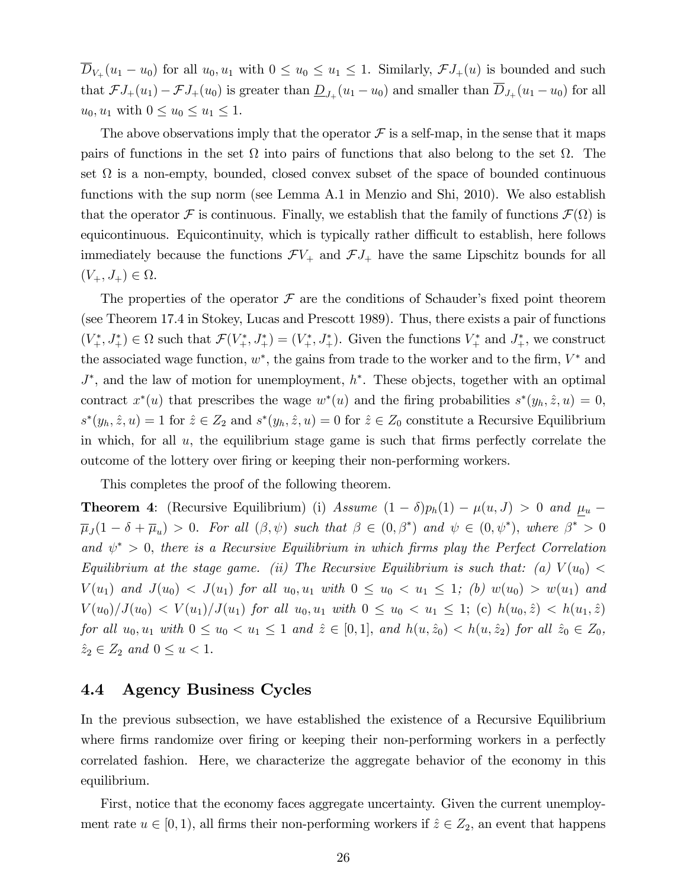$D_{V_+}(u_1 - u_0)$  for all  $u_0, u_1$  with  $0 \le u_0 \le u_1 \le 1$ . Similarly,  $\mathcal{F}J_+(u)$  is bounded and such that  $\mathcal{F}J_+(u_1) - \mathcal{F}J_+(u_0)$  is greater than  $\underline{D}_{J_+}(u_1 - u_0)$  and smaller than  $D_{J_+}(u_1 - u_0)$  for all  $u_0, u_1$  with  $0 \le u_0 \le u_1 \le 1$ .

The above observations imply that the operator  $\mathcal F$  is a self-map, in the sense that it maps pairs of functions in the set  $\Omega$  into pairs of functions that also belong to the set  $\Omega$ . The set  $\Omega$  is a non-empty, bounded, closed convex subset of the space of bounded continuous functions with the sup norm (see Lemma A.1 in Menzio and Shi, 2010). We also establish that the operator  $\mathcal F$  is continuous. Finally, we establish that the family of functions  $\mathcal F(\Omega)$  is equicontinuous. Equicontinuity, which is typically rather difficult to establish, here follows immediately because the functions  $\mathcal{F}V_+$  and  $\mathcal{F}J_+$  have the same Lipschitz bounds for all  $(V_+, J_+) \in \Omega.$ 

The properties of the operator  $\mathcal F$  are the conditions of Schauder's fixed point theorem (see Theorem 17.4 in Stokey, Lucas and Prescott 1989). Thus, there exists a pair of functions  $(V^*_+, J^*_+) \in \Omega$  such that  $\mathcal{F}(V^*_+, J^*_+) = (V^*_+, J^*_+)$ . Given the functions  $V^*_+$  and  $J^*_+$ , we construct the associated wage function,  $w^*$ , the gains from trade to the worker and to the firm,  $V^*$  and  $J^*$ , and the law of motion for unemployment,  $h^*$ . These objects, together with an optimal contract  $x^*(u)$  that prescribes the wage  $w^*(u)$  and the firing probabilities  $s^*(y_h, \hat{z}, u) = 0$ ,  $s^*(y_h, \hat{z}, u) = 1$  for  $\hat{z} \in Z_2$  and  $s^*(y_h, \hat{z}, u) = 0$  for  $\hat{z} \in Z_0$  constitute a Recursive Equilibrium in which, for all  $u$ , the equilibrium stage game is such that firms perfectly correlate the outcome of the lottery over Öring or keeping their non-performing workers.

This completes the proof of the following theorem.

**Theorem 4:** (Recursive Equilibrium) (i) Assume  $(1 - \delta)p_h(1) - \mu(u, J) > 0$  and  $\underline{\mu}_u$  $\overline{\mu}_J(1-\delta+\overline{\mu}_u) > 0$ . For all  $(\beta, \psi)$  such that  $\beta \in (0, \beta^*)$  and  $\psi \in (0, \psi^*)$ , where  $\beta^* > 0$ and  $\psi^* > 0$ , there is a Recursive Equilibrium in which firms play the Perfect Correlation Equilibrium at the stage game. (ii) The Recursive Equilibrium is such that: (a)  $V(u_0)$  <  $V(u_1)$  and  $J(u_0) < J(u_1)$  for all  $u_0, u_1$  with  $0 \le u_0 < u_1 \le 1$ ; (b)  $w(u_0) > w(u_1)$  and  $V(u_0)/J(u_0) \lt V(u_1)/J(u_1)$  for all  $u_0, u_1$  with  $0 \le u_0 \lt u_1 \le 1$ ; (c)  $h(u_0, \hat{z}) \lt h(u_1, \hat{z})$ for all  $u_0, u_1$  with  $0 \le u_0 < u_1 \le 1$  and  $\hat{z} \in [0, 1]$ , and  $h(u, \hat{z}_0) < h(u, \hat{z}_2)$  for all  $\hat{z}_0 \in Z_0$ ,  $\hat{z}_2 \in Z_2$  and  $0 \le u < 1$ .

### 4.4 Agency Business Cycles

In the previous subsection, we have established the existence of a Recursive Equilibrium where firms randomize over firing or keeping their non-performing workers in a perfectly correlated fashion. Here, we characterize the aggregate behavior of the economy in this equilibrium.

First, notice that the economy faces aggregate uncertainty. Given the current unemployment rate  $u \in [0, 1)$ , all firms their non-performing workers if  $\hat{z} \in Z_2$ , an event that happens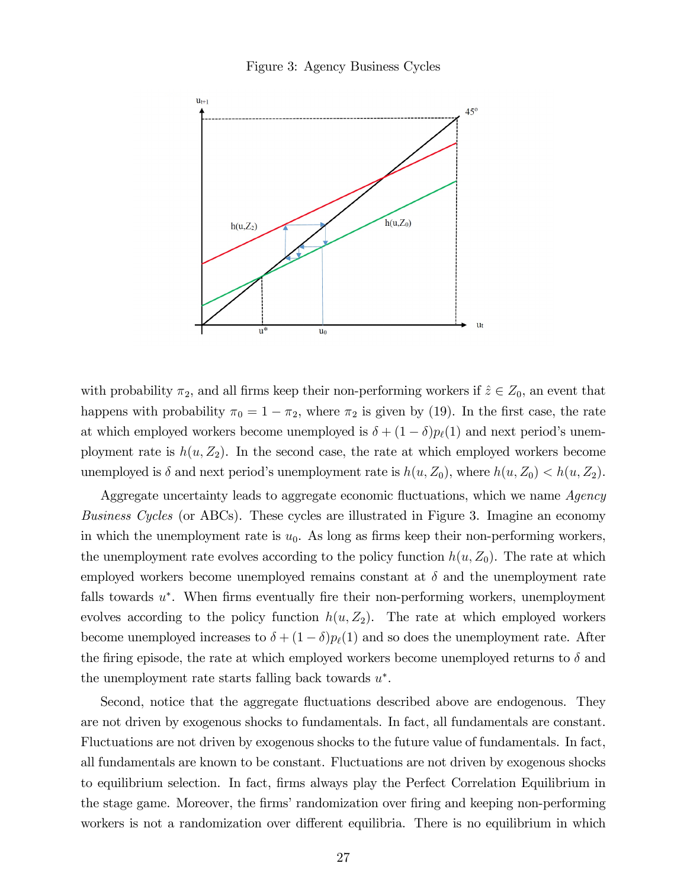



with probability  $\pi_2$ , and all firms keep their non-performing workers if  $\hat{z} \in Z_0$ , an event that happens with probability  $\pi_0 = 1 - \pi_2$ , where  $\pi_2$  is given by (19). In the first case, the rate at which employed workers become unemployed is  $\delta + (1 - \delta)p_{\ell}(1)$  and next period's unemployment rate is  $h(u, Z_2)$ . In the second case, the rate at which employed workers become unemployed is  $\delta$  and next period's unemployment rate is  $h(u, Z_0)$ , where  $h(u, Z_0) < h(u, Z_2)$ .

Aggregate uncertainty leads to aggregate economic fluctuations, which we name  $A\ngency$ Business Cycles (or ABCs). These cycles are illustrated in Figure 3. Imagine an economy in which the unemployment rate is  $u_0$ . As long as firms keep their non-performing workers, the unemployment rate evolves according to the policy function  $h(u, Z_0)$ . The rate at which employed workers become unemployed remains constant at  $\delta$  and the unemployment rate falls towards  $u^*$ . When firms eventually fire their non-performing workers, unemployment evolves according to the policy function  $h(u, Z_2)$ . The rate at which employed workers become unemployed increases to  $\delta + (1 - \delta)p_{\ell}(1)$  and so does the unemployment rate. After the firing episode, the rate at which employed workers become unemployed returns to  $\delta$  and the unemployment rate starts falling back towards  $u^*$ .

Second, notice that the aggregate fluctuations described above are endogenous. They are not driven by exogenous shocks to fundamentals. In fact, all fundamentals are constant. Fluctuations are not driven by exogenous shocks to the future value of fundamentals. In fact, all fundamentals are known to be constant. Fluctuations are not driven by exogenous shocks to equilibrium selection. In fact, firms always play the Perfect Correlation Equilibrium in the stage game. Moreover, the firms' randomization over firing and keeping non-performing workers is not a randomization over different equilibria. There is no equilibrium in which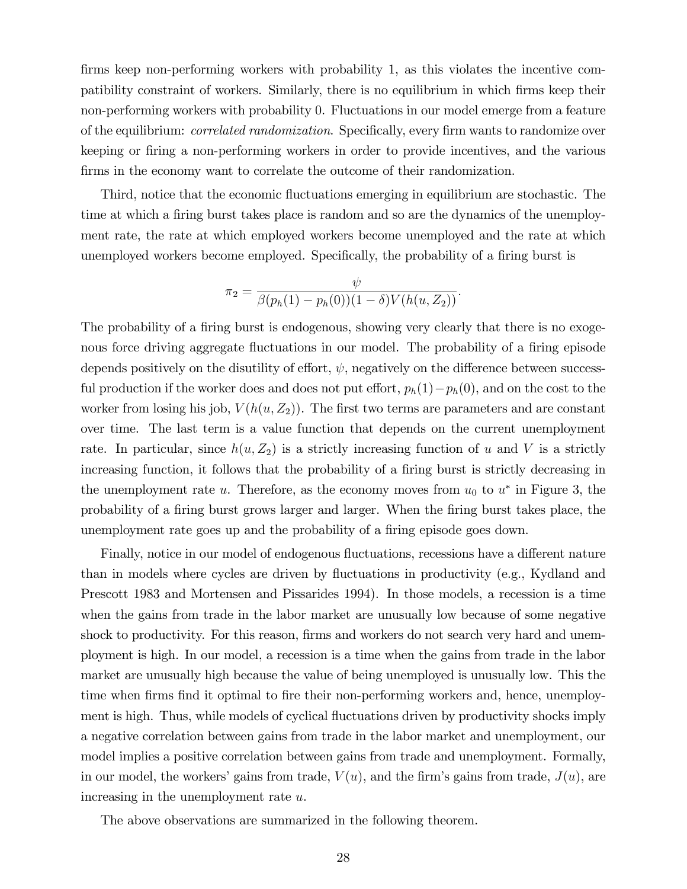firms keep non-performing workers with probability 1, as this violates the incentive compatibility constraint of workers. Similarly, there is no equilibrium in which firms keep their non-performing workers with probability 0. Fluctuations in our model emerge from a feature of the equilibrium: *correlated randomization*. Specifically, every firm wants to randomize over keeping or Öring a non-performing workers in order to provide incentives, and the various firms in the economy want to correlate the outcome of their randomization.

Third, notice that the economic fluctuations emerging in equilibrium are stochastic. The time at which a firing burst takes place is random and so are the dynamics of the unemployment rate, the rate at which employed workers become unemployed and the rate at which unemployed workers become employed. Specifically, the probability of a firing burst is

$$
\pi_2 = \frac{\psi}{\beta(p_h(1) - p_h(0))(1 - \delta)V(h(u, Z_2))}.
$$

The probability of a firing burst is endogenous, showing very clearly that there is no exogenous force driving aggregate fluctuations in our model. The probability of a firing episode depends positively on the disutility of effort,  $\psi$ , negatively on the difference between successful production if the worker does and does not put effort,  $p_h(1)-p_h(0)$ , and on the cost to the worker from losing his job,  $V(h(u, Z_2))$ . The first two terms are parameters and are constant over time. The last term is a value function that depends on the current unemployment rate. In particular, since  $h(u, Z_2)$  is a strictly increasing function of u and V is a strictly increasing function, it follows that the probability of a firing burst is strictly decreasing in the unemployment rate  $u$ . Therefore, as the economy moves from  $u_0$  to  $u^*$  in Figure 3, the probability of a Öring burst grows larger and larger. When the Öring burst takes place, the unemployment rate goes up and the probability of a firing episode goes down.

Finally, notice in our model of endogenous fluctuations, recessions have a different nature than in models where cycles are driven by áuctuations in productivity (e.g., Kydland and Prescott 1983 and Mortensen and Pissarides 1994). In those models, a recession is a time when the gains from trade in the labor market are unusually low because of some negative shock to productivity. For this reason, firms and workers do not search very hard and unemployment is high. In our model, a recession is a time when the gains from trade in the labor market are unusually high because the value of being unemployed is unusually low. This the time when firms find it optimal to fire their non-performing workers and, hence, unemployment is high. Thus, while models of cyclical fluctuations driven by productivity shocks imply a negative correlation between gains from trade in the labor market and unemployment, our model implies a positive correlation between gains from trade and unemployment. Formally, in our model, the workers' gains from trade,  $V(u)$ , and the firm's gains from trade,  $J(u)$ , are increasing in the unemployment rate u.

The above observations are summarized in the following theorem.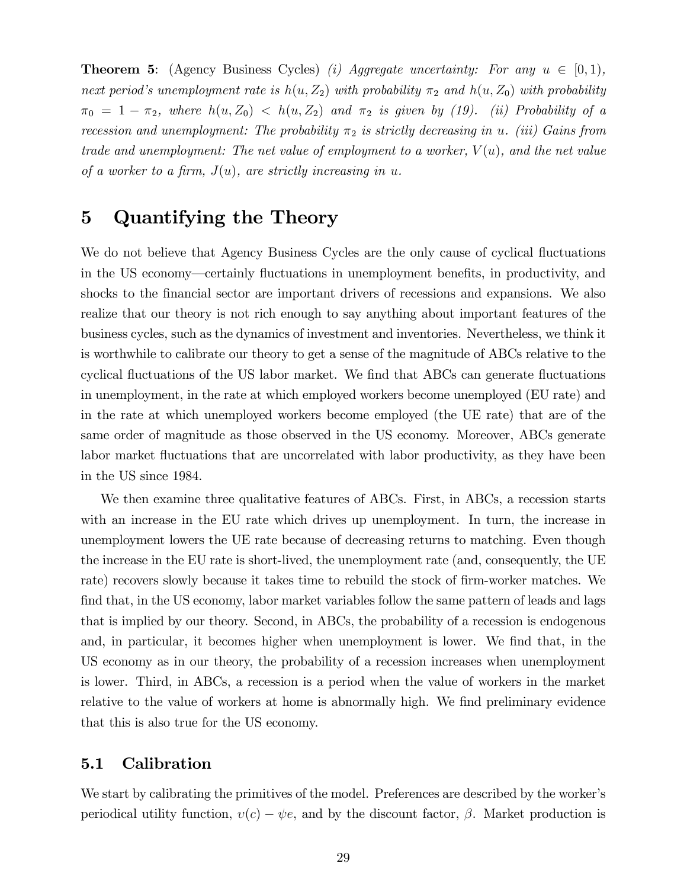**Theorem 5:** (Agency Business Cycles) (i) Aggregate uncertainty: For any  $u \in [0, 1)$ , next period's unemployment rate is  $h(u, Z_2)$  with probability  $\pi_2$  and  $h(u, Z_0)$  with probability  $\pi_0 = 1 - \pi_2$ , where  $h(u, Z_0) < h(u, Z_2)$  and  $\pi_2$  is given by (19). (ii) Probability of a recession and unemployment: The probability  $\pi_2$  is strictly decreasing in u. (iii) Gains from trade and unemployment: The net value of employment to a worker,  $V(u)$ , and the net value of a worker to a firm,  $J(u)$ , are strictly increasing in u.

## 5 Quantifying the Theory

We do not believe that Agency Business Cycles are the only cause of cyclical fluctuations in the US economy—certainly fluctuations in unemployment benefits, in productivity, and shocks to the financial sector are important drivers of recessions and expansions. We also realize that our theory is not rich enough to say anything about important features of the business cycles, such as the dynamics of investment and inventories. Nevertheless, we think it is worthwhile to calibrate our theory to get a sense of the magnitude of ABCs relative to the cyclical fluctuations of the US labor market. We find that ABCs can generate fluctuations in unemployment, in the rate at which employed workers become unemployed (EU rate) and in the rate at which unemployed workers become employed (the UE rate) that are of the same order of magnitude as those observed in the US economy. Moreover, ABCs generate labor market fluctuations that are uncorrelated with labor productivity, as they have been in the US since 1984.

We then examine three qualitative features of ABCs. First, in ABCs, a recession starts with an increase in the EU rate which drives up unemployment. In turn, the increase in unemployment lowers the UE rate because of decreasing returns to matching. Even though the increase in the EU rate is short-lived, the unemployment rate (and, consequently, the UE rate) recovers slowly because it takes time to rebuild the stock of firm-worker matches. We find that, in the US economy, labor market variables follow the same pattern of leads and lags that is implied by our theory. Second, in ABCs, the probability of a recession is endogenous and, in particular, it becomes higher when unemployment is lower. We find that, in the US economy as in our theory, the probability of a recession increases when unemployment is lower. Third, in ABCs, a recession is a period when the value of workers in the market relative to the value of workers at home is abnormally high. We find preliminary evidence that this is also true for the US economy.

### 5.1 Calibration

We start by calibrating the primitives of the model. Preferences are described by the worker's periodical utility function,  $v(c) - \psi e$ , and by the discount factor,  $\beta$ . Market production is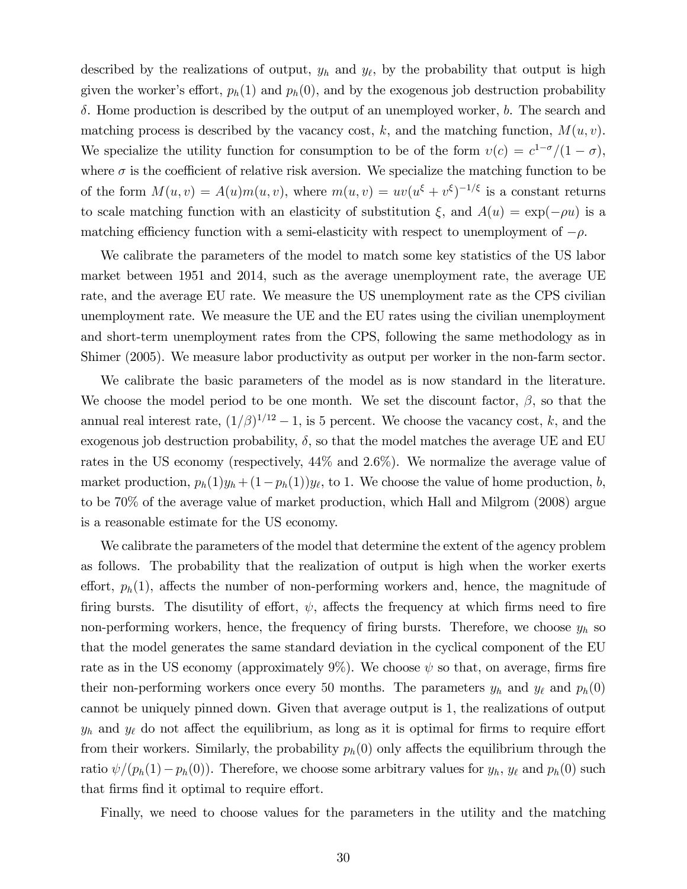described by the realizations of output,  $y_h$  and  $y_\ell$ , by the probability that output is high given the worker's effort,  $p_h(1)$  and  $p_h(0)$ , and by the exogenous job destruction probability  $\delta$ . Home production is described by the output of an unemployed worker, b. The search and matching process is described by the vacancy cost, k, and the matching function,  $M(u, v)$ . We specialize the utility function for consumption to be of the form  $v(c) = c^{1-\sigma}/(1-\sigma)$ , where  $\sigma$  is the coefficient of relative risk aversion. We specialize the matching function to be of the form  $M(u, v) = A(u)m(u, v)$ , where  $m(u, v) = uv(u^{\xi} + v^{\xi})^{-1/\xi}$  is a constant returns to scale matching function with an elasticity of substitution  $\xi$ , and  $A(u) = \exp(-\rho u)$  is a matching efficiency function with a semi-elasticity with respect to unemployment of  $-\rho$ .

We calibrate the parameters of the model to match some key statistics of the US labor market between 1951 and 2014, such as the average unemployment rate, the average UE rate, and the average EU rate. We measure the US unemployment rate as the CPS civilian unemployment rate. We measure the UE and the EU rates using the civilian unemployment and short-term unemployment rates from the CPS, following the same methodology as in Shimer (2005). We measure labor productivity as output per worker in the non-farm sector.

We calibrate the basic parameters of the model as is now standard in the literature. We choose the model period to be one month. We set the discount factor,  $\beta$ , so that the annual real interest rate,  $(1/\beta)^{1/12} - 1$ , is 5 percent. We choose the vacancy cost, k, and the exogenous job destruction probability,  $\delta$ , so that the model matches the average UE and EU rates in the US economy (respectively, 44% and 2:6%). We normalize the average value of market production,  $p_h(1)y_h + (1-p_h(1))y_\ell$ , to 1. We choose the value of home production, b, to be 70% of the average value of market production, which Hall and Milgrom (2008) argue is a reasonable estimate for the US economy.

We calibrate the parameters of the model that determine the extent of the agency problem as follows. The probability that the realization of output is high when the worker exerts effort,  $p_h(1)$ , affects the number of non-performing workers and, hence, the magnitude of firing bursts. The disutility of effort,  $\psi$ , affects the frequency at which firms need to fire non-performing workers, hence, the frequency of firing bursts. Therefore, we choose  $y_h$  so that the model generates the same standard deviation in the cyclical component of the EU rate as in the US economy (approximately 9%). We choose  $\psi$  so that, on average, firms fire their non-performing workers once every 50 months. The parameters  $y_h$  and  $y_\ell$  and  $p_h(0)$ cannot be uniquely pinned down. Given that average output is 1, the realizations of output  $y_h$  and  $y_\ell$  do not affect the equilibrium, as long as it is optimal for firms to require effort from their workers. Similarly, the probability  $p_h(0)$  only affects the equilibrium through the ratio  $\psi/(p_h(1)-p_h(0))$ . Therefore, we choose some arbitrary values for  $y_h$ ,  $y_\ell$  and  $p_h(0)$  such that firms find it optimal to require effort.

Finally, we need to choose values for the parameters in the utility and the matching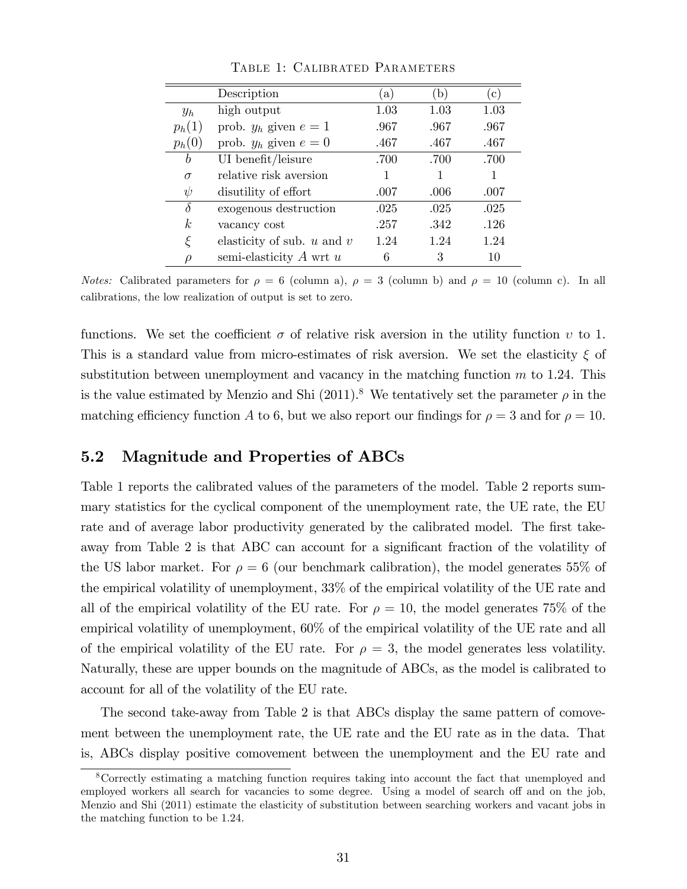|                  | Description                    | $\mathbf{a}$ | 'b)  | $\rm (c)$ |
|------------------|--------------------------------|--------------|------|-----------|
| $y_h$            | high output                    | 1.03         | 1.03 | 1.03      |
| $p_h(1)$         | prob. $y_h$ given $e=1$        | .967         | .967 | .967      |
| $p_h(0)$         | prob. $y_h$ given $e = 0$      | .467         | .467 | .467      |
| $\boldsymbol{b}$ | UI benefit/leisure             | .700         | .700 | .700      |
| $\sigma$         | relative risk aversion         | 1            |      | 1         |
| $\psi$           | disublity of effort            | .007         | .006 | .007      |
| $\delta$         | exogenous destruction          | .025         | .025 | .025      |
| k                | vacancy cost                   | .257         | .342 | .126      |
| ξ                | elasticity of sub. $u$ and $v$ | 1.24         | 1.24 | 1.24      |
| ρ                | semi-elasticity $A$ wrt $u$    | 6            | 3    | 10        |

Table 1: Calibrated Parameters

*Notes:* Calibrated parameters for  $\rho = 6$  (column a),  $\rho = 3$  (column b) and  $\rho = 10$  (column c). In all calibrations, the low realization of output is set to zero.

functions. We set the coefficient  $\sigma$  of relative risk aversion in the utility function  $v$  to 1. This is a standard value from micro-estimates of risk aversion. We set the elasticity  $\xi$  of substitution between unemployment and vacancy in the matching function  $m$  to 1.24. This is the value estimated by Menzio and Shi (2011).<sup>8</sup> We tentatively set the parameter  $\rho$  in the matching efficiency function A to 6, but we also report our findings for  $\rho = 3$  and for  $\rho = 10$ .

### 5.2 Magnitude and Properties of ABCs

Table 1 reports the calibrated values of the parameters of the model. Table 2 reports summary statistics for the cyclical component of the unemployment rate, the UE rate, the EU rate and of average labor productivity generated by the calibrated model. The first takeaway from Table 2 is that ABC can account for a significant fraction of the volatility of the US labor market. For  $\rho = 6$  (our benchmark calibration), the model generates 55% of the empirical volatility of unemployment, 33% of the empirical volatility of the UE rate and all of the empirical volatility of the EU rate. For  $\rho = 10$ , the model generates 75% of the empirical volatility of unemployment, 60% of the empirical volatility of the UE rate and all of the empirical volatility of the EU rate. For  $\rho = 3$ , the model generates less volatility. Naturally, these are upper bounds on the magnitude of ABCs, as the model is calibrated to account for all of the volatility of the EU rate.

The second take-away from Table 2 is that ABCs display the same pattern of comovement between the unemployment rate, the UE rate and the EU rate as in the data. That is, ABCs display positive comovement between the unemployment and the EU rate and

<sup>8</sup>Correctly estimating a matching function requires taking into account the fact that unemployed and employed workers all search for vacancies to some degree. Using a model of search off and on the job, Menzio and Shi (2011) estimate the elasticity of substitution between searching workers and vacant jobs in the matching function to be 1:24.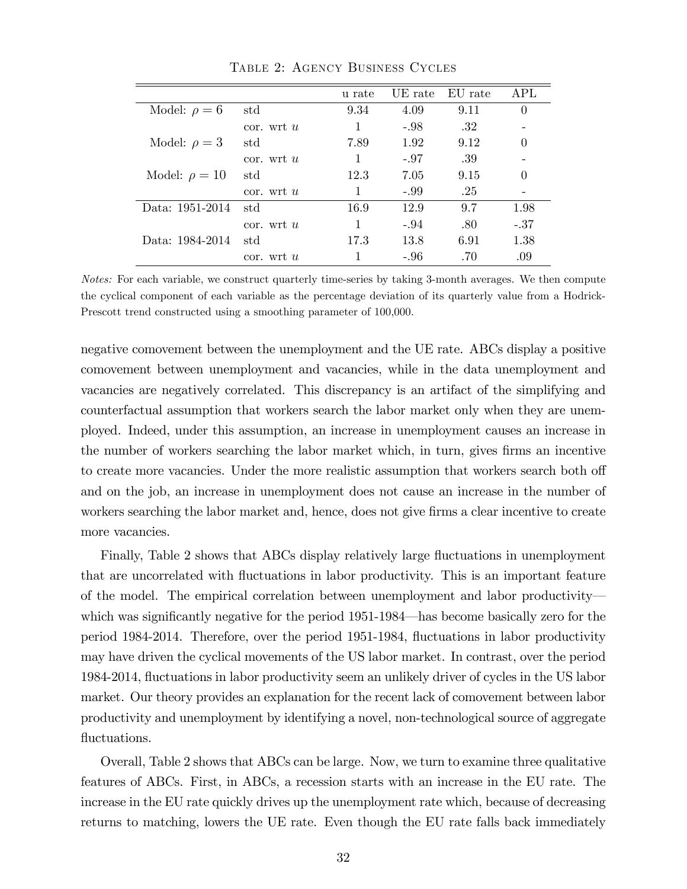|                    |                  | u rate | UE rate | EU rate | APL      |
|--------------------|------------------|--------|---------|---------|----------|
| Model: $\rho = 6$  | std              | 9.34   | 4.09    | 9.11    | $\Omega$ |
|                    | $\cot$ , wrt $u$ | 1      | $-.98$  | .32     |          |
| Model: $\rho = 3$  | std              | 7.89   | 1.92    | 9.12    | $\Omega$ |
|                    | cor. wrt $u$     | 1      | $-.97$  | .39     |          |
| Model: $\rho = 10$ | std              | 12.3   | 7.05    | 9.15    |          |
|                    | cor. wrt $u$     | 1      | $-.99$  | .25     |          |
| Data: 1951-2014    | std              | 16.9   | 12.9    | 9.7     | 1.98     |
|                    | cor. wrt $u$     |        | $-.94$  | .80     | $-.37$   |
| Data: 1984-2014    | std              | 17.3   | 13.8    | 6.91    | 1.38     |
|                    | cor. wrt $u$     |        | $-.96$  | .70     | .09      |

Table 2: Agency Business Cycles

Notes: For each variable, we construct quarterly time-series by taking 3-month averages. We then compute the cyclical component of each variable as the percentage deviation of its quarterly value from a Hodrick-Prescott trend constructed using a smoothing parameter of 100,000.

negative comovement between the unemployment and the UE rate. ABCs display a positive comovement between unemployment and vacancies, while in the data unemployment and vacancies are negatively correlated. This discrepancy is an artifact of the simplifying and counterfactual assumption that workers search the labor market only when they are unemployed. Indeed, under this assumption, an increase in unemployment causes an increase in the number of workers searching the labor market which, in turn, gives firms an incentive to create more vacancies. Under the more realistic assumption that workers search both off and on the job, an increase in unemployment does not cause an increase in the number of workers searching the labor market and, hence, does not give firms a clear incentive to create more vacancies.

Finally, Table 2 shows that ABCs display relatively large fluctuations in unemployment that are uncorrelated with fluctuations in labor productivity. This is an important feature of the model. The empirical correlation between unemployment and labor productivity which was significantly negative for the period 1951-1984—has become basically zero for the period 1984-2014. Therefore, over the period 1951-1984, áuctuations in labor productivity may have driven the cyclical movements of the US labor market. In contrast, over the period 1984-2014, áuctuations in labor productivity seem an unlikely driver of cycles in the US labor market. Our theory provides an explanation for the recent lack of comovement between labor productivity and unemployment by identifying a novel, non-technological source of aggregate fluctuations.

Overall, Table 2 shows that ABCs can be large. Now, we turn to examine three qualitative features of ABCs. First, in ABCs, a recession starts with an increase in the EU rate. The increase in the EU rate quickly drives up the unemployment rate which, because of decreasing returns to matching, lowers the UE rate. Even though the EU rate falls back immediately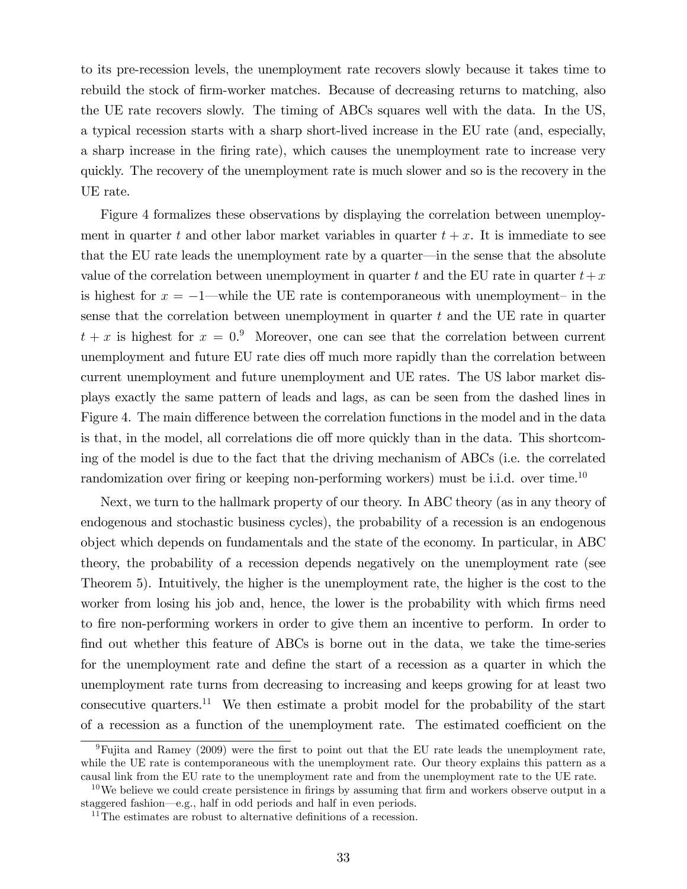to its pre-recession levels, the unemployment rate recovers slowly because it takes time to rebuild the stock of firm-worker matches. Because of decreasing returns to matching, also the UE rate recovers slowly. The timing of ABCs squares well with the data. In the US, a typical recession starts with a sharp short-lived increase in the EU rate (and, especially, a sharp increase in the Öring rate), which causes the unemployment rate to increase very quickly. The recovery of the unemployment rate is much slower and so is the recovery in the UE rate.

Figure 4 formalizes these observations by displaying the correlation between unemployment in quarter t and other labor market variables in quarter  $t + x$ . It is immediate to see that the EU rate leads the unemployment rate by a quarter—in the sense that the absolute value of the correlation between unemployment in quarter t and the EU rate in quarter  $t+x$ is highest for  $x = -1$ —while the UE rate is contemporaneous with unemployment— in the sense that the correlation between unemployment in quarter  $t$  and the UE rate in quarter  $t + x$  is highest for  $x = 0$ . Moreover, one can see that the correlation between current unemployment and future EU rate dies off much more rapidly than the correlation between current unemployment and future unemployment and UE rates. The US labor market displays exactly the same pattern of leads and lags, as can be seen from the dashed lines in Figure 4. The main difference between the correlation functions in the model and in the data is that, in the model, all correlations die off more quickly than in the data. This shortcoming of the model is due to the fact that the driving mechanism of ABCs (i.e. the correlated randomization over firing or keeping non-performing workers) must be i.i.d. over time.<sup>10</sup>

Next, we turn to the hallmark property of our theory. In ABC theory (as in any theory of endogenous and stochastic business cycles), the probability of a recession is an endogenous object which depends on fundamentals and the state of the economy. In particular, in ABC theory, the probability of a recession depends negatively on the unemployment rate (see Theorem 5). Intuitively, the higher is the unemployment rate, the higher is the cost to the worker from losing his job and, hence, the lower is the probability with which firms need to fire non-performing workers in order to give them an incentive to perform. In order to find out whether this feature of ABCs is borne out in the data, we take the time-series for the unemployment rate and define the start of a recession as a quarter in which the unemployment rate turns from decreasing to increasing and keeps growing for at least two consecutive quarters.<sup>11</sup> We then estimate a probit model for the probability of the start of a recession as a function of the unemployment rate. The estimated coefficient on the

 $^{9}$ Fujita and Ramey (2009) were the first to point out that the EU rate leads the unemployment rate, while the UE rate is contemporaneous with the unemployment rate. Our theory explains this pattern as a causal link from the EU rate to the unemployment rate and from the unemployment rate to the UE rate.

 $10\,\text{We}$  believe we could create persistence in firings by assuming that firm and workers observe output in a staggered fashion—e.g., half in odd periods and half in even periods.

 $11$ The estimates are robust to alternative definitions of a recession.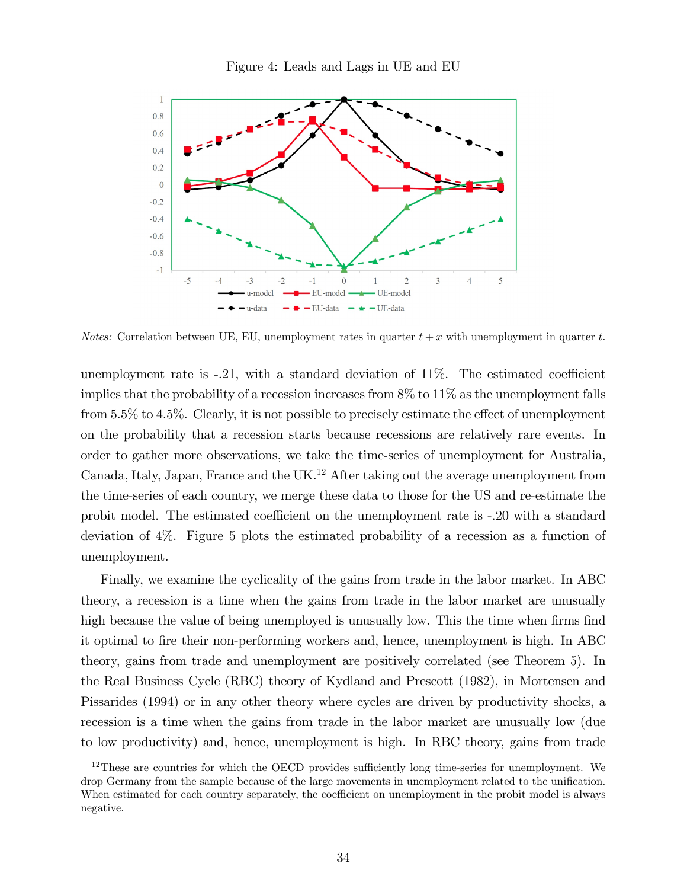

*Notes:* Correlation between UE, EU, unemployment rates in quarter  $t + x$  with unemployment in quarter t.

unemployment rate is  $-.21$ , with a standard deviation of 11%. The estimated coefficient implies that the probability of a recession increases from 8% to 11% as the unemployment falls from  $5.5\%$  to  $4.5\%$ . Clearly, it is not possible to precisely estimate the effect of unemployment on the probability that a recession starts because recessions are relatively rare events. In order to gather more observations, we take the time-series of unemployment for Australia, Canada, Italy, Japan, France and the UK.<sup>12</sup> After taking out the average unemployment from the time-series of each country, we merge these data to those for the US and re-estimate the probit model. The estimated coefficient on the unemployment rate is -.20 with a standard deviation of 4%. Figure 5 plots the estimated probability of a recession as a function of unemployment.

Finally, we examine the cyclicality of the gains from trade in the labor market. In ABC theory, a recession is a time when the gains from trade in the labor market are unusually high because the value of being unemployed is unusually low. This the time when firms find it optimal to Öre their non-performing workers and, hence, unemployment is high. In ABC theory, gains from trade and unemployment are positively correlated (see Theorem 5). In the Real Business Cycle (RBC) theory of Kydland and Prescott (1982), in Mortensen and Pissarides (1994) or in any other theory where cycles are driven by productivity shocks, a recession is a time when the gains from trade in the labor market are unusually low (due to low productivity) and, hence, unemployment is high. In RBC theory, gains from trade

 $12$ These are countries for which the OECD provides sufficiently long time-series for unemployment. We drop Germany from the sample because of the large movements in unemployment related to the unification. When estimated for each country separately, the coefficient on unemployment in the probit model is always negative.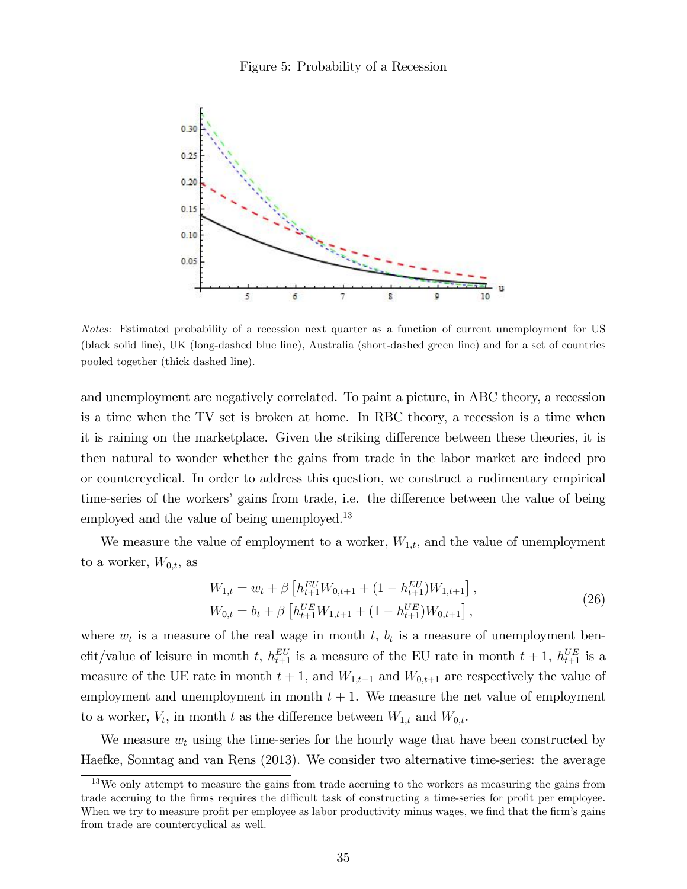

Notes: Estimated probability of a recession next quarter as a function of current unemployment for US (black solid line), UK (long-dashed blue line), Australia (short-dashed green line) and for a set of countries pooled together (thick dashed line).

and unemployment are negatively correlated. To paint a picture, in ABC theory, a recession is a time when the TV set is broken at home. In RBC theory, a recession is a time when it is raining on the marketplace. Given the striking difference between these theories, it is then natural to wonder whether the gains from trade in the labor market are indeed pro or countercyclical. In order to address this question, we construct a rudimentary empirical time-series of the workers' gains from trade, i.e. the difference between the value of being employed and the value of being unemployed.<sup>13</sup>

We measure the value of employment to a worker,  $W_{1,t}$ , and the value of unemployment to a worker,  $W_{0,t}$ , as

$$
W_{1,t} = w_t + \beta \left[ h_{t+1}^{EU} W_{0,t+1} + (1 - h_{t+1}^{EU}) W_{1,t+1} \right],
$$
  
\n
$$
W_{0,t} = b_t + \beta \left[ h_{t+1}^{UE} W_{1,t+1} + (1 - h_{t+1}^{UE}) W_{0,t+1} \right],
$$
\n(26)

where  $w_t$  is a measure of the real wage in month t,  $b_t$  is a measure of unemployment benefit/value of leisure in month t,  $h_{t+1}^{EU}$  is a measure of the EU rate in month  $t + 1$ ,  $h_{t+1}^{UE}$  is a measure of the UE rate in month  $t + 1$ , and  $W_{1,t+1}$  and  $W_{0,t+1}$  are respectively the value of employment and unemployment in month  $t + 1$ . We measure the net value of employment to a worker,  $V_t$ , in month t as the difference between  $W_{1,t}$  and  $W_{0,t}$ .

We measure  $w_t$  using the time-series for the hourly wage that have been constructed by Haefke, Sonntag and van Rens (2013). We consider two alternative time-series: the average

<sup>13</sup>We only attempt to measure the gains from trade accruing to the workers as measuring the gains from trade accruing to the firms requires the difficult task of constructing a time-series for profit per employee. When we try to measure profit per employee as labor productivity minus wages, we find that the firm's gains from trade are countercyclical as well.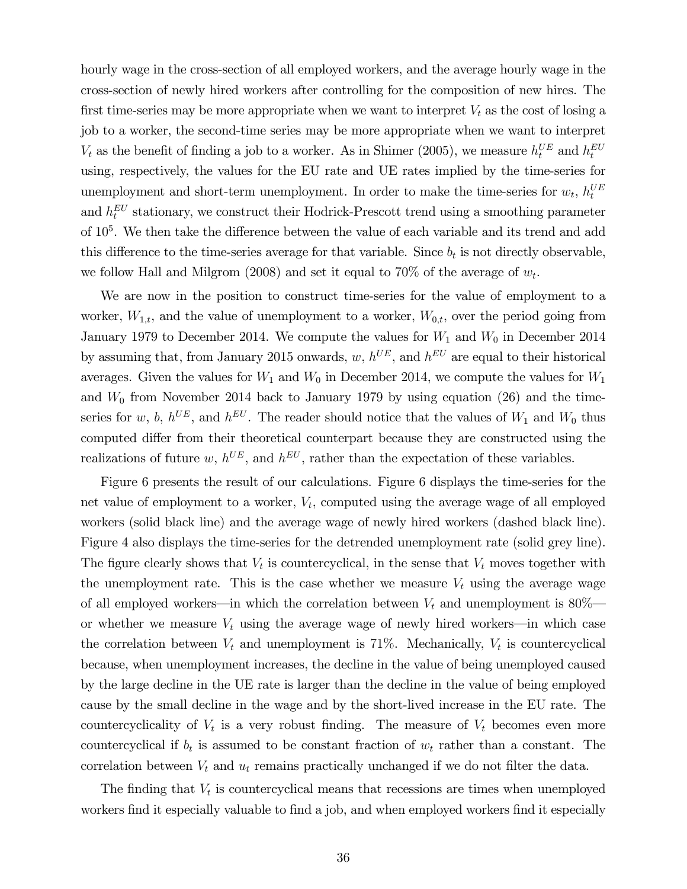hourly wage in the cross-section of all employed workers, and the average hourly wage in the cross-section of newly hired workers after controlling for the composition of new hires. The first time-series may be more appropriate when we want to interpret  $V_t$  as the cost of losing a job to a worker, the second-time series may be more appropriate when we want to interpret  $V_t$  as the benefit of finding a job to a worker. As in Shimer (2005), we measure  $h_t^{UE}$  and  $h_t^{EU}$ using, respectively, the values for the EU rate and UE rates implied by the time-series for unemployment and short-term unemployment. In order to make the time-series for  $w_t$ ,  $h_t^{UE}$ and  $h_t^{EU}$  stationary, we construct their Hodrick-Prescott trend using a smoothing parameter of  $10<sup>5</sup>$ . We then take the difference between the value of each variable and its trend and add this difference to the time-series average for that variable. Since  $b_t$  is not directly observable, we follow Hall and Milgrom (2008) and set it equal to 70% of the average of  $w_t$ .

We are now in the position to construct time-series for the value of employment to a worker,  $W_{1,t}$ , and the value of unemployment to a worker,  $W_{0,t}$ , over the period going from January 1979 to December 2014. We compute the values for  $W_1$  and  $W_0$  in December 2014 by assuming that, from January 2015 onwards,  $w, h^{UE}$ , and  $h^{EU}$  are equal to their historical averages. Given the values for  $W_1$  and  $W_0$  in December 2014, we compute the values for  $W_1$ and  $W_0$  from November 2014 back to January 1979 by using equation (26) and the timeseries for w, b,  $h^{UE}$ , and  $h^{EU}$ . The reader should notice that the values of  $W_1$  and  $W_0$  thus computed differ from their theoretical counterpart because they are constructed using the realizations of future w,  $h^{UE}$ , and  $h^{EU}$ , rather than the expectation of these variables.

Figure 6 presents the result of our calculations. Figure 6 displays the time-series for the net value of employment to a worker,  $V_t$ , computed using the average wage of all employed workers (solid black line) and the average wage of newly hired workers (dashed black line). Figure 4 also displays the time-series for the detrended unemployment rate (solid grey line). The figure clearly shows that  $V_t$  is countercyclical, in the sense that  $V_t$  moves together with the unemployment rate. This is the case whether we measure  $V_t$  using the average wage of all employed workers—in which the correlation between  $V_t$  and unemployment is 80% or whether we measure  $V_t$  using the average wage of newly hired workers—in which case the correlation between  $V_t$  and unemployment is 71%. Mechanically,  $V_t$  is countercyclical because, when unemployment increases, the decline in the value of being unemployed caused by the large decline in the UE rate is larger than the decline in the value of being employed cause by the small decline in the wage and by the short-lived increase in the EU rate. The countercyclicality of  $V_t$  is a very robust finding. The measure of  $V_t$  becomes even more countercyclical if  $b_t$  is assumed to be constant fraction of  $w_t$  rather than a constant. The correlation between  $V_t$  and  $u_t$  remains practically unchanged if we do not filter the data.

The finding that  $V_t$  is countercyclical means that recessions are times when unemployed workers find it especially valuable to find a job, and when employed workers find it especially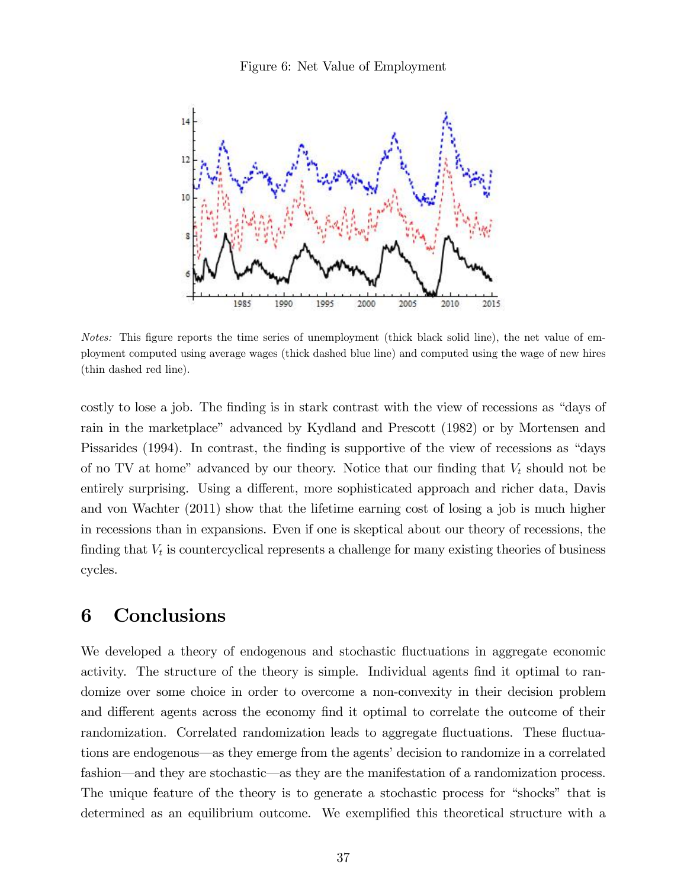



Notes: This figure reports the time series of unemployment (thick black solid line), the net value of employment computed using average wages (thick dashed blue line) and computed using the wage of new hires (thin dashed red line).

costly to lose a job. The finding is in stark contrast with the view of recessions as "days of rain in the marketplace" advanced by Kydland and Prescott (1982) or by Mortensen and Pissarides (1994). In contrast, the finding is supportive of the view of recessions as "days" of no TV at home" advanced by our theory. Notice that our finding that  $V_t$  should not be entirely surprising. Using a different, more sophisticated approach and richer data, Davis and von Wachter (2011) show that the lifetime earning cost of losing a job is much higher in recessions than in expansions. Even if one is skeptical about our theory of recessions, the finding that  $V_t$  is countercyclical represents a challenge for many existing theories of business cycles.

## 6 Conclusions

We developed a theory of endogenous and stochastic fluctuations in aggregate economic activity. The structure of the theory is simple. Individual agents find it optimal to randomize over some choice in order to overcome a non-convexity in their decision problem and different agents across the economy find it optimal to correlate the outcome of their randomization. Correlated randomization leads to aggregate fluctuations. These fluctuations are endogenous—as they emerge from the agents' decision to randomize in a correlated fashion—and they are stochastic—as they are the manifestation of a randomization process. The unique feature of the theory is to generate a stochastic process for "shocks" that is determined as an equilibrium outcome. We exemplified this theoretical structure with a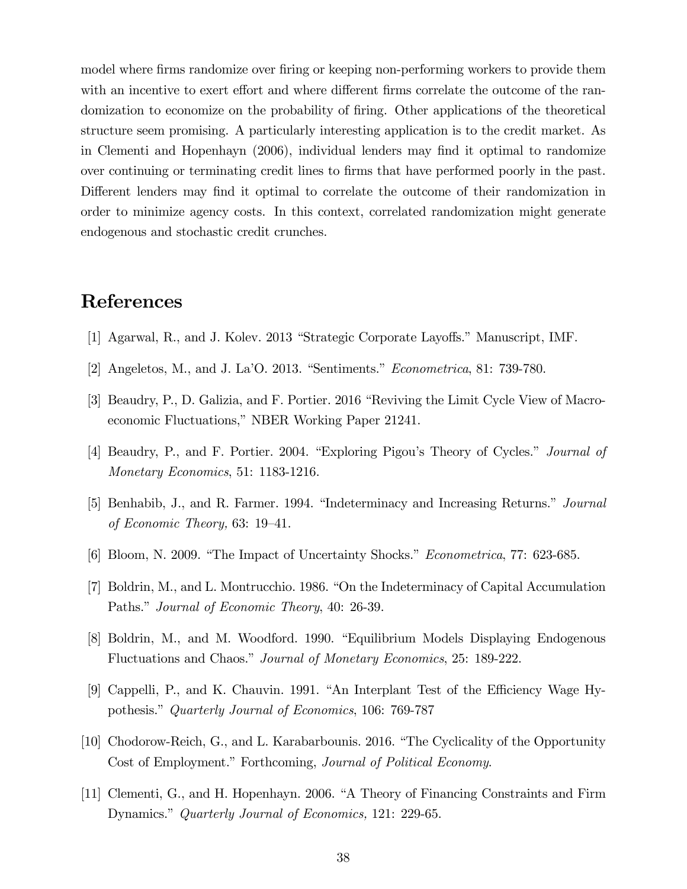model where firms randomize over firing or keeping non-performing workers to provide them with an incentive to exert effort and where different firms correlate the outcome of the randomization to economize on the probability of firing. Other applications of the theoretical structure seem promising. A particularly interesting application is to the credit market. As in Clementi and Hopenhayn (2006), individual lenders may find it optimal to randomize over continuing or terminating credit lines to Örms that have performed poorly in the past. Different lenders may find it optimal to correlate the outcome of their randomization in order to minimize agency costs. In this context, correlated randomization might generate endogenous and stochastic credit crunches.

## References

- [1] Agarwal, R., and J. Kolev. 2013 "Strategic Corporate Layoffs." Manuscript, IMF.
- [2] Angeletos, M., and J. La<sup> $\overline{O}$ </sup>. 2013. "Sentiments." *Econometrica*, 81: 739-780.
- [3] Beaudry, P., D. Galizia, and F. Portier. 2016 "Reviving the Limit Cycle View of Macroeconomic Fluctuations," NBER Working Paper 21241.
- [4] Beaudry, P., and F. Portier. 2004. "Exploring Pigou's Theory of Cycles." *Journal of* Monetary Economics, 51: 1183-1216.
- [5] Benhabib, J., and R. Farmer. 1994. "Indeterminacy and Increasing Returns." *Journal* of Economic Theory,  $63: 19-41$ .
- [6] Bloom, N. 2009. "The Impact of Uncertainty Shocks." *Econometrica*, 77: 623-685.
- [7] Boldrin, M., and L. Montrucchio. 1986. "On the Indeterminacy of Capital Accumulation" Paths." *Journal of Economic Theory*, 40: 26-39.
- [8] Boldrin, M., and M. Woodford. 1990. "Equilibrium Models Displaying Endogenous Fluctuations and Chaos." Journal of Monetary Economics, 25: 189-222.
- [9] Cappelli, P., and K. Chauvin. 1991. "An Interplant Test of the Efficiency Wage Hypothesis." Quarterly Journal of Economics, 106: 769-787
- [10] Chodorow-Reich, G., and L. Karabarbounis. 2016. "The Cyclicality of the Opportunity Cost of Employment." Forthcoming, Journal of Political Economy.
- [11] Clementi, G., and H. Hopenhayn. 2006. "A Theory of Financing Constraints and Firm Dynamics." Quarterly Journal of Economics, 121: 229-65.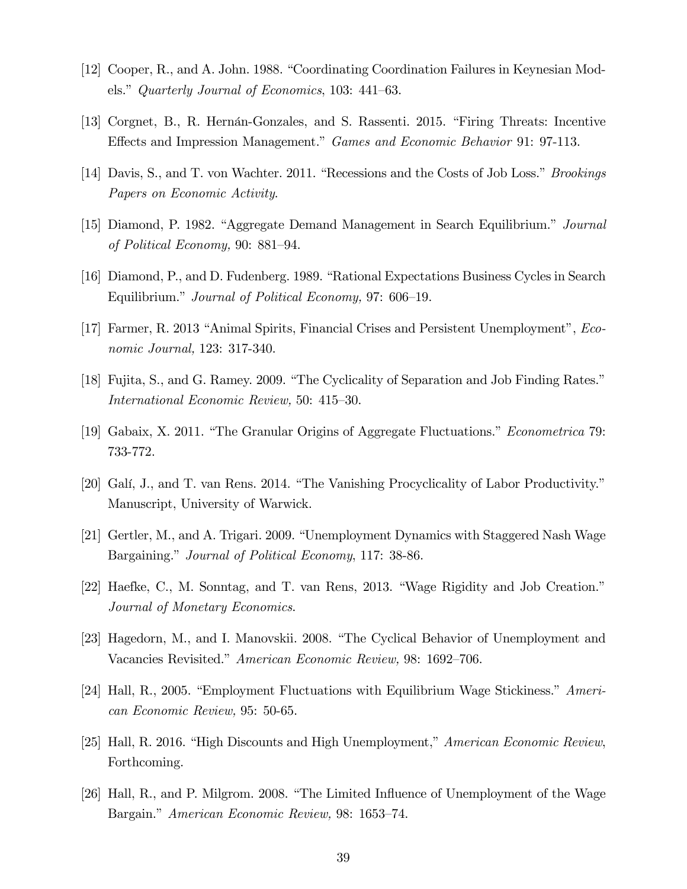- [12] Cooper, R., and A. John. 1988. "Coordinating Coordination Failures in Keynesian Models." Quarterly Journal of Economics, 103: 441–63.
- [13] Corgnet, B., R. Hernán-Gonzales, and S. Rassenti. 2015. "Firing Threats: Incentive Effects and Impression Management." Games and Economic Behavior 91: 97-113.
- [14] Davis, S., and T. von Wachter. 2011. "Recessions and the Costs of Job Loss." *Brookings* Papers on Economic Activity.
- [15] Diamond, P. 1982. "Aggregate Demand Management in Search Equilibrium." Journal of Political Economy, 90:  $881-94$ .
- [16] Diamond, P., and D. Fudenberg. 1989. "Rational Expectations Business Cycles in Search Equilibrium." Journal of Political Economy, 97: 606-19.
- [17] Farmer, R. 2013 "Animal Spirits, Financial Crises and Persistent Unemployment", *Eco*nomic Journal, 123: 317-340.
- [18] Fujita, S., and G. Ramey. 2009. "The Cyclicality of Separation and Job Finding Rates." International Economic Review, 50: 415–30.
- [19] Gabaix, X. 2011. "The Granular Origins of Aggregate Fluctuations." *Econometrica* 79: 733-772.
- [20] Galí, J., and T. van Rens. 2014. "The Vanishing Procyclicality of Labor Productivity." Manuscript, University of Warwick.
- [21] Gertler, M., and A. Trigari. 2009. "Unemployment Dynamics with Staggered Nash Wage Bargaining." Journal of Political Economy, 117: 38-86.
- $[22]$  Haefke, C., M. Sonntag, and T. van Rens, 2013. "Wage Rigidity and Job Creation." Journal of Monetary Economics.
- [23] Hagedorn, M., and I. Manovskii. 2008. "The Cyclical Behavior of Unemployment and Vacancies Revisited." American Economic Review, 98: 1692–706.
- [24] Hall, R., 2005. "Employment Fluctuations with Equilibrium Wage Stickiness."  $American$ can Economic Review, 95: 50-65.
- [25] Hall, R. 2016. "High Discounts and High Unemployment," American Economic Review, Forthcoming.
- [26] Hall, R., and P. Milgrom. 2008. "The Limited Influence of Unemployment of the Wage Bargain." American Economic Review, 98: 1653–74.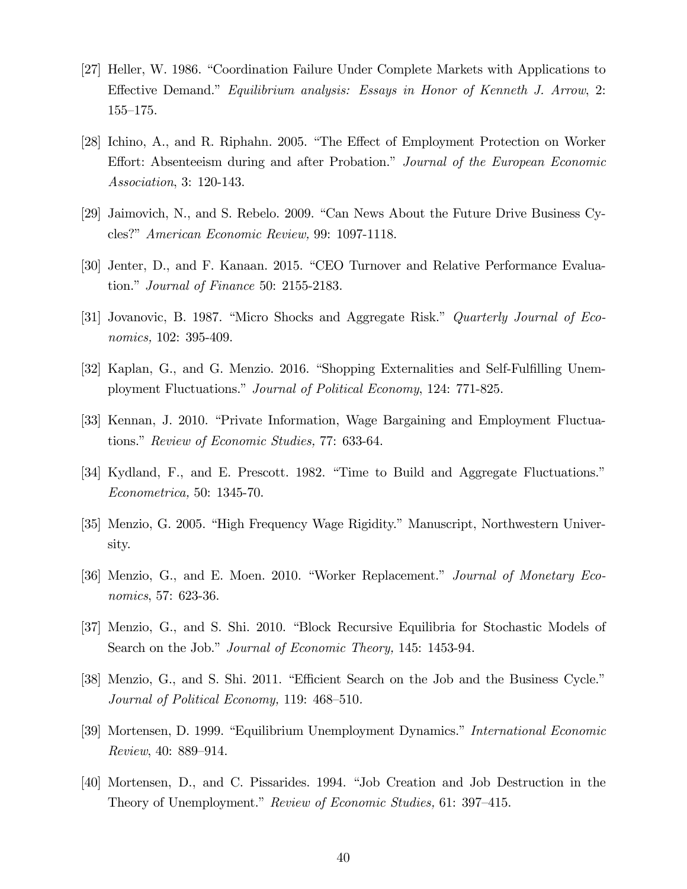- [27] Heller, W. 1986. "Coordination Failure Under Complete Markets with Applications to Effective Demand." Equilibrium analysis: Essays in Honor of Kenneth J. Arrow, 2:  $155 - 175.$
- [28] Ichino, A., and R. Riphahn. 2005. "The Effect of Employment Protection on Worker Effort: Absenteeism during and after Probation." Journal of the European Economic Association, 3: 120-143.
- [29] Jaimovich, N., and S. Rebelo. 2009. "Can News About the Future Drive Business Cycles?" American Economic Review, 99: 1097-1118.
- [30] Jenter, D., and F. Kanaan. 2015. "CEO Turnover and Relative Performance Evaluation." Journal of Finance 50: 2155-2183.
- [31] Jovanovic, B. 1987. "Micro Shocks and Aggregate Risk." *Quarterly Journal of Eco*nomics, 102: 395-409.
- [32] Kaplan, G., and G. Menzio. 2016. "Shopping Externalities and Self-Fulfilling Unemployment Fluctuations." Journal of Political Economy, 124: 771-825.
- [33] Kennan, J. 2010. "Private Information, Wage Bargaining and Employment Fluctuations." Review of Economic Studies, 77: 633-64.
- [34] Kydland, F., and E. Prescott. 1982. "Time to Build and Aggregate Fluctuations." Econometrica, 50: 1345-70.
- [35] Menzio, G. 2005. "High Frequency Wage Rigidity." Manuscript, Northwestern University.
- [36] Menzio, G., and E. Moen. 2010. "Worker Replacement." *Journal of Monetary Eco*nomics, 57: 623-36.
- [37] Menzio, G., and S. Shi. 2010. "Block Recursive Equilibria for Stochastic Models of Search on the Job." Journal of Economic Theory, 145: 1453-94.
- [38] Menzio, G., and S. Shi. 2011. "Efficient Search on the Job and the Business Cycle." Journal of Political Economy, 119: 468–510.
- [39] Mortensen, D. 1999. "Equilibrium Unemployment Dynamics." *International Economic* Review, 40: 889–914.
- [40] Mortensen, D., and C. Pissarides. 1994. "Job Creation and Job Destruction in the Theory of Unemployment." Review of Economic Studies, 61: 397–415.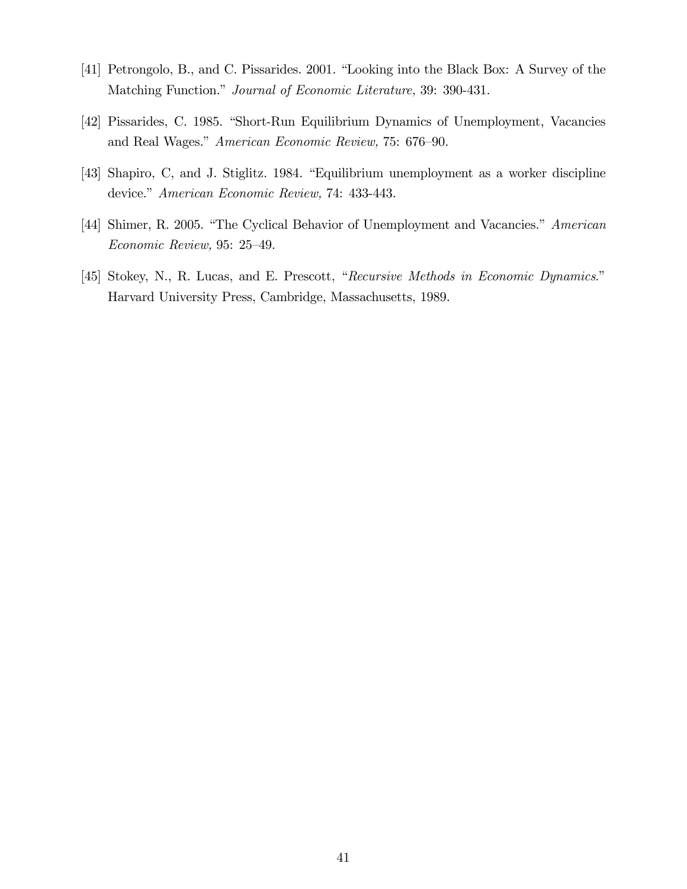- [41] Petrongolo, B., and C. Pissarides. 2001. "Looking into the Black Box: A Survey of the Matching Function." Journal of Economic Literature, 39: 390-431.
- [42] Pissarides, C. 1985. "Short-Run Equilibrium Dynamics of Unemployment, Vacancies and Real Wages." American Economic Review, 75: 676-90.
- [43] Shapiro, C, and J. Stiglitz. 1984. "Equilibrium unemployment as a worker discipline device." American Economic Review, 74: 433-443.
- [44] Shimer, R. 2005. "The Cyclical Behavior of Unemployment and Vacancies." American  $Economic Review, 95: 25-49.$
- [45] Stokey, N., R. Lucas, and E. Prescott, "Recursive Methods in Economic Dynamics." Harvard University Press, Cambridge, Massachusetts, 1989.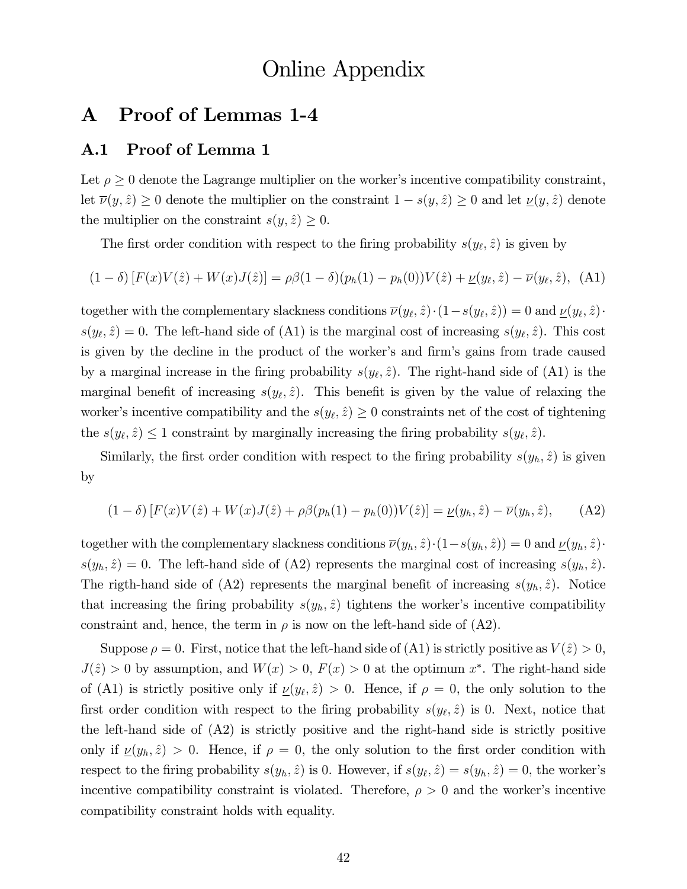# Online Appendix

## A Proof of Lemmas 1-4

### A.1 Proof of Lemma 1

Let  $\rho \geq 0$  denote the Lagrange multiplier on the worker's incentive compatibility constraint, let  $\overline{\nu}(y, \hat{z}) \ge 0$  denote the multiplier on the constraint  $1 - s(y, \hat{z}) \ge 0$  and let  $\underline{\nu}(y, \hat{z})$  denote the multiplier on the constraint  $s(y, \hat{z}) \geq 0$ .

The first order condition with respect to the firing probability  $s(y_\ell, \hat{z})$  is given by

$$
(1 - \delta) [F(x)V(\hat{z}) + W(x)J(\hat{z})] = \rho \beta (1 - \delta)(p_h(1) - p_h(0))V(\hat{z}) + \underline{\nu}(y_\ell, \hat{z}) - \overline{\nu}(y_\ell, \hat{z}), \quad (A1)
$$

together with the complementary slackness conditions  $\overline{\nu}(y_\ell, \hat{z}) \cdot (1 - s(y_\ell, \hat{z})) = 0$  and  $\underline{\nu}(y_\ell, \hat{z}) \cdot$  $s(y_\ell, \hat{z}) = 0$ . The left-hand side of (A1) is the marginal cost of increasing  $s(y_\ell, \hat{z})$ . This cost is given by the decline in the product of the worker's and firm's gains from trade caused by a marginal increase in the firing probability  $s(y_\ell, \hat{z})$ . The right-hand side of (A1) is the marginal benefit of increasing  $s(y_\ell, \hat{z})$ . This benefit is given by the value of relaxing the worker's incentive compatibility and the  $s(y_\ell, \hat{z}) \geq 0$  constraints net of the cost of tightening the  $s(y_\ell, \hat{z}) \leq 1$  constraint by marginally increasing the firing probability  $s(y_\ell, \hat{z})$ .

Similarly, the first order condition with respect to the firing probability  $s(y_h, \hat{z})$  is given by

$$
(1 - \delta) [F(x)V(\hat{z}) + W(x)J(\hat{z}) + \rho \beta (p_h(1) - p_h(0))V(\hat{z})] = \underline{\nu}(y_h, \hat{z}) - \overline{\nu}(y_h, \hat{z}), \quad (A2)
$$

together with the complementary slackness conditions  $\overline{\nu}(y_h, \hat{z})\cdot(1-s(y_h, \hat{z})) = 0$  and  $\underline{\nu}(y_h, \hat{z})\cdot$  $s(y_h, \hat{z}) = 0$ . The left-hand side of (A2) represents the marginal cost of increasing  $s(y_h, \hat{z})$ . The rigth-hand side of (A2) represents the marginal benefit of increasing  $s(y_h, \hat{z})$ . Notice that increasing the firing probability  $s(y_h, \hat{z})$  tightens the worker's incentive compatibility constraint and, hence, the term in  $\rho$  is now on the left-hand side of (A2).

Suppose  $\rho = 0$ . First, notice that the left-hand side of (A1) is strictly positive as  $V(\hat{z}) > 0$ ,  $J(\hat{z}) > 0$  by assumption, and  $W(x) > 0$ ,  $F(x) > 0$  at the optimum  $x^*$ . The right-hand side of (A1) is strictly positive only if  $\underline{\nu}(y_\ell, \hat{z}) > 0$ . Hence, if  $\rho = 0$ , the only solution to the first order condition with respect to the firing probability  $s(y_\ell, \hat{z})$  is 0. Next, notice that the left-hand side of (A2) is strictly positive and the right-hand side is strictly positive only if  $\underline{\nu}(y_h, \hat{z}) > 0$ . Hence, if  $\rho = 0$ , the only solution to the first order condition with respect to the firing probability  $s(y_h, \hat{z})$  is 0. However, if  $s(y_\ell, \hat{z}) = s(y_h, \hat{z}) = 0$ , the worker's incentive compatibility constraint is violated. Therefore,  $\rho > 0$  and the worker's incentive compatibility constraint holds with equality.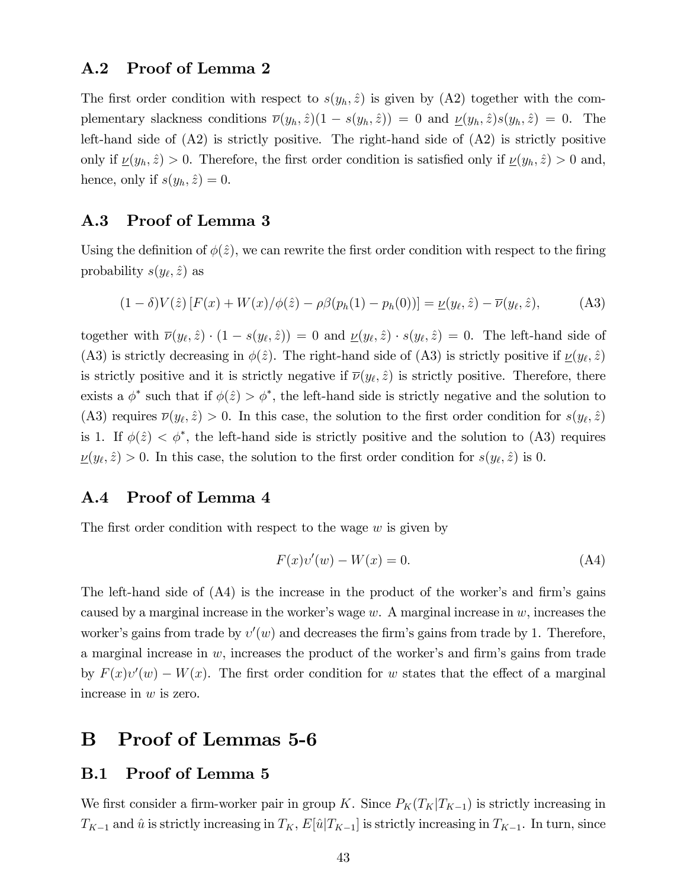### A.2 Proof of Lemma 2

The first order condition with respect to  $s(y_h, \hat{z})$  is given by (A2) together with the complementary slackness conditions  $\overline{\nu}(y_h, \hat{z})(1 - s(y_h, \hat{z})) = 0$  and  $\underline{\nu}(y_h, \hat{z})s(y_h, \hat{z}) = 0$ . The left-hand side of  $(A2)$  is strictly positive. The right-hand side of  $(A2)$  is strictly positive only if  $\underline{\nu}(y_h, \hat{z}) > 0$ . Therefore, the first order condition is satisfied only if  $\underline{\nu}(y_h, \hat{z}) > 0$  and, hence, only if  $s(y_h, \hat{z}) = 0$ .

### A.3 Proof of Lemma 3

Using the definition of  $\phi(\hat{z})$ , we can rewrite the first order condition with respect to the firing probability  $s(y_\ell, \hat{z})$  as

$$
(1 - \delta)V(\hat{z}) [F(x) + W(x) / \phi(\hat{z}) - \rho \beta (p_h(1) - p_h(0))] = \underline{\nu}(y_\ell, \hat{z}) - \overline{\nu}(y_\ell, \hat{z}), \tag{A3}
$$

together with  $\overline{\nu}(y_{\ell}, \hat{z}) \cdot (1 - s(y_{\ell}, \hat{z})) = 0$  and  $\underline{\nu}(y_{\ell}, \hat{z}) \cdot s(y_{\ell}, \hat{z}) = 0$ . The left-hand side of (A3) is strictly decreasing in  $\phi(\hat{z})$ . The right-hand side of (A3) is strictly positive if  $\underline{\nu}(y_{\ell},\hat{z})$ is strictly positive and it is strictly negative if  $\overline{\nu}(y_\ell, \hat{z})$  is strictly positive. Therefore, there exists a  $\phi^*$  such that if  $\phi(\hat{z}) > \phi^*$ , the left-hand side is strictly negative and the solution to (A3) requires  $\overline{\nu}(y_\ell, \hat{z}) > 0$ . In this case, the solution to the first order condition for  $s(y_\ell, \hat{z})$ is 1. If  $\phi(\hat{z}) < \phi^*$ , the left-hand side is strictly positive and the solution to (A3) requires  $\underline{\nu}(y_{\ell},\hat{z}) > 0$ . In this case, the solution to the first order condition for  $s(y_{\ell},\hat{z})$  is 0.

### A.4 Proof of Lemma 4

The first order condition with respect to the wage  $w$  is given by

$$
F(x)v'(w) - W(x) = 0.
$$
 (A4)

The left-hand side of  $(A4)$  is the increase in the product of the worker's and firm's gains caused by a marginal increase in the worker's wage  $w$ . A marginal increase in  $w$ , increases the worker's gains from trade by  $v'(w)$  and decreases the firm's gains from trade by 1. Therefore, a marginal increase in  $w$ , increases the product of the worker's and firm's gains from trade by  $F(x)v'(w) - W(x)$ . The first order condition for w states that the effect of a marginal increase in w is zero.

## B Proof of Lemmas 5-6

### B.1 Proof of Lemma 5

We first consider a firm-worker pair in group K. Since  $P_K(T_K|T_{K-1})$  is strictly increasing in  $T_{K-1}$  and  $\hat{u}$  is strictly increasing in  $T_K$ ,  $E[\hat{u}|T_{K-1}]$  is strictly increasing in  $T_{K-1}$ . In turn, since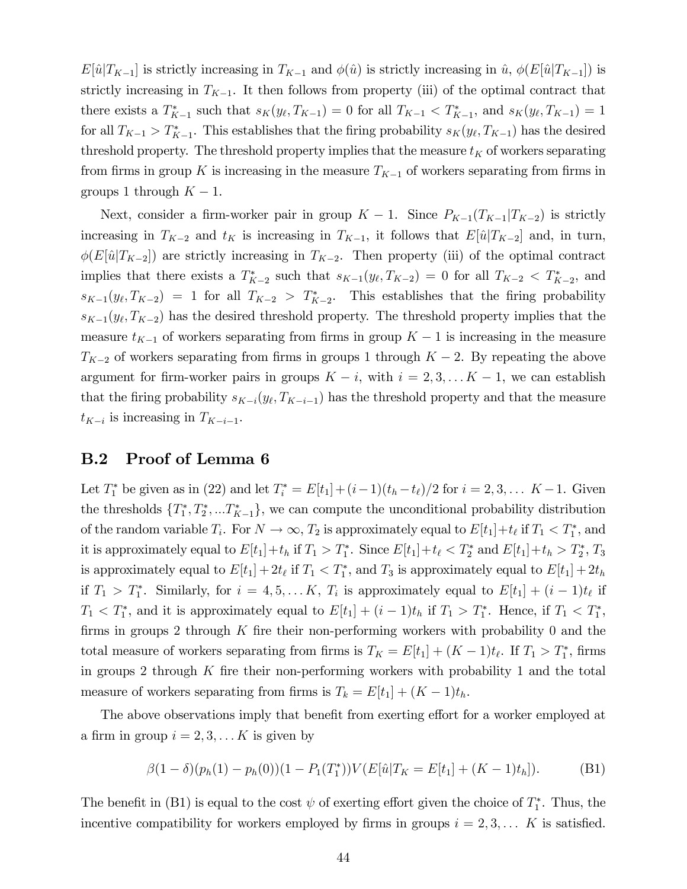$E[\hat{u}|T_{K-1}]$  is strictly increasing in  $T_{K-1}$  and  $\phi(\hat{u})$  is strictly increasing in  $\hat{u}$ ,  $\phi(E[\hat{u}|T_{K-1}])$  is strictly increasing in  $T_{K-1}$ . It then follows from property (iii) of the optimal contract that there exists a  $T_{K-1}^*$  such that  $s_K(y_\ell, T_{K-1}) = 0$  for all  $T_{K-1} < T_{K-1}^*$ , and  $s_K(y_\ell, T_{K-1}) = 1$ for all  $T_{K-1} > T_{K-1}^*$ . This establishes that the firing probability  $s_K(y_\ell, T_{K-1})$  has the desired threshold property. The threshold property implies that the measure  $t_K$  of workers separating from firms in group K is increasing in the measure  $T_{K-1}$  of workers separating from firms in groups 1 through  $K - 1$ .

Next, consider a firm-worker pair in group  $K - 1$ . Since  $P_{K-1}(T_{K-1}|T_{K-2})$  is strictly increasing in  $T_{K-2}$  and  $t_K$  is increasing in  $T_{K-1}$ , it follows that  $E[\hat{u}|T_{K-2}]$  and, in turn,  $\phi(E[\hat{u}|T_{K-2}])$  are strictly increasing in  $T_{K-2}$ . Then property (iii) of the optimal contract implies that there exists a  $T_{K-2}^*$  such that  $s_{K-1}(y_\ell, T_{K-2}) = 0$  for all  $T_{K-2} < T_{K-2}^*$ , and  $s_{K-1}(y_{\ell}, T_{K-2}) = 1$  for all  $T_{K-2} > T_{K-2}^*$ . This establishes that the firing probability  $s_{K-1}(y_{\ell}, T_{K-2})$  has the desired threshold property. The threshold property implies that the measure  $t_{K-1}$  of workers separating from firms in group  $K-1$  is increasing in the measure  $T_{K-2}$  of workers separating from firms in groups 1 through  $K - 2$ . By repeating the above argument for firm-worker pairs in groups  $K - i$ , with  $i = 2, 3, \ldots K - 1$ , we can establish that the firing probability  $s_{K-i}(y_{\ell}, T_{K-i-1})$  has the threshold property and that the measure  $t_{K-i}$  is increasing in  $T_{K-i-1}$ .

### B.2 Proof of Lemma 6

Let  $T_1^*$  be given as in (22) and let  $T_i^* = E[t_1] + (i-1)(t_h - t_\ell)/2$  for  $i = 2, 3, \ldots$  K - 1. Given the thresholds  $\{T_1^*, T_2^*, \ldots T_{K-1}^*\}$ , we can compute the unconditional probability distribution of the random variable  $T_i$ . For  $N \to \infty$ ,  $T_2$  is approximately equal to  $E[t_1]+t_\ell$  if  $T_1 < T_1^*$ , and it is approximately equal to  $E[t_1]+t_h$  if  $T_1 > T_1^*$ . Since  $E[t_1]+t_\ell < T_2^*$  and  $E[t_1]+t_h > T_2^*$ ,  $T_3$ is approximately equal to  $E[t_1] + 2t_\ell$  if  $T_1 < T_1^*$ , and  $T_3$  is approximately equal to  $E[t_1] + 2t_h$ if  $T_1 > T_1^*$ . Similarly, for  $i = 4, 5, \ldots K$ ,  $T_i$  is approximately equal to  $E[t_1] + (i - 1)t_\ell$  if  $T_1 < T_1^*$ , and it is approximately equal to  $E[t_1] + (i - 1)t_h$  if  $T_1 > T_1^*$ . Hence, if  $T_1 < T_1^*$ , firms in groups 2 through  $K$  fire their non-performing workers with probability 0 and the total measure of workers separating from firms is  $T_K = E[t_1] + (K - 1)t_\ell$ . If  $T_1 > T_1^*$ , firms in groups 2 through  $K$  fire their non-performing workers with probability 1 and the total measure of workers separating from firms is  $T_k = E[t_1] + (K - 1)t_h$ .

The above observations imply that benefit from exerting effort for a worker employed at a firm in group  $i = 2, 3, \ldots K$  is given by

$$
\beta(1-\delta)(p_h(1)-p_h(0))(1-P_1(T_1^*))V(E[\hat{u}|T_K=E[t_1]+(K-1)t_h]).
$$
 (B1)

The benefit in (B1) is equal to the cost  $\psi$  of exerting effort given the choice of  $T_1^*$ . Thus, the incentive compatibility for workers employed by firms in groups  $i = 2, 3, \ldots$  K is satisfied.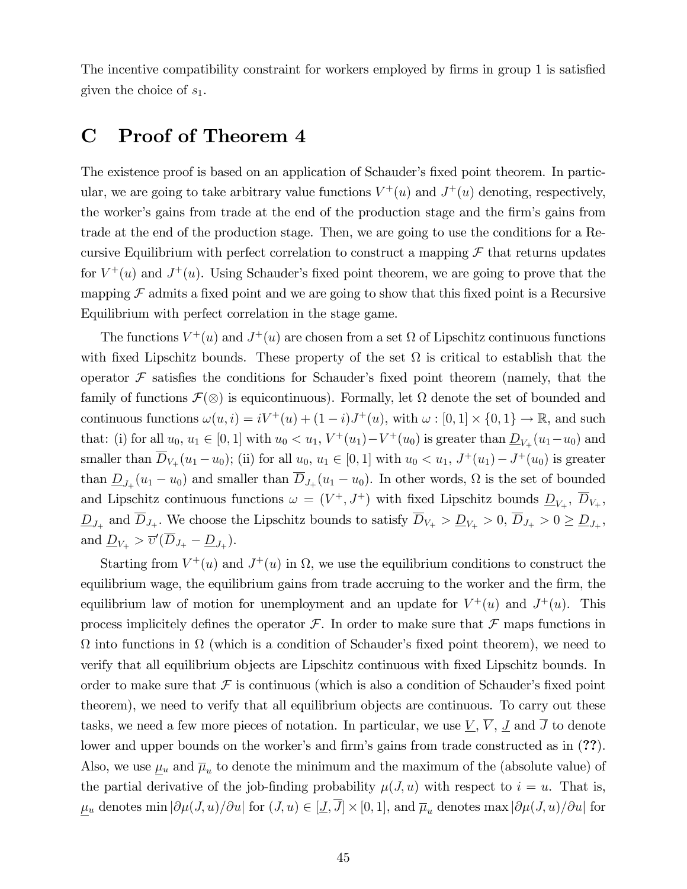The incentive compatibility constraint for workers employed by firms in group 1 is satisfied given the choice of  $s_1$ .

## C Proof of Theorem 4

The existence proof is based on an application of Schauder's fixed point theorem. In particular, we are going to take arbitrary value functions  $V^+(u)$  and  $J^+(u)$  denoting, respectively, the worker's gains from trade at the end of the production stage and the firm's gains from trade at the end of the production stage. Then, we are going to use the conditions for a Recursive Equilibrium with perfect correlation to construct a mapping  $\mathcal F$  that returns updates for  $V^+(u)$  and  $J^+(u)$ . Using Schauder's fixed point theorem, we are going to prove that the mapping  $\mathcal F$  admits a fixed point and we are going to show that this fixed point is a Recursive Equilibrium with perfect correlation in the stage game.

The functions  $V^+(u)$  and  $J^+(u)$  are chosen from a set  $\Omega$  of Lipschitz continuous functions with fixed Lipschitz bounds. These property of the set  $\Omega$  is critical to establish that the operator  $\mathcal F$  satisfies the conditions for Schauder's fixed point theorem (namely, that the family of functions  $\mathcal{F}(\otimes)$  is equicontinuous). Formally, let  $\Omega$  denote the set of bounded and continuous functions  $\omega(u, i) = iV^+(u) + (1 - i)J^+(u)$ , with  $\omega : [0, 1] \times \{0, 1\} \to \mathbb{R}$ , and such that: (i) for all  $u_0, u_1 \in [0, 1]$  with  $u_0 < u_1, V^+(u_1) - V^+(u_0)$  is greater than  $\underline{D}_{V_+}(u_1 - u_0)$  and smaller than  $\overline{D}_{V_+}(u_1 - u_0)$ ; (ii) for all  $u_0, u_1 \in [0, 1]$  with  $u_0 < u_1, J^+(u_1) - J^+(u_0)$  is greater than  $\underline{D}_{J_+}(u_1 - u_0)$  and smaller than  $D_{J_+}(u_1 - u_0)$ . In other words,  $\Omega$  is the set of bounded and Lipschitz continuous functions  $\omega = (V^+, J^+)$  with fixed Lipschitz bounds  $\underline{D}_{V_+}, \overline{D}_{V_+},$  $\underline{D}_{J_+}$  and  $D_{J_+}$ . We choose the Lipschitz bounds to satisfy  $D_{V_+} > \underline{D}_{V_+} > 0$ ,  $D_{J_+} > 0 \ge \underline{D}_{J_+}$ , and  $\underline{D}_{V_+} > \overline{v}'(D_{J_+} - \underline{D}_{J_+}).$ 

Starting from  $V^+(u)$  and  $J^+(u)$  in  $\Omega$ , we use the equilibrium conditions to construct the equilibrium wage, the equilibrium gains from trade accruing to the worker and the firm, the equilibrium law of motion for unemployment and an update for  $V^+(u)$  and  $J^+(u)$ . This process implicitely defines the operator  $\mathcal F$ . In order to make sure that  $\mathcal F$  maps functions in  $\Omega$  into functions in  $\Omega$  (which is a condition of Schauder's fixed point theorem), we need to verify that all equilibrium objects are Lipschitz continuous with Öxed Lipschitz bounds. In order to make sure that  $\mathcal F$  is continuous (which is also a condition of Schauder's fixed point theorem), we need to verify that all equilibrium objects are continuous. To carry out these tasks, we need a few more pieces of notation. In particular, we use  $\underline{V}$ ,  $\overline{V}$ ,  $\underline{J}$  and  $\overline{J}$  to denote lower and upper bounds on the worker's and firm's gains from trade constructed as in (??). Also, we use  $\mu_u$  and  $\overline{\mu}_u$  to denote the minimum and the maximum of the (absolute value) of the partial derivative of the job-finding probability  $\mu(J, u)$  with respect to  $i = u$ . That is,  $\underline{\mu}_u$  denotes min  $|\partial \mu(J, u)/\partial u|$  for  $(J, u) \in [\underline{J}, J] \times [0, 1]$ , and  $\overline{\mu}_u$  denotes max  $|\partial \mu(J, u)/\partial u|$  for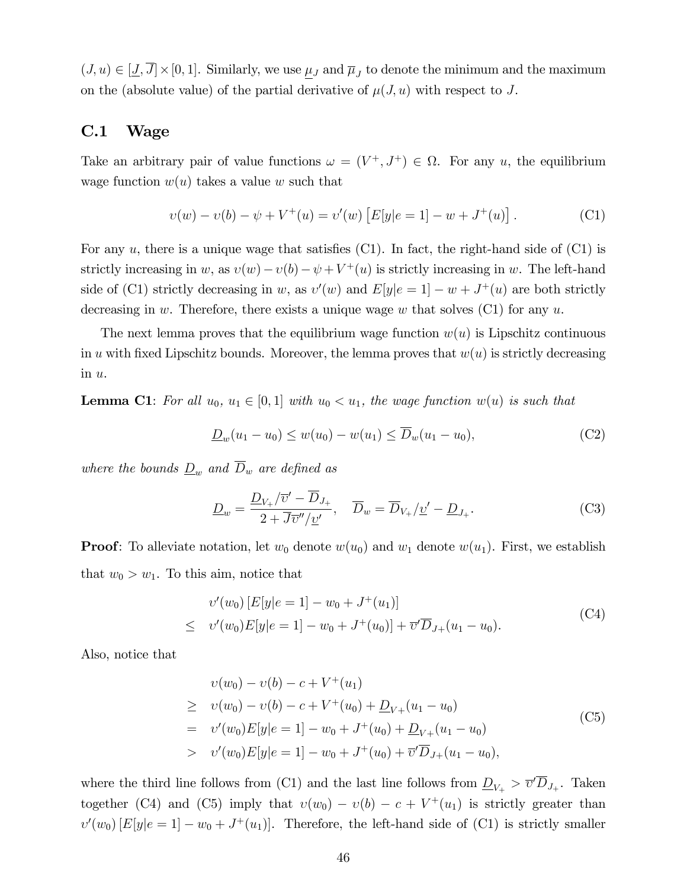$(J, u) \in [\underline{J}, J] \times [0, 1]$ . Similarly, we use  $\underline{\mu}_J$  and  $\overline{\mu}_J$  to denote the minimum and the maximum on the (absolute value) of the partial derivative of  $\mu(J, u)$  with respect to J.

### C.1 Wage

Take an arbitrary pair of value functions  $\omega = (V^+, J^+) \in \Omega$ . For any u, the equilibrium wage function  $w(u)$  takes a value w such that

$$
v(w) - v(b) - \psi + V^{+}(u) = v'(w) \left[ E[y|e = 1] - w + J^{+}(u) \right].
$$
 (C1)

For any  $u$ , there is a unique wage that satisfies (C1). In fact, the right-hand side of (C1) is strictly increasing in w, as  $v(w) - v(b) - \psi + V^+(u)$  is strictly increasing in w. The left-hand side of (C1) strictly decreasing in w, as  $v'(w)$  and  $E[y|e=1] - w + J^+(u)$  are both strictly decreasing in w. Therefore, there exists a unique wage w that solves  $(C1)$  for any u.

The next lemma proves that the equilibrium wage function  $w(u)$  is Lipschitz continuous in u with fixed Lipschitz bounds. Moreover, the lemma proves that  $w(u)$  is strictly decreasing in u.

**Lemma C1**: For all  $u_0, u_1 \in [0, 1]$  with  $u_0 < u_1$ , the wage function  $w(u)$  is such that

$$
\underline{D}_w(u_1 - u_0) \le w(u_0) - w(u_1) \le \overline{D}_w(u_1 - u_0),
$$
\n(C2)

where the bounds  $\underline{D}_w$  and  $\overline{D}_w$  are defined as

$$
\underline{D}_w = \frac{\underline{D}_{V_+}/\overline{v}' - \overline{D}_{J_+}}{2 + \overline{J}\overline{v}''/\underline{v}'}, \quad \overline{D}_w = \overline{D}_{V_+}/\underline{v}' - \underline{D}_{J_+}.
$$
 (C3)

**Proof**: To alleviate notation, let  $w_0$  denote  $w(u_0)$  and  $w_1$  denote  $w(u_1)$ . First, we establish that  $w_0 > w_1$ . To this aim, notice that

$$
v'(w_0)[E[y]e = 1] - w_0 + J^+(u_1)]
$$
  
\n
$$
\leq v'(w_0)E[y]e = 1] - w_0 + J^+(u_0)] + \overline{v}'\overline{D}_{J^+}(u_1 - u_0).
$$
 (C4)

Also, notice that

$$
v(w_0) - v(b) - c + V^+(u_1)
$$
  
\n
$$
\geq v(w_0) - v(b) - c + V^+(u_0) + \underline{D}_{V+}(u_1 - u_0)
$$
  
\n
$$
= v'(w_0)E[y|e = 1] - w_0 + J^+(u_0) + \underline{D}_{V+}(u_1 - u_0)
$$
  
\n
$$
> v'(w_0)E[y|e = 1] - w_0 + J^+(u_0) + \overline{v}'\overline{D}_{J+}(u_1 - u_0),
$$
\n(C5)

where the third line follows from (C1) and the last line follows from  $\underline{D}_{V_+} > \overline{v}' D_{J_+}$ . Taken together (C4) and (C5) imply that  $v(w_0) - v(b) - c + V^+(u_1)$  is strictly greater than  $v'(w_0)[E[y]e = 1] - w_0 + J^+(u_1)].$  Therefore, the left-hand side of (C1) is strictly smaller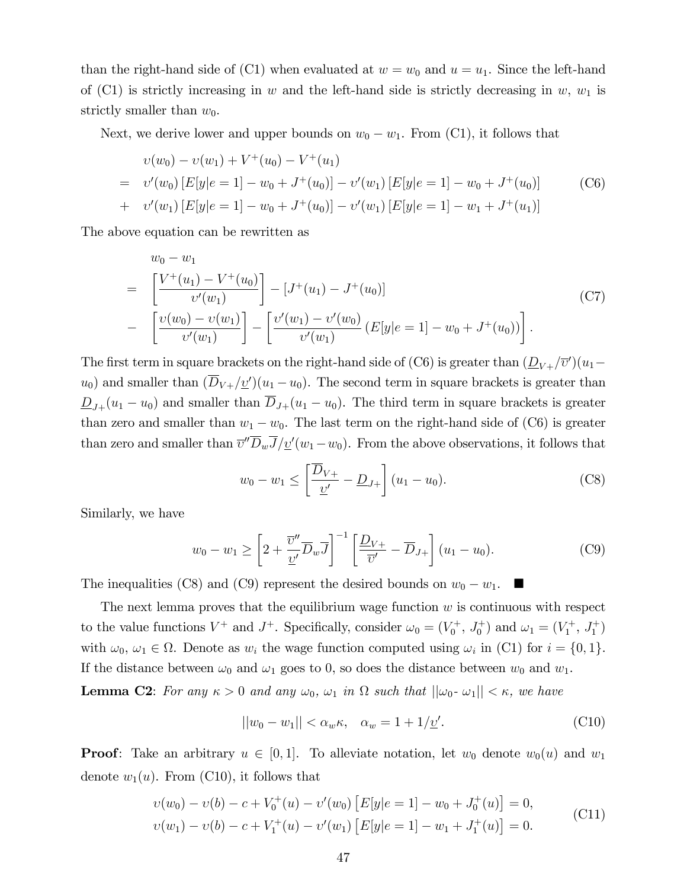than the right-hand side of (C1) when evaluated at  $w = w_0$  and  $u = u_1$ . Since the left-hand of (C1) is strictly increasing in w and the left-hand side is strictly decreasing in w,  $w_1$  is strictly smaller than  $w_0$ .

Next, we derive lower and upper bounds on  $w_0 - w_1$ . From (C1), it follows that

$$
v(w_0) - v(w_1) + V^+(u_0) - V^+(u_1)
$$
  
= 
$$
v'(w_0) [E[y|e = 1] - w_0 + J^+(u_0)] - v'(w_1) [E[y|e = 1] - w_0 + J^+(u_0)]
$$
 (C6)  
+ 
$$
v'(w_1) [E[y|e = 1] - w_0 + J^+(u_0)] - v'(w_1) [E[y|e = 1] - w_1 + J^+(u_1)]
$$

The above equation can be rewritten as

$$
w_0 - w_1
$$
  
=  $\left[ \frac{V^+(u_1) - V^+(u_0)}{v'(w_1)} \right] - [J^+(u_1) - J^+(u_0)]$  (C7)  
-  $\left[ \frac{v(w_0) - v(w_1)}{v'(w_1)} \right] - \left[ \frac{v'(w_1) - v'(w_0)}{v'(w_1)} (E[y|e = 1] - w_0 + J^+(u_0)) \right].$ 

The first term in square brackets on the right-hand side of (C6) is greater than  $(\underline{D}_{V+}/\overline{v}')(u_1$  $u_0$ ) and smaller than  $(D_{V+}/\underline{v}')(u_1 - u_0)$ . The second term in square brackets is greater than  $\underline{D}_{J+}(u_1 - u_0)$  and smaller than  $\overline{D}_{J+}(u_1 - u_0)$ . The third term in square brackets is greater than zero and smaller than  $w_1 - w_0$ . The last term on the right-hand side of (C6) is greater than zero and smaller than  $\overline{v}''D_wJ/\underline{v}'(w_1-w_0)$ . From the above observations, it follows that

$$
w_0 - w_1 \le \left[\frac{\overline{D}_{V+}}{\underline{v}'} - \underline{D}_{J+}\right](u_1 - u_0). \tag{C8}
$$

Similarly, we have

$$
w_0 - w_1 \ge \left[2 + \frac{\overline{v}''}{\underline{v}'} \overline{D}_w \overline{J}\right]^{-1} \left[\frac{\underline{D}_{V+}}{\overline{v}'} - \overline{D}_{J+}\right] (u_1 - u_0).
$$
 (C9)

The inequalities (C8) and (C9) represent the desired bounds on  $w_0 - w_1$ .

The next lemma proves that the equilibrium wage function  $w$  is continuous with respect to the value functions  $V^+$  and  $J^+$ . Specifically, consider  $\omega_0 = (V_0^+, J_0^+)$  and  $\omega_1 = (V_1^+, J_1^+)$ with  $\omega_0, \omega_1 \in \Omega$ . Denote as  $w_i$  the wage function computed using  $\omega_i$  in (C1) for  $i = \{0, 1\}$ . If the distance between  $\omega_0$  and  $\omega_1$  goes to 0, so does the distance between  $w_0$  and  $w_1$ . **Lemma C2**: For any  $\kappa > 0$  and any  $\omega_0$ ,  $\omega_1$  in  $\Omega$  such that  $||\omega_0 - \omega_1|| < \kappa$ , we have

$$
||w_0 - w_1|| < \alpha_w \kappa, \quad \alpha_w = 1 + 1/\underline{v}'. \tag{C10}
$$

**Proof:** Take an arbitrary  $u \in [0, 1]$ . To alleviate notation, let  $w_0$  denote  $w_0(u)$  and  $w_1$ denote  $w_1(u)$ . From (C10), it follows that

$$
v(w_0) - v(b) - c + V_0^+(u) - v'(w_0) [E[y]e = 1] - w_0 + J_0^+(u) = 0,
$$
  

$$
v(w_1) - v(b) - c + V_1^+(u) - v'(w_1) [E[y]e = 1] - w_1 + J_1^+(u) = 0.
$$
 (C11)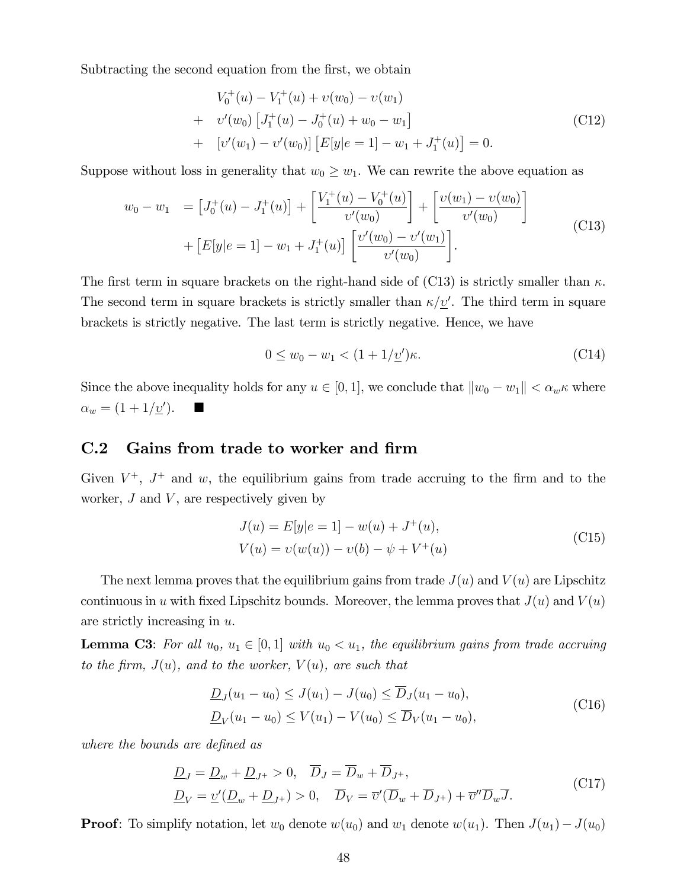Subtracting the second equation from the first, we obtain

$$
V_0^+(u) - V_1^+(u) + \upsilon(w_0) - \upsilon(w_1)
$$
  
+  $\upsilon'(w_0) [J_1^+(u) - J_0^+(u) + w_0 - w_1]$   
+  $[\upsilon'(w_1) - \upsilon'(w_0)] [E[y]e = 1] - w_1 + J_1^+(u)] = 0.$  (C12)

Suppose without loss in generality that  $w_0 \geq w_1$ . We can rewrite the above equation as

$$
w_0 - w_1 = [J_0^+(u) - J_1^+(u)] + \left[\frac{V_1^+(u) - V_0^+(u)}{v'(w_0)}\right] + \left[\frac{v(w_1) - v(w_0)}{v'(w_0)}\right] + [E[y|e = 1] - w_1 + J_1^+(u)] \left[\frac{v'(w_0) - v'(w_1)}{v'(w_0)}\right].
$$
\n(C13)

The first term in square brackets on the right-hand side of (C13) is strictly smaller than  $\kappa$ . The second term in square brackets is strictly smaller than  $\kappa/\underline{v}'$ . The third term in square brackets is strictly negative. The last term is strictly negative. Hence, we have

$$
0 \le w_0 - w_1 < (1 + 1/\underline{v}')\kappa. \tag{C14}
$$

Since the above inequality holds for any  $u \in [0, 1]$ , we conclude that  $||w_0 - w_1|| < \alpha_w \kappa$  where  $\alpha_w = (1 + 1/\underline{v}')$ .

#### C.2 Gains from trade to worker and firm

Given  $V^+$ ,  $J^+$  and w, the equilibrium gains from trade accruing to the firm and to the worker,  $J$  and  $V$ , are respectively given by

$$
J(u) = E[y|e = 1] - w(u) + J^{+}(u),
$$
  
\n
$$
V(u) = v(w(u)) - v(b) - \psi + V^{+}(u)
$$
\n(C15)

The next lemma proves that the equilibrium gains from trade  $J(u)$  and  $V(u)$  are Lipschitz continuous in u with fixed Lipschitz bounds. Moreover, the lemma proves that  $J(u)$  and  $V(u)$ are strictly increasing in u.

**Lemma C3**: For all  $u_0, u_1 \in [0, 1]$  with  $u_0 < u_1$ , the equilibrium gains from trade accruing to the firm,  $J(u)$ , and to the worker,  $V(u)$ , are such that

$$
\underline{D}_J(u_1 - u_0) \le J(u_1) - J(u_0) \le \overline{D}_J(u_1 - u_0),
$$
  
\n
$$
\underline{D}_V(u_1 - u_0) \le V(u_1) - V(u_0) \le \overline{D}_V(u_1 - u_0),
$$
\n(C16)

where the bounds are defined as

$$
\underline{D}_J = \underline{D}_w + \underline{D}_{J^+} > 0, \quad \overline{D}_J = \overline{D}_w + \overline{D}_{J^+},
$$
  

$$
\underline{D}_V = \underline{v}'(\underline{D}_w + \underline{D}_{J^+}) > 0, \quad \overline{D}_V = \overline{v}'(\overline{D}_w + \overline{D}_{J^+}) + \overline{v}''\overline{D}_w\overline{J}.
$$
 (C17)

**Proof**: To simplify notation, let  $w_0$  denote  $w(u_0)$  and  $w_1$  denote  $w(u_1)$ . Then  $J(u_1) - J(u_0)$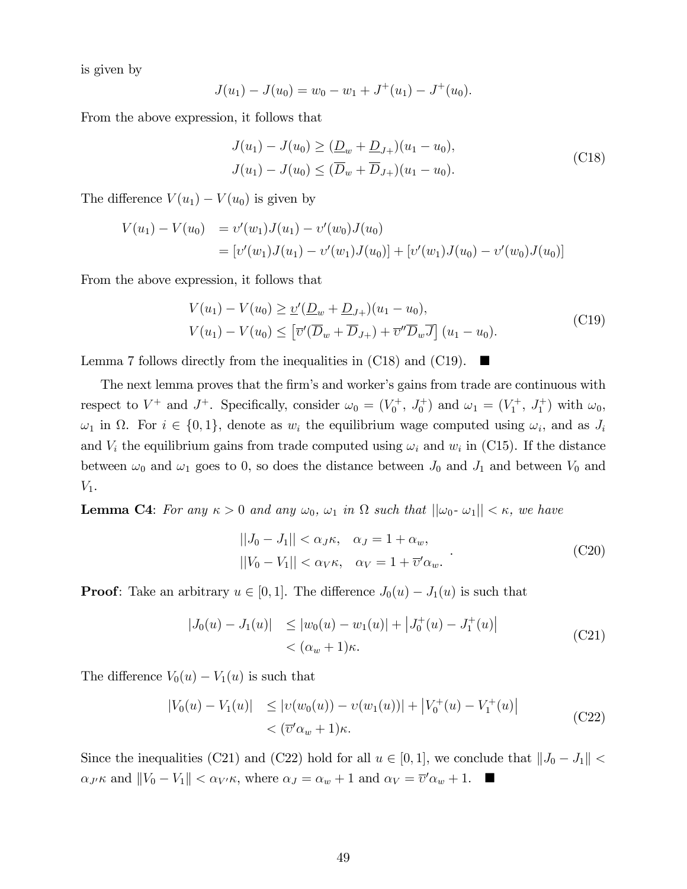is given by

$$
J(u_1) - J(u_0) = w_0 - w_1 + J^+(u_1) - J^+(u_0).
$$

From the above expression, it follows that

$$
J(u_1) - J(u_0) \geq (\underline{D}_w + \underline{D}_{J+})(u_1 - u_0),
$$
  
\n
$$
J(u_1) - J(u_0) \leq (\overline{D}_w + \overline{D}_{J+})(u_1 - u_0).
$$
\n(C18)

The difference  $V(u_1) - V(u_0)$  is given by

$$
V(u_1) - V(u_0) = v'(w_1)J(u_1) - v'(w_0)J(u_0)
$$
  
= 
$$
[v'(w_1)J(u_1) - v'(w_1)J(u_0)] + [v'(w_1)J(u_0) - v'(w_0)J(u_0)]
$$

From the above expression, it follows that

$$
V(u_1) - V(u_0) \ge \underline{v}'(\underline{D}_w + \underline{D}_{J+})(u_1 - u_0),
$$
  
\n
$$
V(u_1) - V(u_0) \le \left[ \overline{v}'(\overline{D}_w + \overline{D}_{J+}) + \overline{v}'' \overline{D}_w \overline{J} \right] (u_1 - u_0).
$$
\n(C19)

Lemma 7 follows directly from the inequalities in (C18) and (C19).

The next lemma proves that the firm's and worker's gains from trade are continuous with respect to  $V^+$  and  $J^+$ . Specifically, consider  $\omega_0 = (V_0^+, J_0^+)$  and  $\omega_1 = (V_1^+, J_1^+)$  with  $\omega_0$ ,  $\omega_1$  in  $\Omega$ . For  $i \in \{0,1\}$ , denote as  $w_i$  the equilibrium wage computed using  $\omega_i$ , and as  $J_i$ and  $V_i$  the equilibrium gains from trade computed using  $\omega_i$  and  $w_i$  in (C15). If the distance between  $\omega_0$  and  $\omega_1$  goes to 0, so does the distance between  $J_0$  and  $J_1$  and between  $V_0$  and  $V_1$ .

**Lemma C4**: For any  $\kappa > 0$  and any  $\omega_0$ ,  $\omega_1$  in  $\Omega$  such that  $||\omega_0 - \omega_1|| < \kappa$ , we have

$$
||J_0 - J_1|| < \alpha_J \kappa, \quad \alpha_J = 1 + \alpha_w,
$$
  

$$
||V_0 - V_1|| < \alpha_V \kappa, \quad \alpha_V = 1 + \overline{\upsilon}' \alpha_w.
$$
 (C20)

**Proof:** Take an arbitrary  $u \in [0, 1]$ . The difference  $J_0(u) - J_1(u)$  is such that

$$
\begin{aligned} |J_0(u) - J_1(u)| &\le |w_0(u) - w_1(u)| + \left| J_0^+(u) - J_1^+(u) \right| \\ &< (\alpha_w + 1)\kappa. \end{aligned} \tag{C21}
$$

The difference  $V_0(u) - V_1(u)$  is such that

$$
|V_0(u) - V_1(u)| \le |v(w_0(u)) - v(w_1(u))| + |V_0^+(u) - V_1^+(u)|
$$
  

$$
< (\overline{v}'\alpha_w + 1)\kappa.
$$
 (C22)

Since the inequalities (C21) and (C22) hold for all  $u \in [0, 1]$ , we conclude that  $||J_0 - J_1|| <$  $\alpha_{J'}\kappa$  and  $||V_0 - V_1|| < \alpha_{V'}\kappa$ , where  $\alpha_J = \alpha_w + 1$  and  $\alpha_V = \overline{v'}\alpha_w + 1$ .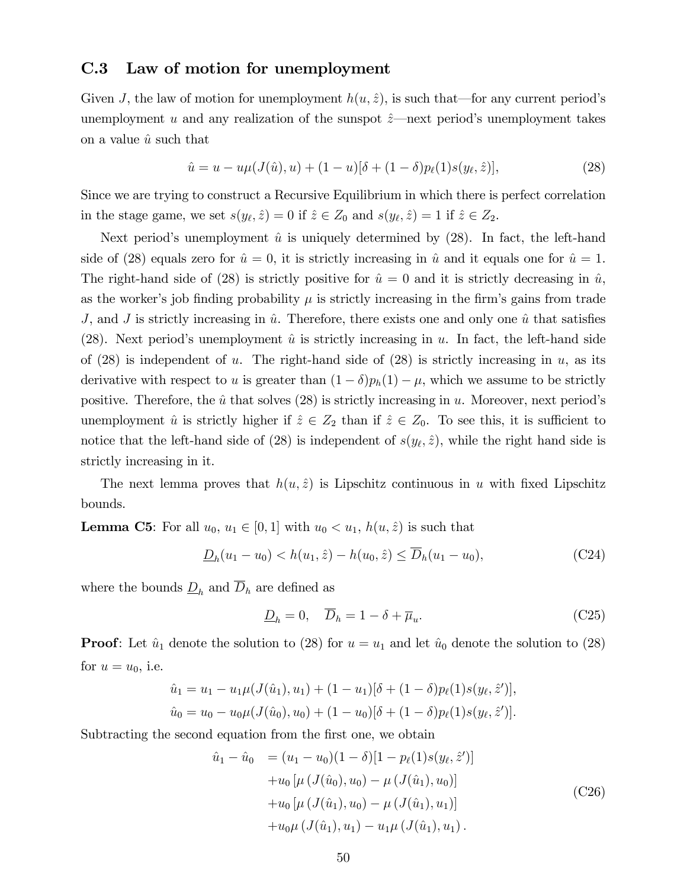### C.3 Law of motion for unemployment

Given J, the law of motion for unemployment  $h(u, \hat{z})$ , is such that—for any current period's unemployment u and any realization of the sunspot  $\hat{z}$ —next period's unemployment takes on a value  $\hat{u}$  such that

$$
\hat{u} = u - u\mu(J(\hat{u}), u) + (1 - u)[\delta + (1 - \delta)p_{\ell}(1)s(y_{\ell}, \hat{z})],
$$
\n(28)

Since we are trying to construct a Recursive Equilibrium in which there is perfect correlation in the stage game, we set  $s(y_\ell, \hat{z}) = 0$  if  $\hat{z} \in Z_0$  and  $s(y_\ell, \hat{z}) = 1$  if  $\hat{z} \in Z_2$ .

Next period's unemployment  $\hat{u}$  is uniquely determined by (28). In fact, the left-hand side of (28) equals zero for  $\hat{u} = 0$ , it is strictly increasing in  $\hat{u}$  and it equals one for  $\hat{u} = 1$ . The right-hand side of (28) is strictly positive for  $\hat{u} = 0$  and it is strictly decreasing in  $\hat{u}$ , as the worker's job finding probability  $\mu$  is strictly increasing in the firm's gains from trade J, and J is strictly increasing in  $\hat{u}$ . Therefore, there exists one and only one  $\hat{u}$  that satisfies (28). Next period's unemployment  $\hat{u}$  is strictly increasing in u. In fact, the left-hand side of  $(28)$  is independent of u. The right-hand side of  $(28)$  is strictly increasing in u, as its derivative with respect to u is greater than  $(1 - \delta)p_h(1) - \mu$ , which we assume to be strictly positive. Therefore, the  $\hat{u}$  that solves (28) is strictly increasing in u. Moreover, next period's unemployment  $\hat{u}$  is strictly higher if  $\hat{z} \in Z_2$  than if  $\hat{z} \in Z_0$ . To see this, it is sufficient to notice that the left-hand side of (28) is independent of  $s(y_\ell, \hat{z})$ , while the right hand side is strictly increasing in it.

The next lemma proves that  $h(u, \hat{z})$  is Lipschitz continuous in u with fixed Lipschitz bounds.

**Lemma C5**: For all  $u_0, u_1 \in [0, 1]$  with  $u_0 < u_1$ ,  $h(u, \hat{z})$  is such that

$$
\underline{D}_h(u_1 - u_0) < h(u_1, \hat{z}) - h(u_0, \hat{z}) \le \overline{D}_h(u_1 - u_0),\tag{C24}
$$

where the bounds  $\underline{D}_h$  and  $\overline{D}_h$  are defined as

$$
\underline{D}_h = 0, \quad \overline{D}_h = 1 - \delta + \overline{\mu}_u. \tag{C25}
$$

**Proof**: Let  $\hat{u}_1$  denote the solution to (28) for  $u = u_1$  and let  $\hat{u}_0$  denote the solution to (28) for  $u = u_0$ , i.e.

$$
\hat{u}_1 = u_1 - u_1 \mu(J(\hat{u}_1), u_1) + (1 - u_1)[\delta + (1 - \delta)p_\ell(1)s(y_\ell, \hat{z}')] ,
$$
  

$$
\hat{u}_0 = u_0 - u_0 \mu(J(\hat{u}_0), u_0) + (1 - u_0)[\delta + (1 - \delta)p_\ell(1)s(y_\ell, \hat{z}')].
$$

Subtracting the second equation from the first one, we obtain

$$
\hat{u}_1 - \hat{u}_0 = (u_1 - u_0)(1 - \delta)[1 - p_{\ell}(1)s(y_{\ell}, \hat{z}')] \n+ u_0 [\mu (J(\hat{u}_0), u_0) - \mu (J(\hat{u}_1), u_0)] \n+ u_0 [\mu (J(\hat{u}_1), u_0) - \mu (J(\hat{u}_1), u_1)] \n+ u_0 \mu (J(\hat{u}_1), u_1) - u_1 \mu (J(\hat{u}_1), u_1).
$$
\n(C26)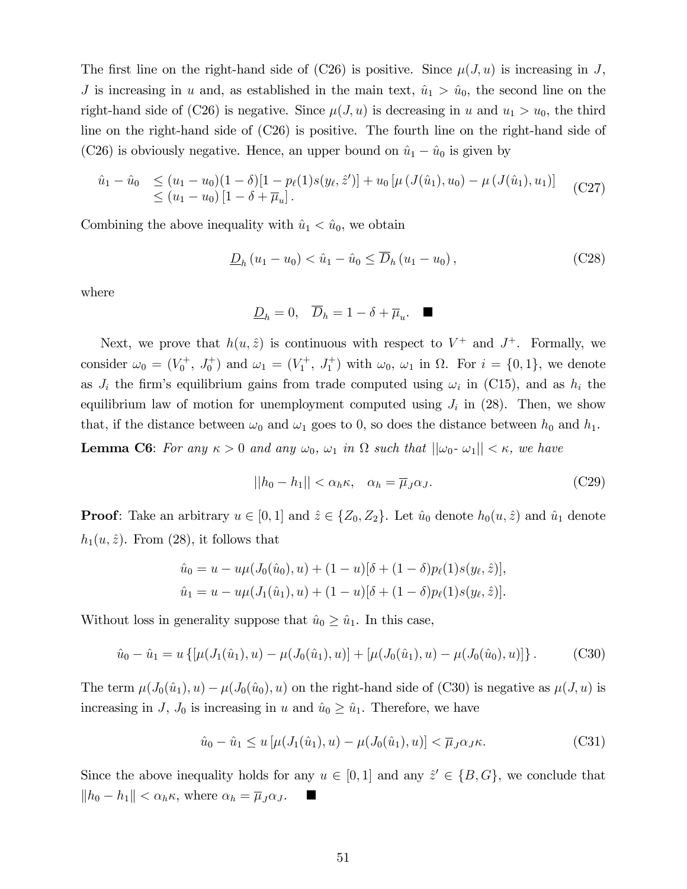The first line on the right-hand side of (C26) is positive. Since  $\mu(J, u)$  is increasing in J, J is increasing in u and, as established in the main text,  $\hat{u}_1 > \hat{u}_0$ , the second line on the right-hand side of (C26) is negative. Since  $\mu(J, u)$  is decreasing in u and  $u_1 > u_0$ , the third line on the right-hand side of (C26) is positive. The fourth line on the right-hand side of (C26) is obviously negative. Hence, an upper bound on  $\hat{u}_1 - \hat{u}_0$  is given by

$$
\hat{u}_1 - \hat{u}_0 \le (u_1 - u_0)(1 - \delta)[1 - p_\ell(1)s(y_\ell, \hat{z}')] + u_0 \left[\mu\left(J(\hat{u}_1), u_0\right) - \mu\left(J(\hat{u}_1), u_1\right)\right] \tag{C27}
$$
\n
$$
\le (u_1 - u_0) \left[1 - \delta + \overline{\mu}_u\right].
$$

Combining the above inequality with  $\hat{u}_1 < \hat{u}_0$ , we obtain

$$
\underline{D}_h (u_1 - u_0) < \hat{u}_1 - \hat{u}_0 \le \overline{D}_h (u_1 - u_0), \tag{C28}
$$

where

$$
\underline{D}_h = 0, \quad \overline{D}_h = 1 - \delta + \overline{\mu}_u. \quad \blacksquare
$$

Next, we prove that  $h(u, \hat{z})$  is continuous with respect to  $V^+$  and  $J^+$ . Formally, we consider  $\omega_0 = (V_0^+, J_0^+)$  and  $\omega_1 = (V_1^+, J_1^+)$  with  $\omega_0$ ,  $\omega_1$  in  $\Omega$ . For  $i = \{0, 1\}$ , we denote as  $J_i$  the firm's equilibrium gains from trade computed using  $\omega_i$  in (C15), and as  $h_i$  the equilibrium law of motion for unemployment computed using  $J_i$  in (28). Then, we show that, if the distance between  $\omega_0$  and  $\omega_1$  goes to 0, so does the distance between  $h_0$  and  $h_1$ .

**Lemma C6:** For any  $\kappa > 0$  and any  $\omega_0$ ,  $\omega_1$  in  $\Omega$  such that  $||\omega_0 - \omega_1|| < \kappa$ , we have

$$
||h_0 - h_1|| < \alpha_h \kappa, \quad \alpha_h = \overline{\mu}_J \alpha_J. \tag{C29}
$$

**Proof:** Take an arbitrary  $u \in [0, 1]$  and  $\hat{z} \in \{Z_0, Z_2\}$ . Let  $\hat{u}_0$  denote  $h_0(u, \hat{z})$  and  $\hat{u}_1$  denote  $h_1(u, \hat{z})$ . From (28), it follows that

$$
\hat{u}_0 = u - u\mu(J_0(\hat{u}_0), u) + (1 - u)[\delta + (1 - \delta)p_\ell(1)s(y_\ell, \hat{z})],
$$
  

$$
\hat{u}_1 = u - u\mu(J_1(\hat{u}_1), u) + (1 - u)[\delta + (1 - \delta)p_\ell(1)s(y_\ell, \hat{z})].
$$

Without loss in generality suppose that  $\hat{u}_0 \geq \hat{u}_1$ . In this case,

$$
\hat{u}_0 - \hat{u}_1 = u \{ [\mu(J_1(\hat{u}_1), u) - \mu(J_0(\hat{u}_1), u)] + [\mu(J_0(\hat{u}_1), u) - \mu(J_0(\hat{u}_0), u)] \}.
$$
 (C30)

The term  $\mu(J_0(\hat{u}_1), u) - \mu(J_0(\hat{u}_0), u)$  on the right-hand side of (C30) is negative as  $\mu(J, u)$  is increasing in J,  $J_0$  is increasing in u and  $\hat{u}_0 \geq \hat{u}_1$ . Therefore, we have

$$
\hat{u}_0 - \hat{u}_1 \le u \left[ \mu(J_1(\hat{u}_1), u) - \mu(J_0(\hat{u}_1), u) \right] < \overline{\mu}_J \alpha_J \kappa. \tag{C31}
$$

Since the above inequality holds for any  $u \in [0, 1]$  and any  $\hat{z}' \in \{B, G\}$ , we conclude that  $\|h_0 - h_1\| < \alpha_h \kappa$ , where  $\alpha_h = \overline{\mu}_J \alpha_J$ .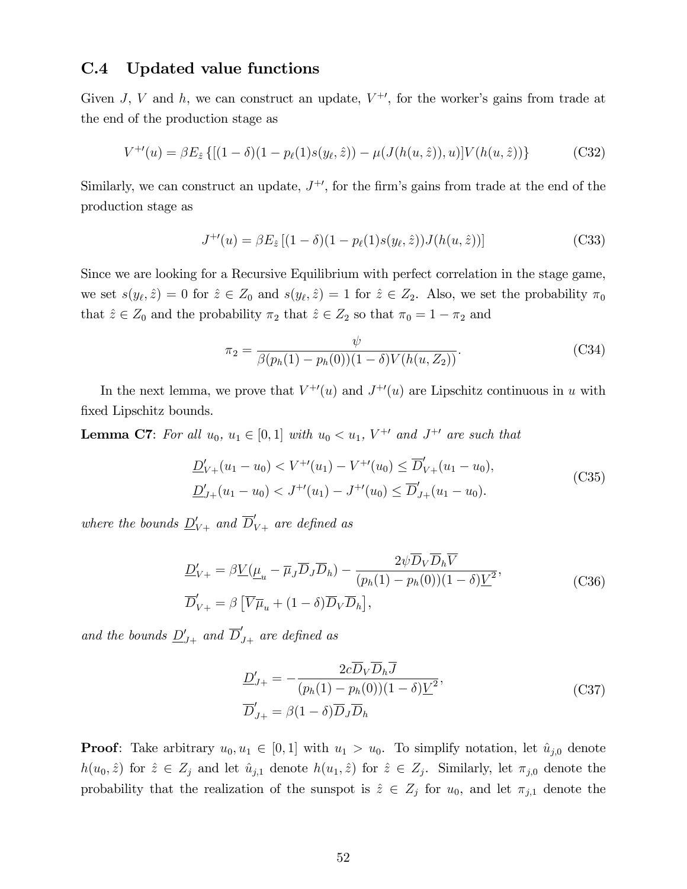### C.4 Updated value functions

Given J, V and h, we can construct an update,  $V^{+'}$ , for the worker's gains from trade at the end of the production stage as

$$
V^{+\prime}(u) = \beta E_{\hat{z}} \left\{ [(1-\delta)(1-p_{\ell}(1)s(y_{\ell},\hat{z})) - \mu(J(h(u,\hat{z})),u)] V(h(u,\hat{z})) \right\}
$$
(C32)

Similarly, we can construct an update,  $J^{+'}$ , for the firm's gains from trade at the end of the production stage as

$$
J^{+'}(u) = \beta E_{\hat{z}} [(1 - \delta)(1 - p_{\ell}(1)s(y_{\ell}, \hat{z})) J(h(u, \hat{z}))]
$$
(C33)

Since we are looking for a Recursive Equilibrium with perfect correlation in the stage game, we set  $s(y_\ell, \hat{z}) = 0$  for  $\hat{z} \in Z_0$  and  $s(y_\ell, \hat{z}) = 1$  for  $\hat{z} \in Z_2$ . Also, we set the probability  $\pi_0$ that  $\hat{z} \in Z_0$  and the probability  $\pi_2$  that  $\hat{z} \in Z_2$  so that  $\pi_0 = 1 - \pi_2$  and

$$
\pi_2 = \frac{\psi}{\beta(p_h(1) - p_h(0))(1 - \delta)V(h(u, Z_2))}.
$$
\n(C34)

In the next lemma, we prove that  $V^{+\prime}(u)$  and  $J^{+\prime}(u)$  are Lipschitz continuous in u with fixed Lipschitz bounds.

**Lemma C7:** For all  $u_0, u_1 \in [0, 1]$  with  $u_0 < u_1$ ,  $V^{+'}$  and  $J^{+'}$  are such that

$$
\underline{D}'_{V+}(u_1 - u_0) < V^{+\prime}(u_1) - V^{+\prime}(u_0) \le \overline{D}'_{V+}(u_1 - u_0),
$$
\n
$$
\underline{D}'_{J+}(u_1 - u_0) < J^{+\prime}(u_1) - J^{+\prime}(u_0) \le \overline{D}'_{J+}(u_1 - u_0).
$$
\n(C35)

where the bounds  $\underline{D}'_{V+}$  and  $\overline{D}'_{V+}$  are defined as

$$
\underline{D}_{V+}' = \beta \underline{V}(\underline{\mu}_u - \overline{\mu}_J \overline{D}_J \overline{D}_h) - \frac{2\psi D_V D_h V}{(p_h(1) - p_h(0))(1 - \delta)\underline{V}^2},
$$
\n
$$
\overline{D}_{V+}' = \beta \left[ \overline{V} \overline{\mu}_u + (1 - \delta) \overline{D}_V \overline{D}_h \right],
$$
\n(C36)

and the bounds  $\underline{D}'_{J+}$  and  $\overline{D}'_{J+}$  are defined as

$$
\underline{D}'_{J+} = -\frac{2c\overline{D}_V \overline{D}_h \overline{J}}{(p_h(1) - p_h(0))(1 - \delta)\underline{V}^2},
$$
\n
$$
\overline{D}'_{J+} = \beta(1 - \delta)\overline{D}_J \overline{D}_h
$$
\n(C37)

**Proof:** Take arbitrary  $u_0, u_1 \in [0, 1]$  with  $u_1 > u_0$ . To simplify notation, let  $\hat{u}_{j,0}$  denote  $h(u_0, \hat{z})$  for  $\hat{z} \in Z_j$  and let  $\hat{u}_{j,1}$  denote  $h(u_1, \hat{z})$  for  $\hat{z} \in Z_j$ . Similarly, let  $\pi_{j,0}$  denote the probability that the realization of the sunspot is  $\hat{z} \in Z_j$  for  $u_0$ , and let  $\pi_{j,1}$  denote the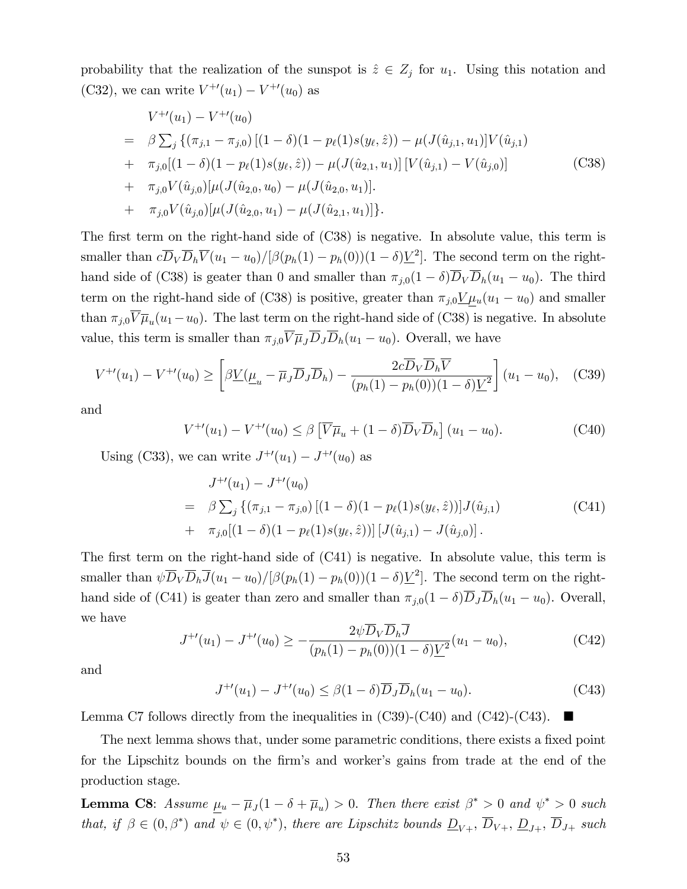probability that the realization of the sunspot is  $\hat{z} \in Z_j$  for  $u_1$ . Using this notation and (C32), we can write  $V^{+\prime}(u_1) - V^{+\prime}(u_0)$  as

$$
V^{+\prime}(u_1) - V^{+\prime}(u_0)
$$
  
=  $\beta \sum_j \{ (\pi_{j,1} - \pi_{j,0}) \left[ (1 - \delta)(1 - p_\ell(1)s(y_\ell, \hat{z})) - \mu(J(\hat{u}_{j,1}, u_1)) \right] V(\hat{u}_{j,1})$   
+  $\pi_{j,0} [(1 - \delta)(1 - p_\ell(1)s(y_\ell, \hat{z})) - \mu(J(\hat{u}_{2,1}, u_1))] \left[ V(\hat{u}_{j,1}) - V(\hat{u}_{j,0}) \right]$   
+  $\pi_{j,0} V(\hat{u}_{j,0}) [\mu(J(\hat{u}_{2,0}, u_0) - \mu(J(\hat{u}_{2,0}, u_1))]).$   
+  $\pi_{j,0} V(\hat{u}_{j,0}) [\mu(J(\hat{u}_{2,0}, u_1) - \mu(J(\hat{u}_{2,1}, u_1))]).$  (C38)

The first term on the right-hand side of  $(C38)$  is negative. In absolute value, this term is smaller than  $c\overline{D}_V\overline{D}_h\overline{V}(u_1-u_0)/[\beta(p_h(1) - p_h(0))(1-\delta)\underline{V}^2]$ . The second term on the righthand side of (C38) is geater than 0 and smaller than  $\pi_{j,0}(1 - \delta)\overline{D}_V \overline{D}_h(u_1 - u_0)$ . The third term on the right-hand side of (C38) is positive, greater than  $\pi_{j,0} \underline{V} \mu_u(u_1 - u_0)$  and smaller than  $\pi_{j,0}V\overline{\mu}_{u}(u_1-u_0)$ . The last term on the right-hand side of (C38) is negative. In absolute value, this term is smaller than  $\pi_{j,0}\overline{V}\overline{\mu}_{J}\overline{D}_{J}\overline{D}_{h}(u_{1}-u_{0})$ . Overall, we have

$$
V^{+'}(u_1) - V^{+'}(u_0) \ge \left[ \beta \underline{V}(\underline{\mu}_u - \overline{\mu}_J \overline{D}_J \overline{D}_h) - \frac{2c \overline{D}_V \overline{D}_h \overline{V}}{(p_h(1) - p_h(0))(1 - \delta)\underline{V}^2} \right] (u_1 - u_0), \quad (C39)
$$

and

$$
V^{+\prime}(u_1) - V^{+\prime}(u_0) \leq \beta \left[ \overline{V} \overline{\mu}_u + (1 - \delta) \overline{D}_V \overline{D}_h \right] (u_1 - u_0).
$$
 (C40)

Using (C33), we can write  $J^{+\prime}(u_1) - J^{+\prime}(u_0)$  as

$$
J^{+\prime}(u_1) - J^{+\prime}(u_0)
$$
  
=  $\beta \sum_j \{ (\pi_{j,1} - \pi_{j,0}) [(1 - \delta)(1 - p_\ell(1)s(y_\ell, \hat{z}))] J(\hat{u}_{j,1})$  (C41)  
+  $\pi_{j,0} [(1 - \delta)(1 - p_\ell(1)s(y_\ell, \hat{z}))] [J(\hat{u}_{j,1}) - J(\hat{u}_{j,0})].$ 

The first term on the right-hand side of  $(C41)$  is negative. In absolute value, this term is smaller than  $\psi \overline{D}_V \overline{D}_h \overline{J}(u_1 - u_0) / [\beta(p_h(1) - p_h(0)) (1 - \delta) \underline{V}^2]$ . The second term on the righthand side of (C41) is geater than zero and smaller than  $\pi_{j,0}(1 - \delta)\overline{D}_J\overline{D}_h(u_1 - u_0)$ . Overall, we have

$$
J^{+'}(u_1) - J^{+'}(u_0) \ge -\frac{2\psi \overline{D}_V \overline{D}_h \overline{J}}{(p_h(1) - p_h(0))(1 - \delta)\underline{V}^2}(u_1 - u_0),\tag{C42}
$$

and

$$
J^{+\prime}(u_1) - J^{+\prime}(u_0) \le \beta (1 - \delta) \overline{D}_J \overline{D}_h (u_1 - u_0).
$$
 (C43)

Lemma C7 follows directly from the inequalities in (C39)-(C40) and (C42)-(C43).

The next lemma shows that, under some parametric conditions, there exists a fixed point for the Lipschitz bounds on the firm's and worker's gains from trade at the end of the production stage.

**Lemma C8**: Assume  $\underline{\mu}_u - \overline{\mu}_J(1 - \delta + \overline{\mu}_u) > 0$ . Then there exist  $\beta^* > 0$  and  $\psi^* > 0$  such that, if  $\beta \in (0,\beta^*)$  and  $\psi \in (0,\psi^*)$ , there are Lipschitz bounds  $\underline{D}_{V+}$ ,  $D_{V+}$ ,  $\underline{D}_{J+}$ ,  $D_{J+}$  such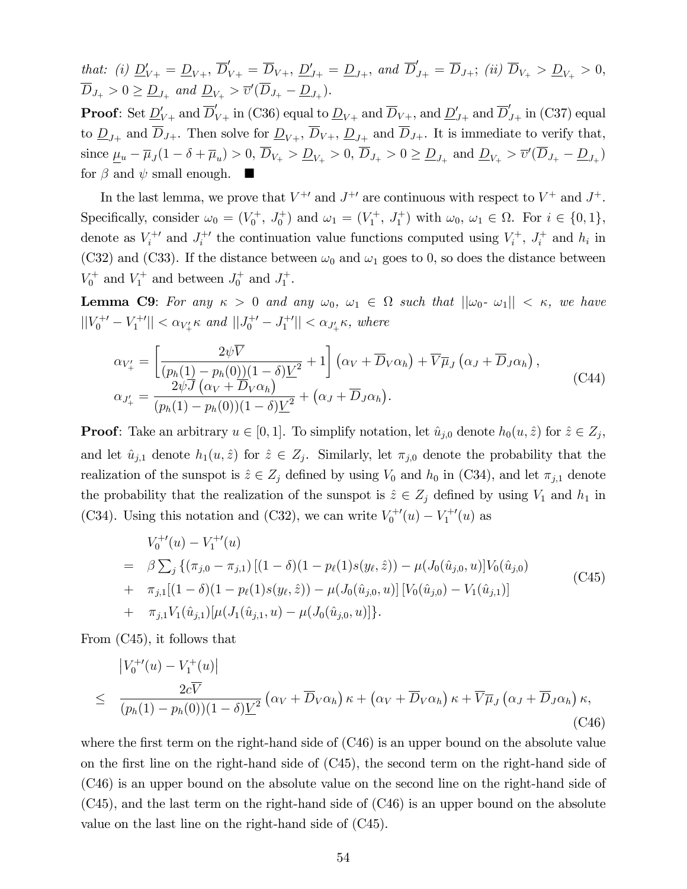that: (i)  $\underline{D}'_{V+} = \underline{D}_{V+}$ ,  $\overline{D}'_{V+} = \overline{D}_{V+}$ ,  $\underline{D}'_{J+} = \underline{D}_{J+}$ , and  $\overline{D}'_{J+} = \overline{D}_{J+}$ ; (ii)  $\overline{D}_{V+} > \underline{D}_{V+} > 0$ ,  $D_{J_+} > 0 \geq \underline{D}_{J_+}$  and  $\underline{D}_{V_+} > \overline{v}'(D_{J_+} - \underline{D}_{J_+}).$ 

**Proof**: Set  $\underline{D}_{V+}'$  and  $\overline{D}_{V+}'$  in (C36) equal to  $\underline{D}_{V+}$  and  $\overline{D}_{V+}$ , and  $\underline{D}_{J+}'$  and  $\overline{D}_{J+}'$  in (C37) equal to  $\underline{D}_{J+}$  and  $\overline{D}_{J+}$ . Then solve for  $\underline{D}_{V+}$ ,  $\overline{D}_{V+}$ ,  $\underline{D}_{J+}$  and  $\overline{D}_{J+}$ . It is immediate to verify that, since  $\underline{\mu}_u - \overline{\mu}_J(1 - \delta + \overline{\mu}_u) > 0$ ,  $D_{V_+} > \underline{D}_{V_+} > 0$ ,  $D_{J_+} > 0 \ge \underline{D}_{J_+}$  and  $\underline{D}_{V_+} > \overline{v}'(D_{J_+} - \underline{D}_{J_+})$ for  $\beta$  and  $\psi$  small enough.

In the last lemma, we prove that  $V^{+\prime}$  and  $J^{+\prime}$  are continuous with respect to  $V^{+}$  and  $J^{+}$ . Specifically, consider  $\omega_0 = (V_0^+, J_0^+)$  and  $\omega_1 = (V_1^+, J_1^+)$  with  $\omega_0, \omega_1 \in \Omega$ . For  $i \in \{0, 1\}$ , denote as  $V_i^{+}$  and  $J_i^{+}$  the continuation value functions computed using  $V_i^{+}$  $i^{+}, J_{i}^{+}$  $i^+$  and  $h_i$  in (C32) and (C33). If the distance between  $\omega_0$  and  $\omega_1$  goes to 0, so does the distance between  $V_0^+$  and  $V_1^+$  and between  $J_0^+$  and  $J_1^+$ .

**Lemma C9:** For any  $\kappa > 0$  and any  $\omega_0$ ,  $\omega_1 \in \Omega$  such that  $||\omega_0 - \omega_1|| < \kappa$ , we have  $||V_0^{+'} - V_1^{+'}|| < \alpha_{V'_+} \kappa$  and  $||J_0^{+'} - J_1^{+'}|| < \alpha_{J'_+} \kappa$ , where

$$
\alpha_{V'_{+}} = \left[\frac{2\psi\overline{V}}{(p_h(1) - p_h(0))(1 - \delta)\underline{V}^2} + 1\right] \left(\alpha_V + \overline{D}_V\alpha_h\right) + \overline{V}\overline{\mu}_J\left(\alpha_J + \overline{D}_J\alpha_h\right),
$$
  
\n
$$
\alpha_{J'_{+}} = \frac{2\psi\overline{J}\left(\alpha_V + \overline{D}_V\alpha_h\right)}{(p_h(1) - p_h(0))(1 - \delta)\underline{V}^2} + \left(\alpha_J + \overline{D}_J\alpha_h\right).
$$
\n(C44)

**Proof**: Take an arbitrary  $u \in [0, 1]$ . To simplify notation, let  $\hat{u}_{j,0}$  denote  $h_0(u, \hat{z})$  for  $\hat{z} \in Z_j$ , and let  $\hat{u}_{j,1}$  denote  $h_1(u, \hat{z})$  for  $\hat{z} \in Z_j$ . Similarly, let  $\pi_{j,0}$  denote the probability that the realization of the sunspot is  $\hat{z} \in Z_j$  defined by using  $V_0$  and  $h_0$  in (C34), and let  $\pi_{j,1}$  denote the probability that the realization of the sunspot is  $\hat{z} \in Z_j$  defined by using  $V_1$  and  $h_1$  in (C34). Using this notation and (C32), we can write  $V_0^{+\prime}(u) - V_1^{+\prime}(u)$  as

$$
V_0^{+'}(u) - V_1^{+'}(u)
$$
  
=  $\beta \sum_j \{ (\pi_{j,0} - \pi_{j,1}) \left[ (1 - \delta)(1 - p_\ell(1)s(y_\ell, \hat{z})) - \mu(J_0(\hat{u}_{j,0}, u) \right] V_0(\hat{u}_{j,0})$   
+  $\pi_{j,1}[(1 - \delta)(1 - p_\ell(1)s(y_\ell, \hat{z})) - \mu(J_0(\hat{u}_{j,0}, u)] \left[ V_0(\hat{u}_{j,0}) - V_1(\hat{u}_{j,1}) \right]$   
+  $\pi_{j,1} V_1(\hat{u}_{j,1}) [\mu(J_1(\hat{u}_{j,1}, u) - \mu(J_0(\hat{u}_{j,0}, u))]).$  (C45)

From (C45), it follows that

$$
\begin{aligned}\n\left|V_0^{+'}(u) - V_1^{+}(u)\right| \\
\leq \frac{2c\overline{V}}{(p_h(1) - p_h(0))(1 - \delta)\underline{V}^2} \left(\alpha_V + \overline{D}_V\alpha_h\right)\kappa + \left(\alpha_V + \overline{D}_V\alpha_h\right)\kappa + \overline{V}\overline{\mu}_J\left(\alpha_J + \overline{D}_J\alpha_h\right)\kappa,\n\end{aligned} \tag{C46}
$$

where the first term on the right-hand side of  $(C46)$  is an upper bound on the absolute value on the first line on the right-hand side of  $(C45)$ , the second term on the right-hand side of (C46) is an upper bound on the absolute value on the second line on the right-hand side of (C45), and the last term on the right-hand side of (C46) is an upper bound on the absolute value on the last line on the right-hand side of (C45).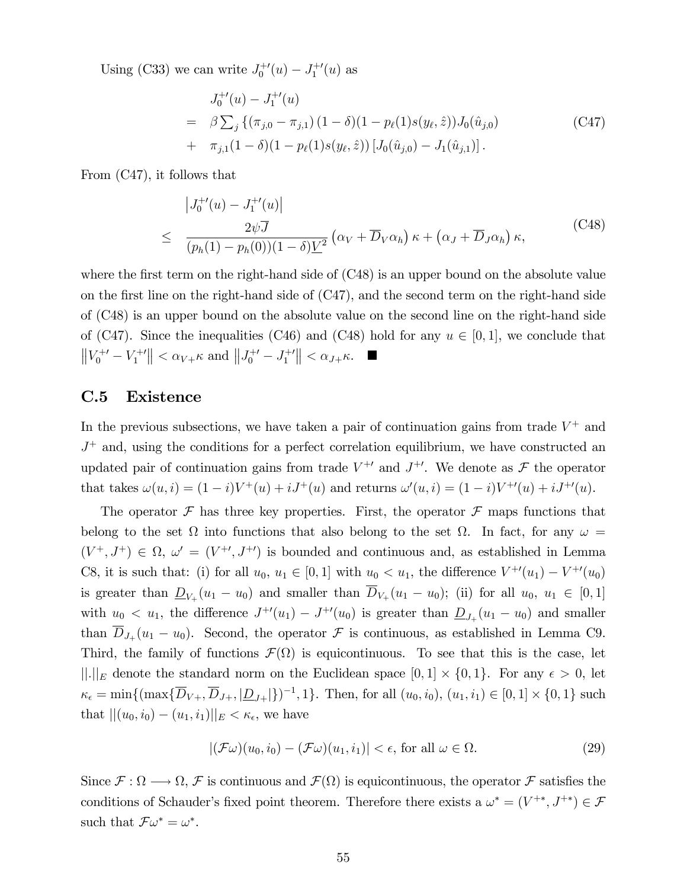Using (C33) we can write  $J_0^{+'}(u) - J_1^{+'}(u)$  as

$$
J_0^{+'}(u) - J_1^{+'}(u)
$$
  
=  $\beta \sum_j \{ (\pi_{j,0} - \pi_{j,1}) (1 - \delta)(1 - p_\ell(1)s(y_\ell, \hat{z})) J_0(\hat{u}_{j,0})$  (C47)  
+  $\pi_{j,1}(1 - \delta)(1 - p_\ell(1)s(y_\ell, \hat{z})) [J_0(\hat{u}_{j,0}) - J_1(\hat{u}_{j,1})].$ 

From (C47), it follows that

$$
\begin{aligned}\n\left|J_0^{+'}(u) - J_1^{+'}(u)\right| \\
\leq \frac{2\psi\overline{J}}{(p_h(1) - p_h(0))(1 - \delta)\underline{V}^2} \left(\alpha_V + \overline{D}_V\alpha_h\right)\kappa + \left(\alpha_J + \overline{D}_J\alpha_h\right)\kappa,\n\end{aligned} \tag{C48}
$$

where the first term on the right-hand side of  $(C48)$  is an upper bound on the absolute value on the first line on the right-hand side of  $(C47)$ , and the second term on the right-hand side of (C48) is an upper bound on the absolute value on the second line on the right-hand side of (C47). Since the inequalities (C46) and (C48) hold for any  $u \in [0, 1]$ , we conclude that  $||V_0^{+'} - V_1^{+'}|| < \alpha_{V+} \kappa$  and  $||J_0^{+'} - J_1^{+'}|| < \alpha_{J+} \kappa$ .

### C.5 Existence

In the previous subsections, we have taken a pair of continuation gains from trade  $V^+$  and  $J^+$  and, using the conditions for a perfect correlation equilibrium, we have constructed an updated pair of continuation gains from trade  $V^{+\prime}$  and  $J^{+\prime}$ . We denote as  $\mathcal F$  the operator that takes  $\omega(u, i) = (1 - i)V^+(u) + iJ^+(u)$  and returns  $\omega'(u, i) = (1 - i)V^{+\prime}(u) + iJ^{+\prime}(u)$ .

The operator  $\mathcal F$  has three key properties. First, the operator  $\mathcal F$  maps functions that belong to the set  $\Omega$  into functions that also belong to the set  $\Omega$ . In fact, for any  $\omega =$  $(V^+, J^+) \in \Omega$ ,  $\omega' = (V^{+,} J^{+})$  is bounded and continuous and, as established in Lemma C8, it is such that: (i) for all  $u_0, u_1 \in [0, 1]$  with  $u_0 < u_1$ , the difference  $V^{+\prime}(u_1) - V^{+\prime}(u_0)$ is greater than  $\underline{D}_{V_+}(u_1 - u_0)$  and smaller than  $D_{V_+}(u_1 - u_0)$ ; (ii) for all  $u_0, u_1 \in [0,1]$ with  $u_0 < u_1$ , the difference  $J^{+\prime}(u_1) - J^{+\prime}(u_0)$  is greater than  $\underline{D}_{J_+}(u_1 - u_0)$  and smaller than  $D_{J_+}(u_1 - u_0)$ . Second, the operator  $\mathcal F$  is continuous, as established in Lemma C9. Third, the family of functions  $\mathcal{F}(\Omega)$  is equicontinuous. To see that this is the case, let  $\|\cdot\|_E$  denote the standard norm on the Euclidean space  $[0, 1] \times \{0, 1\}$ . For any  $\epsilon > 0$ , let  $\kappa_{\epsilon} = \min\{(\max\{\overline{D}_{V+}, \overline{D}_{J+}, |\underline{D}_{J+}|\})^{-1}, 1\}.$  Then, for all  $(u_0, i_0), (u_1, i_1) \in [0, 1] \times \{0, 1\}$  such that  $||(u_0, i_0) - (u_1, i_1)||_E < \kappa_{\epsilon}$ , we have

$$
|(\mathcal{F}\omega)(u_0, i_0) - (\mathcal{F}\omega)(u_1, i_1)| < \epsilon, \text{ for all } \omega \in \Omega. \tag{29}
$$

Since  $\mathcal{F}: \Omega \longrightarrow \Omega$ ,  $\mathcal{F}$  is continuous and  $\mathcal{F}(\Omega)$  is equicontinuous, the operator  $\mathcal{F}$  satisfies the conditions of Schauder's fixed point theorem. Therefore there exists a  $\omega^* = (V^{+*}, J^{+*}) \in \mathcal{F}$ such that  $\mathcal{F}\omega^* = \omega^*$ .